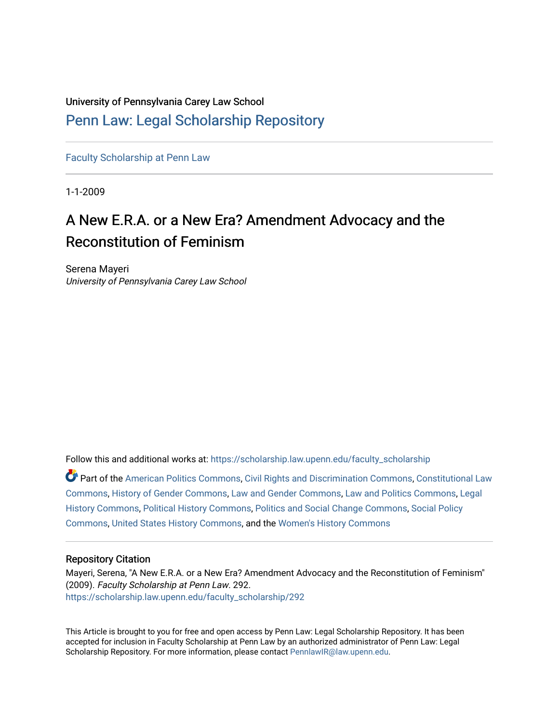# University of Pennsylvania Carey Law School

# [Penn Law: Legal Scholarship Repository](https://scholarship.law.upenn.edu/)

[Faculty Scholarship at Penn Law](https://scholarship.law.upenn.edu/faculty_scholarship)

1-1-2009

# A New E.R.A. or a New Era? Amendment Advocacy and the Reconstitution of Feminism

Serena Mayeri University of Pennsylvania Carey Law School

Follow this and additional works at: [https://scholarship.law.upenn.edu/faculty\\_scholarship](https://scholarship.law.upenn.edu/faculty_scholarship?utm_source=scholarship.law.upenn.edu%2Ffaculty_scholarship%2F292&utm_medium=PDF&utm_campaign=PDFCoverPages) 

Part of the [American Politics Commons,](https://network.bepress.com/hgg/discipline/387?utm_source=scholarship.law.upenn.edu%2Ffaculty_scholarship%2F292&utm_medium=PDF&utm_campaign=PDFCoverPages) [Civil Rights and Discrimination Commons,](https://network.bepress.com/hgg/discipline/585?utm_source=scholarship.law.upenn.edu%2Ffaculty_scholarship%2F292&utm_medium=PDF&utm_campaign=PDFCoverPages) [Constitutional Law](https://network.bepress.com/hgg/discipline/589?utm_source=scholarship.law.upenn.edu%2Ffaculty_scholarship%2F292&utm_medium=PDF&utm_campaign=PDFCoverPages) [Commons](https://network.bepress.com/hgg/discipline/589?utm_source=scholarship.law.upenn.edu%2Ffaculty_scholarship%2F292&utm_medium=PDF&utm_campaign=PDFCoverPages), [History of Gender Commons](https://network.bepress.com/hgg/discipline/498?utm_source=scholarship.law.upenn.edu%2Ffaculty_scholarship%2F292&utm_medium=PDF&utm_campaign=PDFCoverPages), [Law and Gender Commons,](https://network.bepress.com/hgg/discipline/1298?utm_source=scholarship.law.upenn.edu%2Ffaculty_scholarship%2F292&utm_medium=PDF&utm_campaign=PDFCoverPages) [Law and Politics Commons,](https://network.bepress.com/hgg/discipline/867?utm_source=scholarship.law.upenn.edu%2Ffaculty_scholarship%2F292&utm_medium=PDF&utm_campaign=PDFCoverPages) [Legal](https://network.bepress.com/hgg/discipline/904?utm_source=scholarship.law.upenn.edu%2Ffaculty_scholarship%2F292&utm_medium=PDF&utm_campaign=PDFCoverPages) [History Commons](https://network.bepress.com/hgg/discipline/904?utm_source=scholarship.law.upenn.edu%2Ffaculty_scholarship%2F292&utm_medium=PDF&utm_campaign=PDFCoverPages), [Political History Commons](https://network.bepress.com/hgg/discipline/505?utm_source=scholarship.law.upenn.edu%2Ffaculty_scholarship%2F292&utm_medium=PDF&utm_campaign=PDFCoverPages), [Politics and Social Change Commons](https://network.bepress.com/hgg/discipline/425?utm_source=scholarship.law.upenn.edu%2Ffaculty_scholarship%2F292&utm_medium=PDF&utm_campaign=PDFCoverPages), [Social Policy](https://network.bepress.com/hgg/discipline/1030?utm_source=scholarship.law.upenn.edu%2Ffaculty_scholarship%2F292&utm_medium=PDF&utm_campaign=PDFCoverPages) [Commons](https://network.bepress.com/hgg/discipline/1030?utm_source=scholarship.law.upenn.edu%2Ffaculty_scholarship%2F292&utm_medium=PDF&utm_campaign=PDFCoverPages), [United States History Commons,](https://network.bepress.com/hgg/discipline/495?utm_source=scholarship.law.upenn.edu%2Ffaculty_scholarship%2F292&utm_medium=PDF&utm_campaign=PDFCoverPages) and the [Women's History Commons](https://network.bepress.com/hgg/discipline/507?utm_source=scholarship.law.upenn.edu%2Ffaculty_scholarship%2F292&utm_medium=PDF&utm_campaign=PDFCoverPages) 

# Repository Citation

Mayeri, Serena, "A New E.R.A. or a New Era? Amendment Advocacy and the Reconstitution of Feminism" (2009). Faculty Scholarship at Penn Law. 292. [https://scholarship.law.upenn.edu/faculty\\_scholarship/292](https://scholarship.law.upenn.edu/faculty_scholarship/292?utm_source=scholarship.law.upenn.edu%2Ffaculty_scholarship%2F292&utm_medium=PDF&utm_campaign=PDFCoverPages) 

This Article is brought to you for free and open access by Penn Law: Legal Scholarship Repository. It has been accepted for inclusion in Faculty Scholarship at Penn Law by an authorized administrator of Penn Law: Legal Scholarship Repository. For more information, please contact [PennlawIR@law.upenn.edu.](mailto:PennlawIR@law.upenn.edu)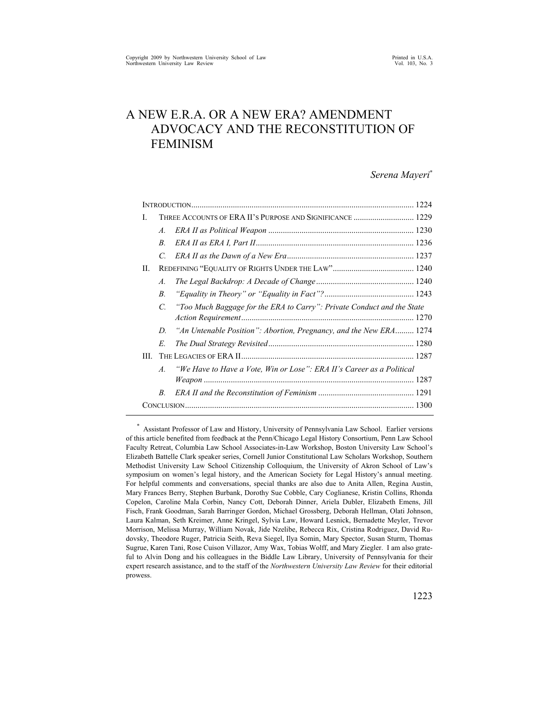# A NEW E.R.A. OR A NEW ERA? AMENDMENT ADVOCACY AND THE RECONSTITUTION OF FEMINISM

#### *Serena Mayeri*\*

| L<br>A.<br>B<br>C.<br>П.<br>$\mathcal{A}$ .<br>$B_{\cdot}$<br>"Too Much Baggage for the ERA to Carry": Private Conduct and the State<br>$\mathcal{C}$<br>"An Untenable Position": Abortion, Pregnancy, and the New ERA 1274<br>D<br>E.<br>HL.<br>"We Have to Have a Vote, Win or Lose": ERA II's Career as a Political<br>$\mathcal{A}$ .<br>B. |  |  |  |  |
|-------------------------------------------------------------------------------------------------------------------------------------------------------------------------------------------------------------------------------------------------------------------------------------------------------------------------------------------------|--|--|--|--|
|                                                                                                                                                                                                                                                                                                                                                 |  |  |  |  |
|                                                                                                                                                                                                                                                                                                                                                 |  |  |  |  |
|                                                                                                                                                                                                                                                                                                                                                 |  |  |  |  |
|                                                                                                                                                                                                                                                                                                                                                 |  |  |  |  |
|                                                                                                                                                                                                                                                                                                                                                 |  |  |  |  |
|                                                                                                                                                                                                                                                                                                                                                 |  |  |  |  |
|                                                                                                                                                                                                                                                                                                                                                 |  |  |  |  |
|                                                                                                                                                                                                                                                                                                                                                 |  |  |  |  |
|                                                                                                                                                                                                                                                                                                                                                 |  |  |  |  |
|                                                                                                                                                                                                                                                                                                                                                 |  |  |  |  |
|                                                                                                                                                                                                                                                                                                                                                 |  |  |  |  |
|                                                                                                                                                                                                                                                                                                                                                 |  |  |  |  |
|                                                                                                                                                                                                                                                                                                                                                 |  |  |  |  |
|                                                                                                                                                                                                                                                                                                                                                 |  |  |  |  |
|                                                                                                                                                                                                                                                                                                                                                 |  |  |  |  |
|                                                                                                                                                                                                                                                                                                                                                 |  |  |  |  |
|                                                                                                                                                                                                                                                                                                                                                 |  |  |  |  |

\* Assistant Professor of Law and History, University of Pennsylvania Law School. Earlier versions of this article benefited from feedback at the Penn/Chicago Legal History Consortium, Penn Law School Faculty Retreat, Columbia Law School Associates-in-Law Workshop, Boston University Law School's Elizabeth Battelle Clark speaker series, Cornell Junior Constitutional Law Scholars Workshop, Southern Methodist University Law School Citizenship Colloquium, the University of Akron School of Law's symposium on women's legal history, and the American Society for Legal History's annual meeting. For helpful comments and conversations, special thanks are also due to Anita Allen, Regina Austin, Mary Frances Berry, Stephen Burbank, Dorothy Sue Cobble, Cary Coglianese, Kristin Collins, Rhonda Copelon, Caroline Mala Corbin, Nancy Cott, Deborah Dinner, Ariela Dubler, Elizabeth Emens, Jill Fisch, Frank Goodman, Sarah Barringer Gordon, Michael Grossberg, Deborah Hellman, Olati Johnson, Laura Kalman, Seth Kreimer, Anne Kringel, Sylvia Law, Howard Lesnick, Bernadette Meyler, Trevor Morrison, Melissa Murray, William Novak, Jide Nzelibe, Rebecca Rix, Cristina Rodriguez, David Rudovsky, Theodore Ruger, Patricia Seith, Reva Siegel, Ilya Somin, Mary Spector, Susan Sturm, Thomas Sugrue, Karen Tani, Rose Cuison Villazor, Amy Wax, Tobias Wolff, and Mary Ziegler. I am also grateful to Alvin Dong and his colleagues in the Biddle Law Library, University of Pennsylvania for their expert research assistance, and to the staff of the *Northwestern University Law Review* for their editorial prowess.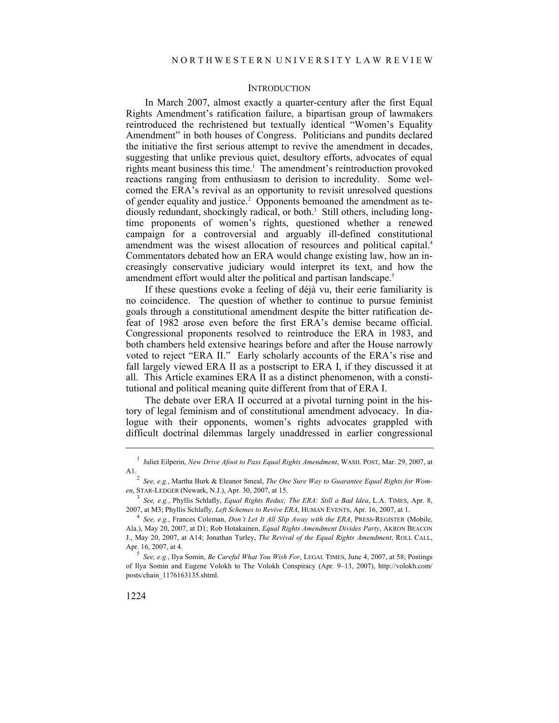# **INTRODUCTION**

In March 2007, almost exactly a quarter-century after the first Equal Rights Amendment's ratification failure, a bipartisan group of lawmakers reintroduced the rechristened but textually identical "Women's Equality Amendment" in both houses of Congress. Politicians and pundits declared the initiative the first serious attempt to revive the amendment in decades, suggesting that unlike previous quiet, desultory efforts, advocates of equal rights meant business this time.<sup>1</sup> The amendment's reintroduction provoked reactions ranging from enthusiasm to derision to incredulity. Some welcomed the ERA's revival as an opportunity to revisit unresolved questions of gender equality and justice.<sup>2</sup> Opponents bemoaned the amendment as tediously redundant, shockingly radical, or both.3 Still others, including longtime proponents of women's rights, questioned whether a renewed campaign for a controversial and arguably ill-defined constitutional amendment was the wisest allocation of resources and political capital.<sup>4</sup> Commentators debated how an ERA would change existing law, how an increasingly conservative judiciary would interpret its text, and how the amendment effort would alter the political and partisan landscape.<sup>5</sup>

If these questions evoke a feeling of déjà vu, their eerie familiarity is no coincidence. The question of whether to continue to pursue feminist goals through a constitutional amendment despite the bitter ratification defeat of 1982 arose even before the first ERA's demise became official. Congressional proponents resolved to reintroduce the ERA in 1983, and both chambers held extensive hearings before and after the House narrowly voted to reject "ERA II." Early scholarly accounts of the ERA's rise and fall largely viewed ERA II as a postscript to ERA I, if they discussed it at all. This Article examines ERA II as a distinct phenomenon, with a constitutional and political meaning quite different from that of ERA I.

The debate over ERA II occurred at a pivotal turning point in the history of legal feminism and of constitutional amendment advocacy. In dialogue with their opponents, women's rights advocates grappled with difficult doctrinal dilemmas largely unaddressed in earlier congressional

<sup>&</sup>lt;sup>1</sup> Juliet Eilperin, *New Drive Afoot to Pass Equal Rights Amendment*, WASH. POST, Mar. 29, 2007, at A1.

*See, e.g.*, Martha Burk & Eleanor Smeal, *The One Sure Way to Guarantee Equal Rights for Wom*en, STAR-LEDGER (Newark, N.J.), Apr. 30, 2007, at 15.

*See, e.g.*, Phyllis Schlafly, *Equal Rights Redux; The ERA: Still a Bad Idea*, L.A. TIMES, Apr. 8, 2007, at M3; Phyllis Schlafly, *Left Schemes to Revive ERA*, HUMAN EVENTS, Apr. 16, 2007, at 1. 4

*See, e.g.*, Frances Coleman, *Don't Let It All Slip Away with the ERA*, PRESS-REGISTER (Mobile, Ala.), May 20, 2007, at D1; Rob Hotakainen, *Equal Rights Amendment Divides Party*, AKRON BEACON J., May 20, 2007, at A14; Jonathan Turley, *The Revival of the Equal Rights Amendment*, ROLL CALL, Apr. 16, 2007, at 4.

*See, e.g.*, Ilya Somin, *Be Careful What You Wish For*, LEGAL TIMES, June 4, 2007, at 58; Postings of Ilya Somin and Eugene Volokh to The Volokh Conspiracy (Apr. 9–13, 2007), http://volokh.com/ posts/chain\_1176163135.shtml.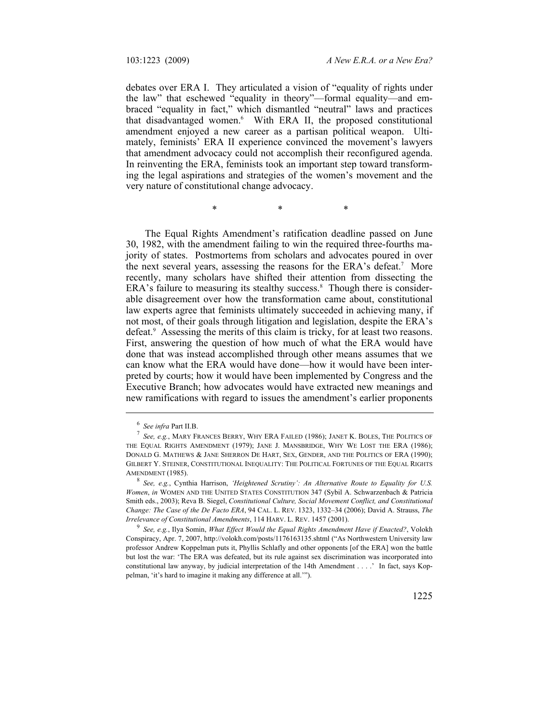debates over ERA I. They articulated a vision of "equality of rights under the law" that eschewed "equality in theory"—formal equality—and embraced "equality in fact," which dismantled "neutral" laws and practices that disadvantaged women.6 With ERA II, the proposed constitutional amendment enjoyed a new career as a partisan political weapon. Ultimately, feminists' ERA II experience convinced the movement's lawyers that amendment advocacy could not accomplish their reconfigured agenda. In reinventing the ERA, feminists took an important step toward transforming the legal aspirations and strategies of the women's movement and the very nature of constitutional change advocacy.

 $*$   $*$   $*$ 

The Equal Rights Amendment's ratification deadline passed on June 30, 1982, with the amendment failing to win the required three-fourths majority of states. Postmortems from scholars and advocates poured in over the next several years, assessing the reasons for the ERA's defeat.<sup>7</sup> More recently, many scholars have shifted their attention from dissecting the ERA's failure to measuring its stealthy success.<sup>8</sup> Though there is considerable disagreement over how the transformation came about, constitutional law experts agree that feminists ultimately succeeded in achieving many, if not most, of their goals through litigation and legislation, despite the ERA's defeat.<sup>9</sup> Assessing the merits of this claim is tricky, for at least two reasons. First, answering the question of how much of what the ERA would have done that was instead accomplished through other means assumes that we can know what the ERA would have done—how it would have been interpreted by courts; how it would have been implemented by Congress and the Executive Branch; how advocates would have extracted new meanings and new ramifications with regard to issues the amendment's earlier proponents

<sup>&</sup>lt;sup>6</sup> See infra Part II.B.<br><sup>7</sup> See a.g. MABY FB

*See, e.g.*, MARY FRANCES BERRY, WHY ERA FAILED (1986); JANET K. BOLES, THE POLITICS OF THE EQUAL RIGHTS AMENDMENT (1979); JANE J. MANSBRIDGE, WHY WE LOST THE ERA (1986); DONALD G. MATHEWS & JANE SHERRON DE HART, SEX, GENDER, AND THE POLITICS OF ERA (1990); GILBERT Y. STEINER, CONSTITUTIONAL INEQUALITY: THE POLITICAL FORTUNES OF THE EQUAL RIGHTS AMENDMENT (1985).

*See, e.g.*, Cynthia Harrison, *'Heightened Scrutiny': An Alternative Route to Equality for U.S. Women*, *in* WOMEN AND THE UNITED STATES CONSTITUTION 347 (Sybil A. Schwarzenbach & Patricia Smith eds., 2003); Reva B. Siegel, *Constitutional Culture, Social Movement Conflict, and Constitutional Change: The Case of the De Facto ERA*, 94 CAL. L. REV. 1323, 1332–34 (2006); David A. Strauss, *The Irrelevance of Constitutional Amendments*, 114 HARV. L. REV. 1457 (2001).

*See, e.g.*, Ilya Somin, *What Effect Would the Equal Rights Amendment Have if Enacted?*, Volokh Conspiracy, Apr. 7, 2007, http://volokh.com/posts/1176163135.shtml ("As Northwestern University law professor Andrew Koppelman puts it, Phyllis Schlafly and other opponents [of the ERA] won the battle but lost the war: 'The ERA was defeated, but its rule against sex discrimination was incorporated into constitutional law anyway, by judicial interpretation of the 14th Amendment . . . .' In fact, says Koppelman, 'it's hard to imagine it making any difference at all.'").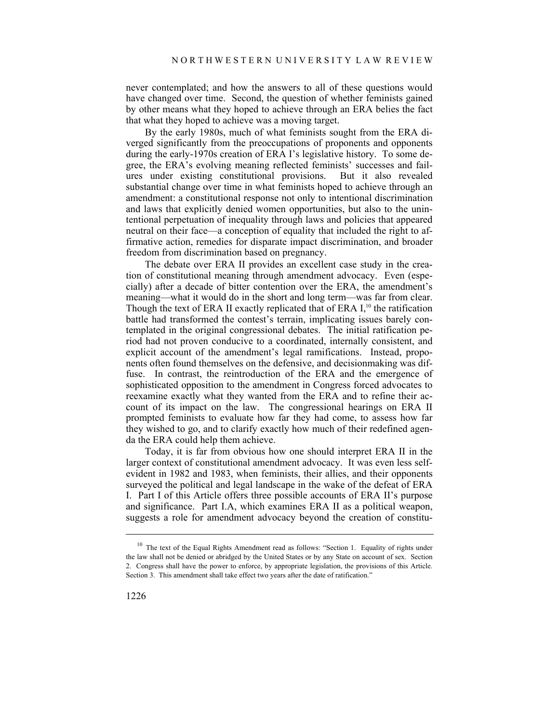never contemplated; and how the answers to all of these questions would have changed over time. Second, the question of whether feminists gained by other means what they hoped to achieve through an ERA belies the fact that what they hoped to achieve was a moving target.

By the early 1980s, much of what feminists sought from the ERA diverged significantly from the preoccupations of proponents and opponents during the early-1970s creation of ERA I's legislative history. To some degree, the ERA's evolving meaning reflected feminists' successes and failures under existing constitutional provisions. But it also revealed substantial change over time in what feminists hoped to achieve through an amendment: a constitutional response not only to intentional discrimination and laws that explicitly denied women opportunities, but also to the unintentional perpetuation of inequality through laws and policies that appeared neutral on their face—a conception of equality that included the right to affirmative action, remedies for disparate impact discrimination, and broader freedom from discrimination based on pregnancy.

The debate over ERA II provides an excellent case study in the creation of constitutional meaning through amendment advocacy. Even (especially) after a decade of bitter contention over the ERA, the amendment's meaning—what it would do in the short and long term—was far from clear. Though the text of ERA II exactly replicated that of ERA  $I<sub>i</sub><sup>10</sup>$  the ratification battle had transformed the contest's terrain, implicating issues barely contemplated in the original congressional debates. The initial ratification period had not proven conducive to a coordinated, internally consistent, and explicit account of the amendment's legal ramifications. Instead, proponents often found themselves on the defensive, and decisionmaking was diffuse. In contrast, the reintroduction of the ERA and the emergence of sophisticated opposition to the amendment in Congress forced advocates to reexamine exactly what they wanted from the ERA and to refine their account of its impact on the law. The congressional hearings on ERA II prompted feminists to evaluate how far they had come, to assess how far they wished to go, and to clarify exactly how much of their redefined agenda the ERA could help them achieve.

Today, it is far from obvious how one should interpret ERA II in the larger context of constitutional amendment advocacy. It was even less selfevident in 1982 and 1983, when feminists, their allies, and their opponents surveyed the political and legal landscape in the wake of the defeat of ERA I. Part I of this Article offers three possible accounts of ERA II's purpose and significance. Part I.A, which examines ERA II as a political weapon, suggests a role for amendment advocacy beyond the creation of constitu-

<sup>&</sup>lt;sup>10</sup> The text of the Equal Rights Amendment read as follows: "Section 1. Equality of rights under the law shall not be denied or abridged by the United States or by any State on account of sex. Section 2. Congress shall have the power to enforce, by appropriate legislation, the provisions of this Article. Section 3. This amendment shall take effect two years after the date of ratification."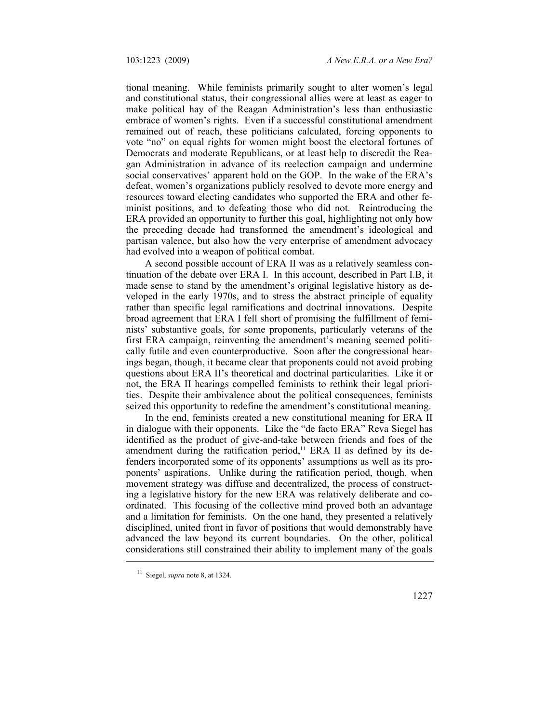tional meaning. While feminists primarily sought to alter women's legal and constitutional status, their congressional allies were at least as eager to make political hay of the Reagan Administration's less than enthusiastic embrace of women's rights. Even if a successful constitutional amendment remained out of reach, these politicians calculated, forcing opponents to vote "no" on equal rights for women might boost the electoral fortunes of Democrats and moderate Republicans, or at least help to discredit the Reagan Administration in advance of its reelection campaign and undermine social conservatives' apparent hold on the GOP. In the wake of the ERA's defeat, women's organizations publicly resolved to devote more energy and resources toward electing candidates who supported the ERA and other feminist positions, and to defeating those who did not. Reintroducing the ERA provided an opportunity to further this goal, highlighting not only how the preceding decade had transformed the amendment's ideological and partisan valence, but also how the very enterprise of amendment advocacy had evolved into a weapon of political combat.

A second possible account of ERA II was as a relatively seamless continuation of the debate over ERA I. In this account, described in Part I.B, it made sense to stand by the amendment's original legislative history as developed in the early 1970s, and to stress the abstract principle of equality rather than specific legal ramifications and doctrinal innovations. Despite broad agreement that ERA I fell short of promising the fulfillment of feminists' substantive goals, for some proponents, particularly veterans of the first ERA campaign, reinventing the amendment's meaning seemed politically futile and even counterproductive. Soon after the congressional hearings began, though, it became clear that proponents could not avoid probing questions about ERA II's theoretical and doctrinal particularities. Like it or not, the ERA II hearings compelled feminists to rethink their legal priorities. Despite their ambivalence about the political consequences, feminists seized this opportunity to redefine the amendment's constitutional meaning.

In the end, feminists created a new constitutional meaning for ERA II in dialogue with their opponents. Like the "de facto ERA" Reva Siegel has identified as the product of give-and-take between friends and foes of the amendment during the ratification period, $<sup>11</sup>$  ERA II as defined by its de-</sup> fenders incorporated some of its opponents' assumptions as well as its proponents' aspirations. Unlike during the ratification period, though, when movement strategy was diffuse and decentralized, the process of constructing a legislative history for the new ERA was relatively deliberate and coordinated. This focusing of the collective mind proved both an advantage and a limitation for feminists. On the one hand, they presented a relatively disciplined, united front in favor of positions that would demonstrably have advanced the law beyond its current boundaries. On the other, political considerations still constrained their ability to implement many of the goals

<sup>11</sup> Siegel, *supra* note 8, at 1324.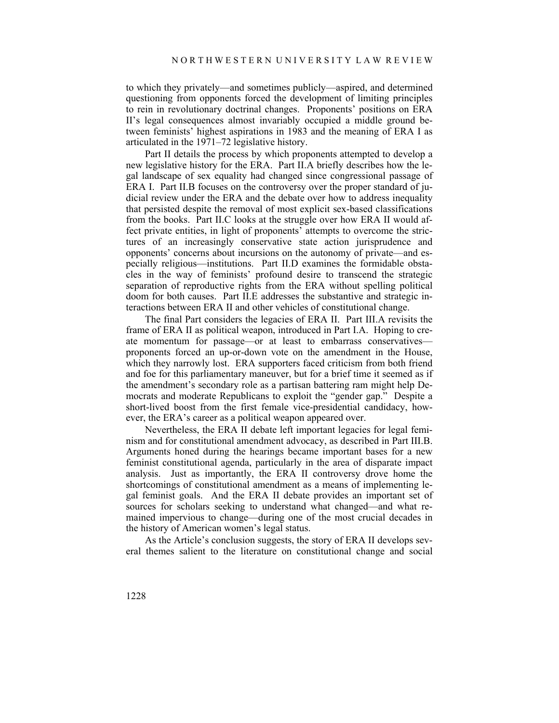to which they privately—and sometimes publicly—aspired, and determined questioning from opponents forced the development of limiting principles to rein in revolutionary doctrinal changes. Proponents' positions on ERA II's legal consequences almost invariably occupied a middle ground between feminists' highest aspirations in 1983 and the meaning of ERA I as articulated in the 1971–72 legislative history.

Part II details the process by which proponents attempted to develop a new legislative history for the ERA. Part II.A briefly describes how the legal landscape of sex equality had changed since congressional passage of ERA I. Part II.B focuses on the controversy over the proper standard of judicial review under the ERA and the debate over how to address inequality that persisted despite the removal of most explicit sex-based classifications from the books. Part II.C looks at the struggle over how ERA II would affect private entities, in light of proponents' attempts to overcome the strictures of an increasingly conservative state action jurisprudence and opponents' concerns about incursions on the autonomy of private—and especially religious—institutions. Part II.D examines the formidable obstacles in the way of feminists' profound desire to transcend the strategic separation of reproductive rights from the ERA without spelling political doom for both causes. Part II.E addresses the substantive and strategic interactions between ERA II and other vehicles of constitutional change.

The final Part considers the legacies of ERA II. Part III.A revisits the frame of ERA II as political weapon, introduced in Part I.A. Hoping to create momentum for passage—or at least to embarrass conservatives proponents forced an up-or-down vote on the amendment in the House, which they narrowly lost. ERA supporters faced criticism from both friend and foe for this parliamentary maneuver, but for a brief time it seemed as if the amendment's secondary role as a partisan battering ram might help Democrats and moderate Republicans to exploit the "gender gap." Despite a short-lived boost from the first female vice-presidential candidacy, however, the ERA's career as a political weapon appeared over.

Nevertheless, the ERA II debate left important legacies for legal feminism and for constitutional amendment advocacy, as described in Part III.B. Arguments honed during the hearings became important bases for a new feminist constitutional agenda, particularly in the area of disparate impact analysis. Just as importantly, the ERA II controversy drove home the shortcomings of constitutional amendment as a means of implementing legal feminist goals. And the ERA II debate provides an important set of sources for scholars seeking to understand what changed—and what remained impervious to change—during one of the most crucial decades in the history of American women's legal status.

As the Article's conclusion suggests, the story of ERA II develops several themes salient to the literature on constitutional change and social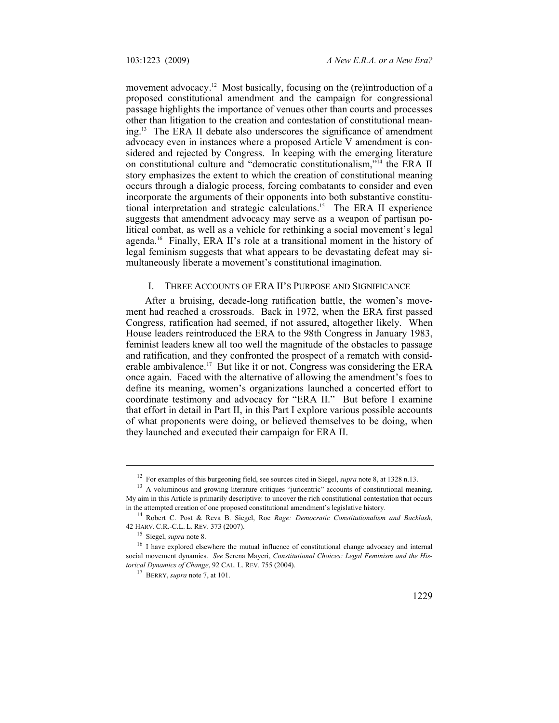movement advocacy.<sup>12</sup> Most basically, focusing on the (re)introduction of a proposed constitutional amendment and the campaign for congressional passage highlights the importance of venues other than courts and processes other than litigation to the creation and contestation of constitutional meaning.13 The ERA II debate also underscores the significance of amendment advocacy even in instances where a proposed Article V amendment is considered and rejected by Congress. In keeping with the emerging literature on constitutional culture and "democratic constitutionalism,"14 the ERA II story emphasizes the extent to which the creation of constitutional meaning occurs through a dialogic process, forcing combatants to consider and even incorporate the arguments of their opponents into both substantive constitutional interpretation and strategic calculations.15 The ERA II experience suggests that amendment advocacy may serve as a weapon of partisan political combat, as well as a vehicle for rethinking a social movement's legal agenda.16 Finally, ERA II's role at a transitional moment in the history of legal feminism suggests that what appears to be devastating defeat may simultaneously liberate a movement's constitutional imagination.

# I. THREE ACCOUNTS OF ERA II'S PURPOSE AND SIGNIFICANCE

After a bruising, decade-long ratification battle, the women's movement had reached a crossroads. Back in 1972, when the ERA first passed Congress, ratification had seemed, if not assured, altogether likely. When House leaders reintroduced the ERA to the 98th Congress in January 1983, feminist leaders knew all too well the magnitude of the obstacles to passage and ratification, and they confronted the prospect of a rematch with considerable ambivalence.<sup>17</sup> But like it or not, Congress was considering the ERA once again. Faced with the alternative of allowing the amendment's foes to define its meaning, women's organizations launched a concerted effort to coordinate testimony and advocacy for "ERA II." But before I examine that effort in detail in Part II, in this Part I explore various possible accounts of what proponents were doing, or believed themselves to be doing, when they launched and executed their campaign for ERA II.

<sup>&</sup>lt;sup>12</sup> For examples of this burgeoning field, see sources cited in Siegel, *supra* note 8, at 1328 n.13.<br><sup>13</sup> A voluminous and growing literature critiques "juricentric" accounts of constitutional meaning.

My aim in this Article is primarily descriptive: to uncover the rich constitutional contestation that occurs in the attempted creation of one proposed constitutional amendment's legislative history.

<sup>&</sup>lt;sup>14</sup> Robert C. Post & Reva B. Siegel, Roe *Rage: Democratic Constitutionalism and Backlash*, 42 HARV. C.R.-C.L. L. REV. 373 (2007).

<sup>&</sup>lt;sup>15</sup> Siegel, *supra* note 8.<br><sup>16</sup> I have explored elsewhere the mutual influence of constitutional change advocacy and internal social movement dynamics. *See* Serena Mayeri, *Constitutional Choices: Legal Feminism and the Historical Dynamics of Change*, 92 CAL. L. REV. 755 (2004). 17 BERRY, *supra* note 7, at 101.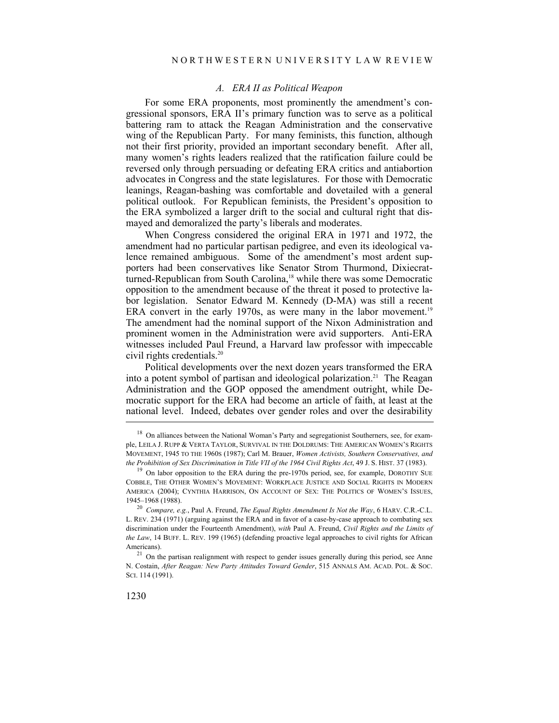#### *A. ERA II as Political Weapon*

For some ERA proponents, most prominently the amendment's congressional sponsors, ERA II's primary function was to serve as a political battering ram to attack the Reagan Administration and the conservative wing of the Republican Party. For many feminists, this function, although not their first priority, provided an important secondary benefit. After all, many women's rights leaders realized that the ratification failure could be reversed only through persuading or defeating ERA critics and antiabortion advocates in Congress and the state legislatures. For those with Democratic leanings, Reagan-bashing was comfortable and dovetailed with a general political outlook. For Republican feminists, the President's opposition to the ERA symbolized a larger drift to the social and cultural right that dismayed and demoralized the party's liberals and moderates.

When Congress considered the original ERA in 1971 and 1972, the amendment had no particular partisan pedigree, and even its ideological valence remained ambiguous. Some of the amendment's most ardent supporters had been conservatives like Senator Strom Thurmond, Dixiecratturned-Republican from South Carolina,<sup>18</sup> while there was some Democratic opposition to the amendment because of the threat it posed to protective labor legislation. Senator Edward M. Kennedy (D-MA) was still a recent ERA convert in the early 1970s, as were many in the labor movement.<sup>19</sup> The amendment had the nominal support of the Nixon Administration and prominent women in the Administration were avid supporters. Anti-ERA witnesses included Paul Freund, a Harvard law professor with impeccable civil rights credentials.20

Political developments over the next dozen years transformed the ERA into a potent symbol of partisan and ideological polarization.<sup>21</sup> The Reagan Administration and the GOP opposed the amendment outright, while Democratic support for the ERA had become an article of faith, at least at the national level. Indeed, debates over gender roles and over the desirability

<sup>&</sup>lt;sup>18</sup> On alliances between the National Woman's Party and segregationist Southerners, see, for example, LEILA J. RUPP & VERTA TAYLOR, SURVIVAL IN THE DOLDRUMS: THE AMERICAN WOMEN'S RIGHTS MOVEMENT, 1945 TO THE 1960S (1987); Carl M. Brauer, *Women Activists, Southern Conservatives, and the Prohibition of Sex Discrimination in Title VII of the 1964 Civil Rights Act*, 49 J. S. HIST. 37 (1983).<br><sup>19</sup> On labor opposition to the ERA during the pre-1970s period, see, for example, DOROTHY SUE

COBBLE, THE OTHER WOMEN'S MOVEMENT: WORKPLACE JUSTICE AND SOCIAL RIGHTS IN MODERN AMERICA (2004); CYNTHIA HARRISON, ON ACCOUNT OF SEX: THE POLITICS OF WOMEN'S ISSUES,

<sup>1945–1968 (1988). 20</sup> *Compare, e.g.*, Paul A. Freund, *The Equal Rights Amendment Is Not the Way*, 6 HARV. C.R.-C.L. L. REV. 234 (1971) (arguing against the ERA and in favor of a case-by-case approach to combating sex discrimination under the Fourteenth Amendment), *with* Paul A. Freund, *Civil Rights and the Limits of the Law*, 14 BUFF. L. REV. 199 (1965) (defending proactive legal approaches to civil rights for African Americans).<br><sup>21</sup> On the partisan realignment with respect to gender issues generally during this period, see Anne

N. Costain, *After Reagan: New Party Attitudes Toward Gender*, 515 ANNALS AM. ACAD. POL. & SOC. SCI. 114 (1991).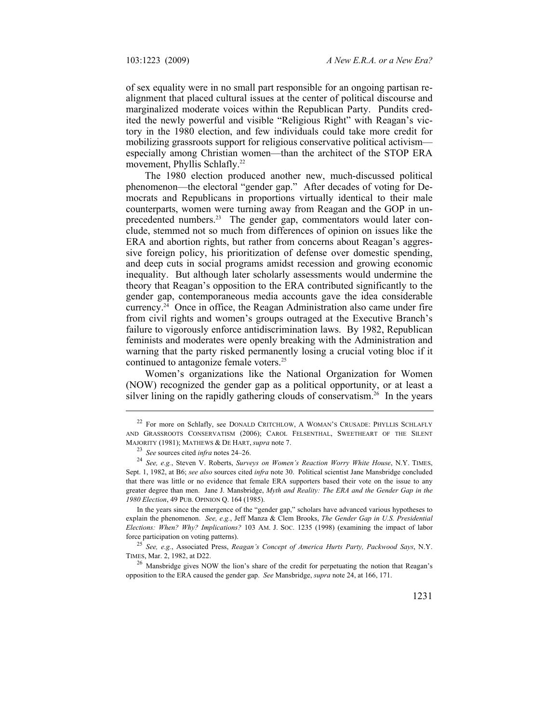of sex equality were in no small part responsible for an ongoing partisan realignment that placed cultural issues at the center of political discourse and marginalized moderate voices within the Republican Party. Pundits credited the newly powerful and visible "Religious Right" with Reagan's victory in the 1980 election, and few individuals could take more credit for mobilizing grassroots support for religious conservative political activism especially among Christian women—than the architect of the STOP ERA movement, Phyllis Schlafly.<sup>22</sup>

The 1980 election produced another new, much-discussed political phenomenon—the electoral "gender gap." After decades of voting for Democrats and Republicans in proportions virtually identical to their male counterparts, women were turning away from Reagan and the GOP in unprecedented numbers.<sup>23</sup> The gender gap, commentators would later conclude, stemmed not so much from differences of opinion on issues like the ERA and abortion rights, but rather from concerns about Reagan's aggressive foreign policy, his prioritization of defense over domestic spending, and deep cuts in social programs amidst recession and growing economic inequality. But although later scholarly assessments would undermine the theory that Reagan's opposition to the ERA contributed significantly to the gender gap, contemporaneous media accounts gave the idea considerable currency.<sup>24</sup> Once in office, the Reagan Administration also came under fire from civil rights and women's groups outraged at the Executive Branch's failure to vigorously enforce antidiscrimination laws. By 1982, Republican feminists and moderates were openly breaking with the Administration and warning that the party risked permanently losing a crucial voting bloc if it continued to antagonize female voters.<sup>25</sup>

Women's organizations like the National Organization for Women (NOW) recognized the gender gap as a political opportunity, or at least a silver lining on the rapidly gathering clouds of conservatism.<sup>26</sup> In the years

In the years since the emergence of the "gender gap," scholars have advanced various hypotheses to explain the phenomenon. *See, e.g.*, Jeff Manza & Clem Brooks, *The Gender Gap in U.S. Presidential Elections: When? Why? Implications?* 103 AM. J. SOC. 1235 (1998) (examining the impact of labor force participation on voting patterns). 25 *See, e.g.*, Associated Press, *Reagan's Concept of America Hurts Party, Packwood Says*, N.Y.

TIMES, Mar. 2, 1982, at D22. 26 Mansbridge gives NOW the lion's share of the credit for perpetuating the notion that Reagan's

opposition to the ERA caused the gender gap. *See* Mansbridge, *supra* note 24, at 166, 171.

<sup>&</sup>lt;sup>22</sup> For more on Schlafly, see DONALD CRITCHLOW, A WOMAN'S CRUSADE: PHYLLIS SCHLAFLY AND GRASSROOTS CONSERVATISM (2006); CAROL FELSENTHAL, SWEETHEART OF THE SILENT MAJORITY (1981); MATHEWS & DE HART, *supra* note 7.

<sup>&</sup>lt;sup>23</sup> *See* sources cited *infra* notes 24–26.<br><sup>24</sup> *See*, *e.g.*, Steven V. Roberts, *Surveys on Women's Reaction Worry White House*, N.Y. TIMES, Sept. 1, 1982, at B6; *see also* sources cited *infra* note 30. Political scientist Jane Mansbridge concluded that there was little or no evidence that female ERA supporters based their vote on the issue to any greater degree than men. Jane J. Mansbridge, *Myth and Reality: The ERA and the Gender Gap in the 1980 Election*, 49 PUB. OPINION Q. 164 (1985).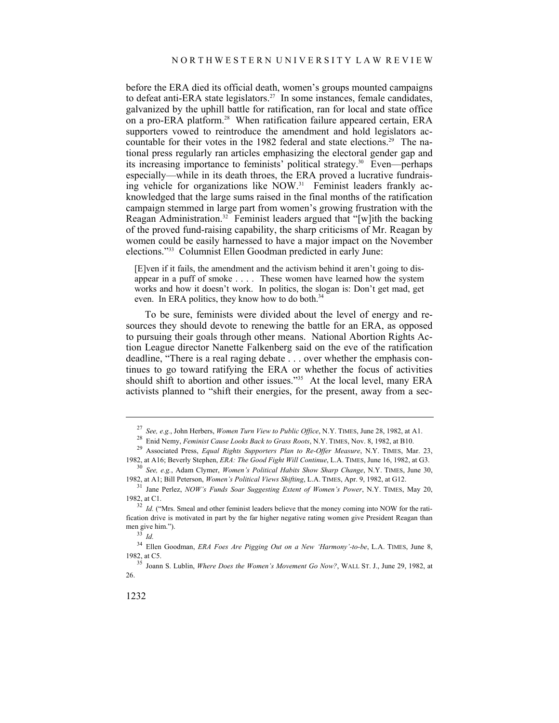before the ERA died its official death, women's groups mounted campaigns to defeat anti-ERA state legislators.<sup>27</sup> In some instances, female candidates, galvanized by the uphill battle for ratification, ran for local and state office on a pro-ERA platform.<sup>28</sup> When ratification failure appeared certain, ERA supporters vowed to reintroduce the amendment and hold legislators accountable for their votes in the 1982 federal and state elections.<sup>29</sup> The national press regularly ran articles emphasizing the electoral gender gap and its increasing importance to feminists' political strategy.30 Even—perhaps especially—while in its death throes, the ERA proved a lucrative fundraising vehicle for organizations like NOW.<sup>31</sup> Feminist leaders frankly acknowledged that the large sums raised in the final months of the ratification campaign stemmed in large part from women's growing frustration with the Reagan Administration.<sup>32</sup> Feminist leaders argued that "[w]ith the backing of the proved fund-raising capability, the sharp criticisms of Mr. Reagan by women could be easily harnessed to have a major impact on the November elections."33 Columnist Ellen Goodman predicted in early June:

[E]ven if it fails, the amendment and the activism behind it aren't going to disappear in a puff of smoke . . . . These women have learned how the system works and how it doesn't work. In politics, the slogan is: Don't get mad, get even. In ERA politics, they know how to do both.<sup>34</sup>

To be sure, feminists were divided about the level of energy and resources they should devote to renewing the battle for an ERA, as opposed to pursuing their goals through other means. National Abortion Rights Action League director Nanette Falkenberg said on the eve of the ratification deadline, "There is a real raging debate . . . over whether the emphasis continues to go toward ratifying the ERA or whether the focus of activities should shift to abortion and other issues."<sup>35</sup> At the local level, many ERA activists planned to "shift their energies, for the present, away from a sec-

<sup>&</sup>lt;sup>27</sup> See, e.g., John Herbers, *Women Turn View to Public Office*, N.Y. TIMES, June 28, 1982, at A1.<br><sup>28</sup> Enid Nemy, *Feminist Cause Looks Back to Grass Roots*, N.Y. TIMES, Nov. 8, 1982, at B10.<br><sup>29</sup> Associated Press. *Equ* 

<sup>1982,</sup> at A16; Beverly Stephen, *ERA: The Good Fight Will Continue*, L.A. TIMES, June 16, 1982, at G3. 30 *See, e.g.*, Adam Clymer, *Women's Political Habits Show Sharp Change*, N.Y. TIMES, June 30,

<sup>1982,</sup> at A1; Bill Peterson, *Women's Political Views Shifting*, L.A. TIMES, Apr. 9, 1982, at G12. 31 Jane Perlez, *NOW's Funds Soar Suggesting Extent of Women's Power*, N.Y. TIMES, May 20,

<sup>1982,</sup> at C1.<br><sup>32</sup> *Id.* ("Mrs. Smeal and other feminist leaders believe that the money coming into NOW for the rati-

fication drive is motivated in part by the far higher negative rating women give President Reagan than men give him.").<br> $\frac{33}{1}$ *Id.* 

<sup>34</sup> Ellen Goodman, *ERA Foes Are Pigging Out on a New 'Harmony'-to-be*, L.A. TIMES, June 8, 1982, at C5. 35 Joann S. Lublin, *Where Does the Women's Movement Go Now?*, WALL ST. J., June 29, 1982, at

<sup>26.</sup>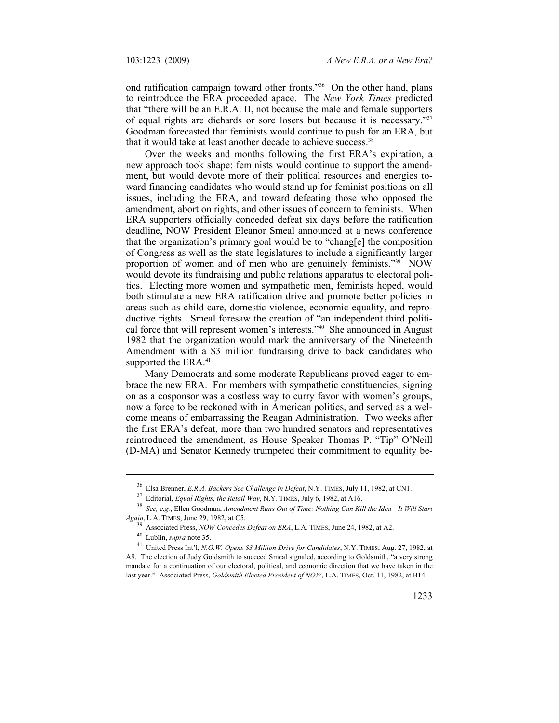ond ratification campaign toward other fronts."36 On the other hand, plans to reintroduce the ERA proceeded apace. The *New York Times* predicted that "there will be an E.R.A. II, not because the male and female supporters of equal rights are diehards or sore losers but because it is necessary."37 Goodman forecasted that feminists would continue to push for an ERA, but that it would take at least another decade to achieve success.<sup>38</sup>

Over the weeks and months following the first ERA's expiration, a new approach took shape: feminists would continue to support the amendment, but would devote more of their political resources and energies toward financing candidates who would stand up for feminist positions on all issues, including the ERA, and toward defeating those who opposed the amendment, abortion rights, and other issues of concern to feminists. When ERA supporters officially conceded defeat six days before the ratification deadline, NOW President Eleanor Smeal announced at a news conference that the organization's primary goal would be to "chang[e] the composition of Congress as well as the state legislatures to include a significantly larger proportion of women and of men who are genuinely feminists."39 NOW would devote its fundraising and public relations apparatus to electoral politics. Electing more women and sympathetic men, feminists hoped, would both stimulate a new ERA ratification drive and promote better policies in areas such as child care, domestic violence, economic equality, and reproductive rights. Smeal foresaw the creation of "an independent third political force that will represent women's interests."40 She announced in August 1982 that the organization would mark the anniversary of the Nineteenth Amendment with a \$3 million fundraising drive to back candidates who supported the ERA.<sup>41</sup>

Many Democrats and some moderate Republicans proved eager to embrace the new ERA. For members with sympathetic constituencies, signing on as a cosponsor was a costless way to curry favor with women's groups, now a force to be reckoned with in American politics, and served as a welcome means of embarrassing the Reagan Administration. Two weeks after the first ERA's defeat, more than two hundred senators and representatives reintroduced the amendment, as House Speaker Thomas P. "Tip" O'Neill (D-MA) and Senator Kennedy trumpeted their commitment to equality be-

<sup>&</sup>lt;sup>36</sup> Elsa Brenner, *E.R.A. Backers See Challenge in Defeat*, N.Y. TIMES, July 11, 1982, at CN1.<br><sup>37</sup> Editorial, *Equal Rights, the Retail Way*, N.Y. TIMES, July 6, 1982, at A16.<br><sup>38</sup> *See, e.g.*, Ellen Goodman, *Amendment Again*, L.A. TIMES, June 29, 1982, at C5.<br><sup>39</sup> Associated Press, *NOW Concedes Defeat on ERA*, L.A. TIMES, June 24, 1982, at A2.<br><sup>40</sup> Lublin, *supra* note 35.<br><sup>41</sup> United Press Int'l, *N.O.W. Opens \$3 Million Drive for C* 

A9. The election of Judy Goldsmith to succeed Smeal signaled, according to Goldsmith, "a very strong mandate for a continuation of our electoral, political, and economic direction that we have taken in the last year." Associated Press, *Goldsmith Elected President of NOW*, L.A. TIMES, Oct. 11, 1982, at B14.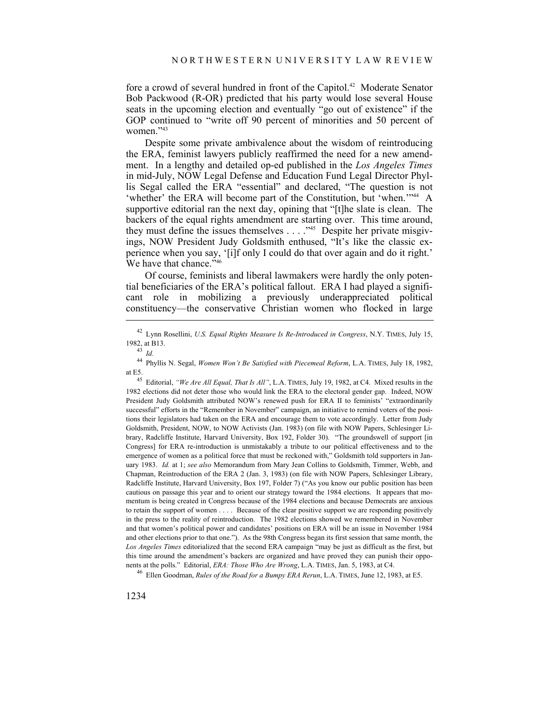fore a crowd of several hundred in front of the Capitol.<sup>42</sup> Moderate Senator Bob Packwood (R-OR) predicted that his party would lose several House seats in the upcoming election and eventually "go out of existence" if the GOP continued to "write off 90 percent of minorities and 50 percent of women."43

Despite some private ambivalence about the wisdom of reintroducing the ERA, feminist lawyers publicly reaffirmed the need for a new amendment. In a lengthy and detailed op-ed published in the *Los Angeles Times* in mid-July, NOW Legal Defense and Education Fund Legal Director Phyllis Segal called the ERA "essential" and declared, "The question is not 'whether' the ERA will become part of the Constitution, but 'when.'"<sup>44</sup> A supportive editorial ran the next day, opining that "[t]he slate is clean. The backers of the equal rights amendment are starting over. This time around, they must define the issues themselves . . . . "<sup>45</sup> Despite her private misgivings, NOW President Judy Goldsmith enthused, "It's like the classic experience when you say, '[i]f only I could do that over again and do it right.' We have that chance."<sup>46</sup>

Of course, feminists and liberal lawmakers were hardly the only potential beneficiaries of the ERA's political fallout. ERA I had played a significant role in mobilizing a previously underappreciated political constituency—the conservative Christian women who flocked in large

<sup>42</sup> Lynn Rosellini, *U.S. Equal Rights Measure Is Re-Introduced in Congress*, N.Y. TIMES, July 15, 1982, at B13. 43 *Id.*

<sup>44</sup> Phyllis N. Segal, *Women Won't Be Satisfied with Piecemeal Reform*, L.A. TIMES, July 18, 1982, at E5. 45 Editorial, *"We Are All Equal, That Is All"*, L.A. TIMES, July 19, 1982, at C4. Mixed results in the

<sup>1982</sup> elections did not deter those who would link the ERA to the electoral gender gap. Indeed, NOW President Judy Goldsmith attributed NOW's renewed push for ERA II to feminists' "extraordinarily successful" efforts in the "Remember in November" campaign, an initiative to remind voters of the positions their legislators had taken on the ERA and encourage them to vote accordingly. Letter from Judy Goldsmith, President, NOW, to NOW Activists (Jan. 1983) (on file with NOW Papers, Schlesinger Library, Radcliffe Institute, Harvard University, Box 192, Folder 30). "The groundswell of support [in Congress] for ERA re-introduction is unmistakably a tribute to our political effectiveness and to the emergence of women as a political force that must be reckoned with," Goldsmith told supporters in January 1983. *Id.* at 1; *see also* Memorandum from Mary Jean Collins to Goldsmith, Timmer, Webb, and Chapman, Reintroduction of the ERA 2 (Jan. 3, 1983) (on file with NOW Papers, Schlesinger Library, Radcliffe Institute, Harvard University, Box 197, Folder 7) ("As you know our public position has been cautious on passage this year and to orient our strategy toward the 1984 elections. It appears that momentum is being created in Congress because of the 1984 elections and because Democrats are anxious to retain the support of women . . . . Because of the clear positive support we are responding positively in the press to the reality of reintroduction. The 1982 elections showed we remembered in November and that women's political power and candidates' positions on ERA will be an issue in November 1984 and other elections prior to that one."). As the 98th Congress began its first session that same month, the *Los Angeles Times* editorialized that the second ERA campaign "may be just as difficult as the first, but this time around the amendment's backers are organized and have proved they can punish their opponents at the polls." Editorial, *ERA: Those Who Are Wrong*, L.A. TIMES, Jan. 5, 1983, at C4. 46 Ellen Goodman, *Rules of the Road for a Bumpy ERA Rerun*, L.A. TIMES, June 12, 1983, at E5.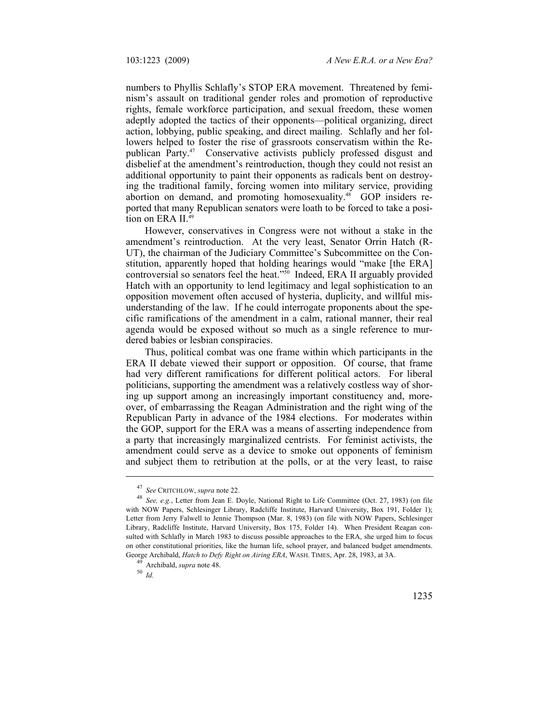numbers to Phyllis Schlafly's STOP ERA movement. Threatened by feminism's assault on traditional gender roles and promotion of reproductive rights, female workforce participation, and sexual freedom, these women adeptly adopted the tactics of their opponents—political organizing, direct action, lobbying, public speaking, and direct mailing. Schlafly and her followers helped to foster the rise of grassroots conservatism within the Republican Party.47 Conservative activists publicly professed disgust and disbelief at the amendment's reintroduction, though they could not resist an additional opportunity to paint their opponents as radicals bent on destroying the traditional family, forcing women into military service, providing abortion on demand, and promoting homosexuality.<sup>48</sup> GOP insiders reported that many Republican senators were loath to be forced to take a position on ERA II.<sup>49</sup>

However, conservatives in Congress were not without a stake in the amendment's reintroduction. At the very least, Senator Orrin Hatch (R-UT), the chairman of the Judiciary Committee's Subcommittee on the Constitution, apparently hoped that holding hearings would "make [the ERA] controversial so senators feel the heat."<sup>50</sup> Indeed, ERA II arguably provided Hatch with an opportunity to lend legitimacy and legal sophistication to an opposition movement often accused of hysteria, duplicity, and willful misunderstanding of the law. If he could interrogate proponents about the specific ramifications of the amendment in a calm, rational manner, their real agenda would be exposed without so much as a single reference to murdered babies or lesbian conspiracies.

Thus, political combat was one frame within which participants in the ERA II debate viewed their support or opposition. Of course, that frame had very different ramifications for different political actors. For liberal politicians, supporting the amendment was a relatively costless way of shoring up support among an increasingly important constituency and, moreover, of embarrassing the Reagan Administration and the right wing of the Republican Party in advance of the 1984 elections. For moderates within the GOP, support for the ERA was a means of asserting independence from a party that increasingly marginalized centrists. For feminist activists, the amendment could serve as a device to smoke out opponents of feminism and subject them to retribution at the polls, or at the very least, to raise

<sup>47</sup>*See* CRITCHLOW, *supra* note 22. 48 *See, e.g.*, Letter from Jean E. Doyle, National Right to Life Committee (Oct. 27, 1983) (on file with NOW Papers, Schlesinger Library, Radcliffe Institute, Harvard University, Box 191, Folder 1); Letter from Jerry Falwell to Jennie Thompson (Mar. 8, 1983) (on file with NOW Papers, Schlesinger Library, Radcliffe Institute, Harvard University, Box 175, Folder 14). When President Reagan consulted with Schlafly in March 1983 to discuss possible approaches to the ERA, she urged him to focus on other constitutional priorities, like the human life, school prayer, and balanced budget amendments. George Archibald, *Hatch to Defy Right on Airing ERA*, WASH. TIMES, Apr. 28, 1983, at 3A. <sup>49</sup> Archibald, *supra* note 48. <sup>50</sup> *Id*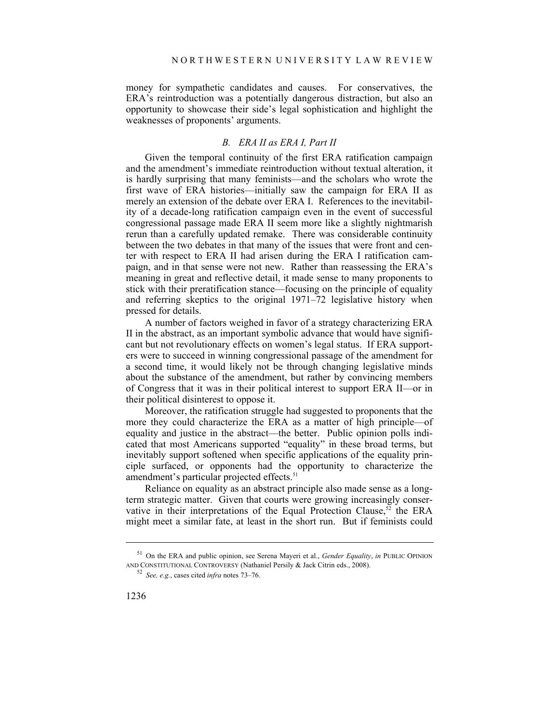money for sympathetic candidates and causes. For conservatives, the ERA's reintroduction was a potentially dangerous distraction, but also an opportunity to showcase their side's legal sophistication and highlight the weaknesses of proponents' arguments.

## *B. ERA II as ERA I, Part II*

Given the temporal continuity of the first ERA ratification campaign and the amendment's immediate reintroduction without textual alteration, it is hardly surprising that many feminists—and the scholars who wrote the first wave of ERA histories—initially saw the campaign for ERA II as merely an extension of the debate over ERA I. References to the inevitability of a decade-long ratification campaign even in the event of successful congressional passage made ERA II seem more like a slightly nightmarish rerun than a carefully updated remake. There was considerable continuity between the two debates in that many of the issues that were front and center with respect to ERA II had arisen during the ERA I ratification campaign, and in that sense were not new. Rather than reassessing the ERA's meaning in great and reflective detail, it made sense to many proponents to stick with their preratification stance—focusing on the principle of equality and referring skeptics to the original 1971–72 legislative history when pressed for details.

A number of factors weighed in favor of a strategy characterizing ERA II in the abstract, as an important symbolic advance that would have significant but not revolutionary effects on women's legal status. If ERA supporters were to succeed in winning congressional passage of the amendment for a second time, it would likely not be through changing legislative minds about the substance of the amendment, but rather by convincing members of Congress that it was in their political interest to support ERA II—or in their political disinterest to oppose it.

Moreover, the ratification struggle had suggested to proponents that the more they could characterize the ERA as a matter of high principle—of equality and justice in the abstract—the better. Public opinion polls indicated that most Americans supported "equality" in these broad terms, but inevitably support softened when specific applications of the equality principle surfaced, or opponents had the opportunity to characterize the amendment's particular projected effects.<sup>51</sup>

Reliance on equality as an abstract principle also made sense as a longterm strategic matter. Given that courts were growing increasingly conservative in their interpretations of the Equal Protection Clause,<sup>52</sup> the ERA might meet a similar fate, at least in the short run. But if feminists could

<sup>51</sup> On the ERA and public opinion, see Serena Mayeri et al., *Gender Equality*, *in* PUBLIC OPINION AND CONSTITUTIONAL CONTROVERSY (Nathaniel Persily & Jack Citrin eds., 2008). 52 *See, e.g.*, cases cited *infra* notes 73–76.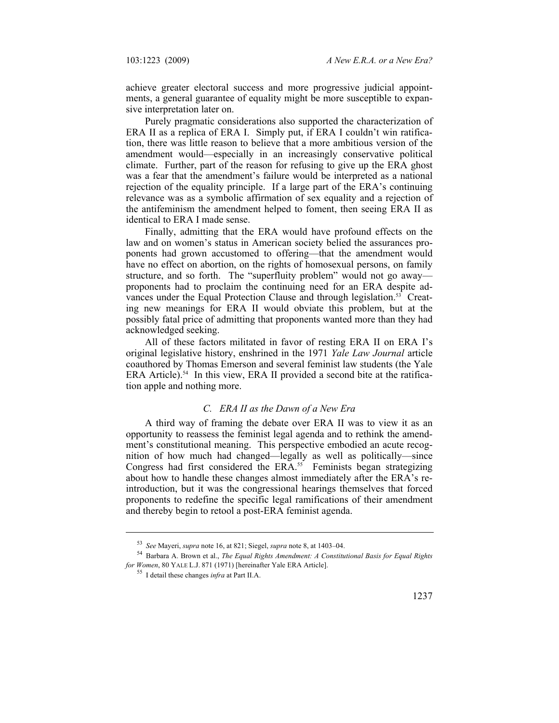achieve greater electoral success and more progressive judicial appointments, a general guarantee of equality might be more susceptible to expansive interpretation later on.

Purely pragmatic considerations also supported the characterization of ERA II as a replica of ERA I. Simply put, if ERA I couldn't win ratification, there was little reason to believe that a more ambitious version of the amendment would—especially in an increasingly conservative political climate. Further, part of the reason for refusing to give up the ERA ghost was a fear that the amendment's failure would be interpreted as a national rejection of the equality principle. If a large part of the ERA's continuing relevance was as a symbolic affirmation of sex equality and a rejection of the antifeminism the amendment helped to foment, then seeing ERA II as identical to ERA I made sense.

Finally, admitting that the ERA would have profound effects on the law and on women's status in American society belied the assurances proponents had grown accustomed to offering—that the amendment would have no effect on abortion, on the rights of homosexual persons, on family structure, and so forth. The "superfluity problem" would not go away proponents had to proclaim the continuing need for an ERA despite advances under the Equal Protection Clause and through legislation.<sup>53</sup> Creating new meanings for ERA II would obviate this problem, but at the possibly fatal price of admitting that proponents wanted more than they had acknowledged seeking.

All of these factors militated in favor of resting ERA II on ERA I's original legislative history, enshrined in the 1971 *Yale Law Journal* article coauthored by Thomas Emerson and several feminist law students (the Yale ERA Article).<sup>54</sup> In this view, ERA II provided a second bite at the ratification apple and nothing more.

#### *C. ERA II as the Dawn of a New Era*

A third way of framing the debate over ERA II was to view it as an opportunity to reassess the feminist legal agenda and to rethink the amendment's constitutional meaning. This perspective embodied an acute recognition of how much had changed—legally as well as politically—since Congress had first considered the ERA.<sup>55</sup> Feminists began strategizing about how to handle these changes almost immediately after the ERA's reintroduction, but it was the congressional hearings themselves that forced proponents to redefine the specific legal ramifications of their amendment and thereby begin to retool a post-ERA feminist agenda.

<sup>53</sup>*See* Mayeri, *supra* note 16, at 821; Siegel, *supra* note 8, at 1403–04. 54 Barbara A. Brown et al., *The Equal Rights Amendment: A Constitutional Basis for Equal Rights for Women*, 80 YALE L.J. 871 (1971) [hereinafter Yale ERA Article]. 55 I detail these changes *infra* at Part II.A.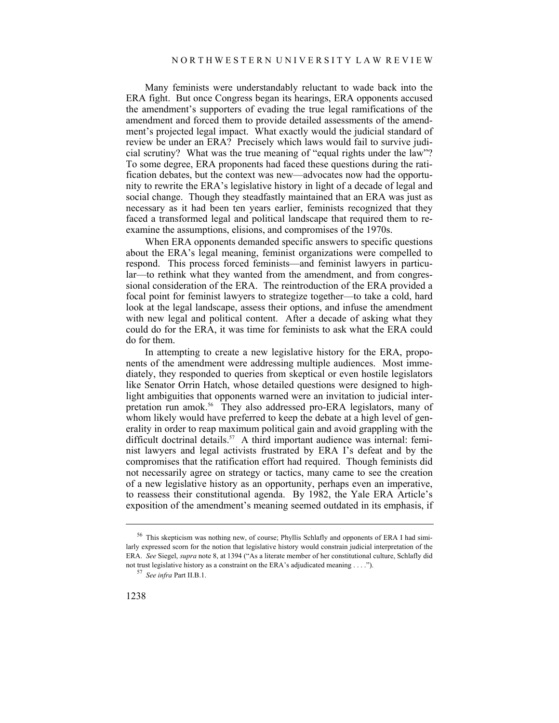Many feminists were understandably reluctant to wade back into the ERA fight. But once Congress began its hearings, ERA opponents accused the amendment's supporters of evading the true legal ramifications of the amendment and forced them to provide detailed assessments of the amendment's projected legal impact. What exactly would the judicial standard of review be under an ERA? Precisely which laws would fail to survive judicial scrutiny? What was the true meaning of "equal rights under the law"? To some degree, ERA proponents had faced these questions during the ratification debates, but the context was new—advocates now had the opportunity to rewrite the ERA's legislative history in light of a decade of legal and social change. Though they steadfastly maintained that an ERA was just as necessary as it had been ten years earlier, feminists recognized that they faced a transformed legal and political landscape that required them to reexamine the assumptions, elisions, and compromises of the 1970s.

When ERA opponents demanded specific answers to specific questions about the ERA's legal meaning, feminist organizations were compelled to respond. This process forced feminists—and feminist lawyers in particular—to rethink what they wanted from the amendment, and from congressional consideration of the ERA. The reintroduction of the ERA provided a focal point for feminist lawyers to strategize together—to take a cold, hard look at the legal landscape, assess their options, and infuse the amendment with new legal and political content. After a decade of asking what they could do for the ERA, it was time for feminists to ask what the ERA could do for them.

In attempting to create a new legislative history for the ERA, proponents of the amendment were addressing multiple audiences. Most immediately, they responded to queries from skeptical or even hostile legislators like Senator Orrin Hatch, whose detailed questions were designed to highlight ambiguities that opponents warned were an invitation to judicial interpretation run amok.<sup>56</sup> They also addressed pro-ERA legislators, many of whom likely would have preferred to keep the debate at a high level of generality in order to reap maximum political gain and avoid grappling with the difficult doctrinal details.<sup>57</sup> A third important audience was internal: feminist lawyers and legal activists frustrated by ERA I's defeat and by the compromises that the ratification effort had required. Though feminists did not necessarily agree on strategy or tactics, many came to see the creation of a new legislative history as an opportunity, perhaps even an imperative, to reassess their constitutional agenda. By 1982, the Yale ERA Article's exposition of the amendment's meaning seemed outdated in its emphasis, if

<sup>56</sup> This skepticism was nothing new, of course; Phyllis Schlafly and opponents of ERA I had similarly expressed scorn for the notion that legislative history would constrain judicial interpretation of the ERA. *See* Siegel, *supra* note 8, at 1394 ("As a literate member of her constitutional culture, Schlafly did not trust legislative history as a constraint on the ERA's adjudicated meaning . . . ."). 57 *See infra* Part II.B.1.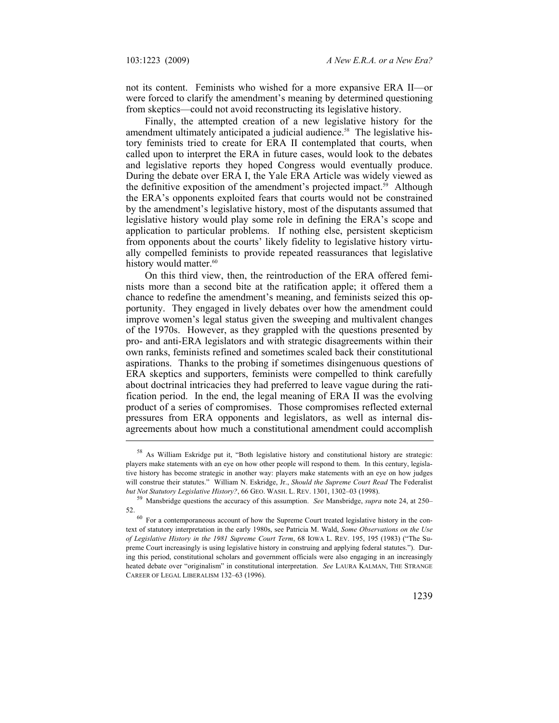not its content. Feminists who wished for a more expansive ERA II—or were forced to clarify the amendment's meaning by determined questioning from skeptics—could not avoid reconstructing its legislative history.

Finally, the attempted creation of a new legislative history for the amendment ultimately anticipated a judicial audience.<sup>58</sup> The legislative history feminists tried to create for ERA II contemplated that courts, when called upon to interpret the ERA in future cases, would look to the debates and legislative reports they hoped Congress would eventually produce. During the debate over ERA I, the Yale ERA Article was widely viewed as the definitive exposition of the amendment's projected impact.<sup>59</sup> Although the ERA's opponents exploited fears that courts would not be constrained by the amendment's legislative history, most of the disputants assumed that legislative history would play some role in defining the ERA's scope and application to particular problems. If nothing else, persistent skepticism from opponents about the courts' likely fidelity to legislative history virtually compelled feminists to provide repeated reassurances that legislative history would matter.<sup>60</sup>

On this third view, then, the reintroduction of the ERA offered feminists more than a second bite at the ratification apple; it offered them a chance to redefine the amendment's meaning, and feminists seized this opportunity. They engaged in lively debates over how the amendment could improve women's legal status given the sweeping and multivalent changes of the 1970s. However, as they grappled with the questions presented by pro- and anti-ERA legislators and with strategic disagreements within their own ranks, feminists refined and sometimes scaled back their constitutional aspirations. Thanks to the probing if sometimes disingenuous questions of ERA skeptics and supporters, feminists were compelled to think carefully about doctrinal intricacies they had preferred to leave vague during the ratification period. In the end, the legal meaning of ERA II was the evolving product of a series of compromises. Those compromises reflected external pressures from ERA opponents and legislators, as well as internal disagreements about how much a constitutional amendment could accomplish

<sup>58</sup> As William Eskridge put it, "Both legislative history and constitutional history are strategic: players make statements with an eye on how other people will respond to them. In this century, legislative history has become strategic in another way: players make statements with an eye on how judges will construe their statutes." William N. Eskridge, Jr., *Should the Supreme Court Read* The Federalist *but Not Statutory Legislative History?*, 66 GEO. WASH. L. REV. 1301, 1302–03 (1998). 59 Mansbridge questions the accuracy of this assumption. *See* Mansbridge, *supra* note 24, at 250–

<sup>52. 60</sup> For a contemporaneous account of how the Supreme Court treated legislative history in the con-

text of statutory interpretation in the early 1980s, see Patricia M. Wald, *Some Observations on the Use of Legislative History in the 1981 Supreme Court Term*, 68 IOWA L. REV. 195, 195 (1983) ("The Supreme Court increasingly is using legislative history in construing and applying federal statutes."). During this period, constitutional scholars and government officials were also engaging in an increasingly heated debate over "originalism" in constitutional interpretation. *See* LAURA KALMAN, THE STRANGE CAREER OF LEGAL LIBERALISM 132–63 (1996).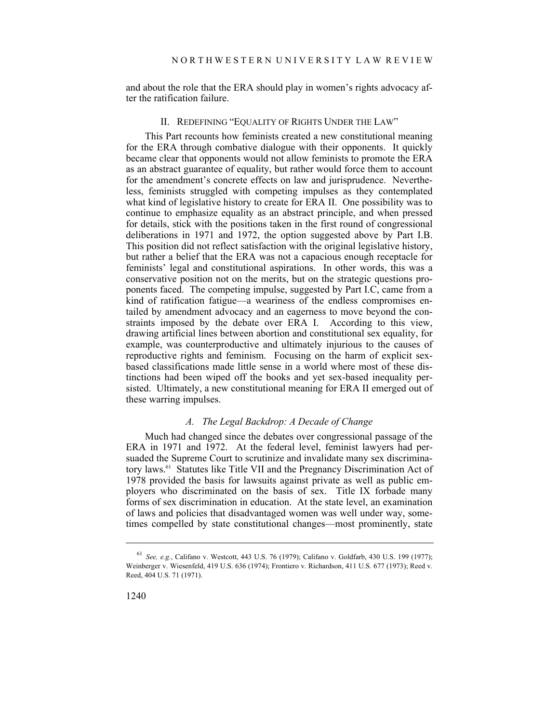and about the role that the ERA should play in women's rights advocacy after the ratification failure.

# II. REDEFINING "EQUALITY OF RIGHTS UNDER THE LAW"

This Part recounts how feminists created a new constitutional meaning for the ERA through combative dialogue with their opponents. It quickly became clear that opponents would not allow feminists to promote the ERA as an abstract guarantee of equality, but rather would force them to account for the amendment's concrete effects on law and jurisprudence. Nevertheless, feminists struggled with competing impulses as they contemplated what kind of legislative history to create for ERA II. One possibility was to continue to emphasize equality as an abstract principle, and when pressed for details, stick with the positions taken in the first round of congressional deliberations in 1971 and 1972, the option suggested above by Part I.B. This position did not reflect satisfaction with the original legislative history, but rather a belief that the ERA was not a capacious enough receptacle for feminists' legal and constitutional aspirations. In other words, this was a conservative position not on the merits, but on the strategic questions proponents faced. The competing impulse, suggested by Part I.C, came from a kind of ratification fatigue—a weariness of the endless compromises entailed by amendment advocacy and an eagerness to move beyond the constraints imposed by the debate over ERA I. According to this view, drawing artificial lines between abortion and constitutional sex equality, for example, was counterproductive and ultimately injurious to the causes of reproductive rights and feminism. Focusing on the harm of explicit sexbased classifications made little sense in a world where most of these distinctions had been wiped off the books and yet sex-based inequality persisted. Ultimately, a new constitutional meaning for ERA II emerged out of these warring impulses.

#### *A. The Legal Backdrop: A Decade of Change*

Much had changed since the debates over congressional passage of the ERA in 1971 and 1972. At the federal level, feminist lawyers had persuaded the Supreme Court to scrutinize and invalidate many sex discriminatory laws.61 Statutes like Title VII and the Pregnancy Discrimination Act of 1978 provided the basis for lawsuits against private as well as public employers who discriminated on the basis of sex. Title IX forbade many forms of sex discrimination in education. At the state level, an examination of laws and policies that disadvantaged women was well under way, sometimes compelled by state constitutional changes—most prominently, state

<sup>61</sup> *See, e.g.*, Califano v. Westcott, 443 U.S. 76 (1979); Califano v. Goldfarb, 430 U.S. 199 (1977); Weinberger v. Wiesenfeld, 419 U.S. 636 (1974); Frontiero v. Richardson, 411 U.S. 677 (1973); Reed v. Reed, 404 U.S. 71 (1971).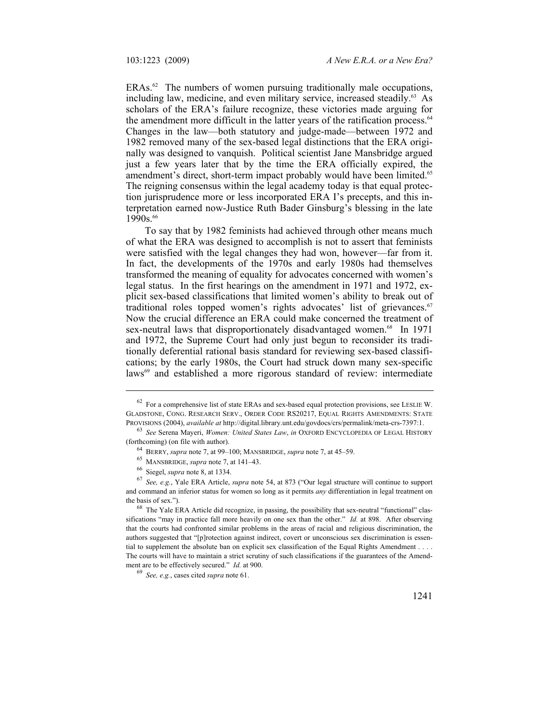$ERAs.<sup>62</sup>$  The numbers of women pursuing traditionally male occupations, including law, medicine, and even military service, increased steadily.<sup>63</sup> As scholars of the ERA's failure recognize, these victories made arguing for the amendment more difficult in the latter years of the ratification process.<sup>64</sup> Changes in the law—both statutory and judge-made—between 1972 and 1982 removed many of the sex-based legal distinctions that the ERA originally was designed to vanquish. Political scientist Jane Mansbridge argued just a few years later that by the time the ERA officially expired, the amendment's direct, short-term impact probably would have been limited.<sup>65</sup> The reigning consensus within the legal academy today is that equal protection jurisprudence more or less incorporated ERA I's precepts, and this interpretation earned now-Justice Ruth Bader Ginsburg's blessing in the late  $1990s$ .<sup>66</sup>

To say that by 1982 feminists had achieved through other means much of what the ERA was designed to accomplish is not to assert that feminists were satisfied with the legal changes they had won, however—far from it. In fact, the developments of the 1970s and early 1980s had themselves transformed the meaning of equality for advocates concerned with women's legal status. In the first hearings on the amendment in 1971 and 1972, explicit sex-based classifications that limited women's ability to break out of traditional roles topped women's rights advocates' list of grievances.<sup>67</sup> Now the crucial difference an ERA could make concerned the treatment of sex-neutral laws that disproportionately disadvantaged women.<sup>68</sup> In 1971 and 1972, the Supreme Court had only just begun to reconsider its traditionally deferential rational basis standard for reviewing sex-based classifications; by the early 1980s, the Court had struck down many sex-specific laws<sup>69</sup> and established a more rigorous standard of review: intermediate

 $62$  For a comprehensive list of state ERAs and sex-based equal protection provisions, see LESLIE W. GLADSTONE, CONG. RESEARCH SERV., ORDER CODE RS20217, EQUAL RIGHTS AMENDMENTS: STATE PROVISIONS (2004), *available at http://digital.library.unt.edu/govdocs/crs/permalink/meta-crs-7397:1.* 

<sup>&</sup>lt;sup>63</sup> See Serena Mayeri, *Women: United States Law, in* OXFORD ENCYCLOPEDIA OF LEGAL HISTORY (forthcoming) (on file with author).

<sup>&</sup>lt;sup>64</sup> BERRY, *supra* note 7, at 99–100; MANSBRIDGE, *supra* note 7, at 45–59.<br><sup>65</sup> MANSBRIDGE, *supra* note 7, at 141–43.<br><sup>66</sup> Siegel, *supra* note 8, at 1334.<br><sup>67</sup> See, e.g., Yale ERA Article, *supra* note 54, at 873 ("Ou and command an inferior status for women so long as it permits *any* differentiation in legal treatment on the basis of sex.").<br><sup>68</sup> The Yale ERA Article did recognize, in passing, the possibility that sex-neutral "functional" clas-

sifications "may in practice fall more heavily on one sex than the other." *Id.* at 898. After observing that the courts had confronted similar problems in the areas of racial and religious discrimination, the authors suggested that "[p]rotection against indirect, covert or unconscious sex discrimination is essential to supplement the absolute ban on explicit sex classification of the Equal Rights Amendment . . . . The courts will have to maintain a strict scrutiny of such classifications if the guarantees of the Amendment are to be effectively secured." *Id.* at 900.<br><sup>69</sup> *See, e.g.*, cases cited *supra* note 61.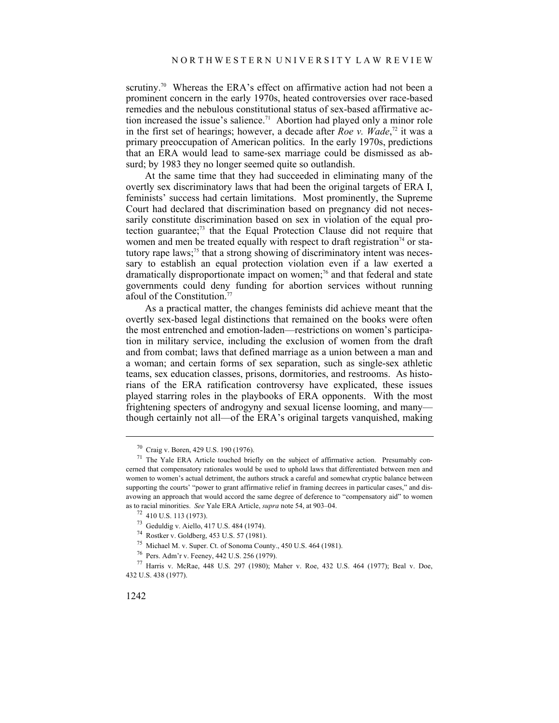scrutiny.<sup>70</sup> Whereas the ERA's effect on affirmative action had not been a prominent concern in the early 1970s, heated controversies over race-based remedies and the nebulous constitutional status of sex-based affirmative action increased the issue's salience.<sup>71</sup> Abortion had played only a minor role in the first set of hearings; however, a decade after *Roe v. Wade*, 72 it was a primary preoccupation of American politics. In the early 1970s, predictions that an ERA would lead to same-sex marriage could be dismissed as absurd; by 1983 they no longer seemed quite so outlandish.

At the same time that they had succeeded in eliminating many of the overtly sex discriminatory laws that had been the original targets of ERA I, feminists' success had certain limitations. Most prominently, the Supreme Court had declared that discrimination based on pregnancy did not necessarily constitute discrimination based on sex in violation of the equal protection guarantee;73 that the Equal Protection Clause did not require that women and men be treated equally with respect to draft registration<sup>74</sup> or statutory rape laws;<sup>75</sup> that a strong showing of discriminatory intent was necessary to establish an equal protection violation even if a law exerted a dramatically disproportionate impact on women;<sup>76</sup> and that federal and state governments could deny funding for abortion services without running afoul of the Constitution.77

As a practical matter, the changes feminists did achieve meant that the overtly sex-based legal distinctions that remained on the books were often the most entrenched and emotion-laden—restrictions on women's participation in military service, including the exclusion of women from the draft and from combat; laws that defined marriage as a union between a man and a woman; and certain forms of sex separation, such as single-sex athletic teams, sex education classes, prisons, dormitories, and restrooms. As historians of the ERA ratification controversy have explicated, these issues played starring roles in the playbooks of ERA opponents. With the most frightening specters of androgyny and sexual license looming, and many though certainly not all—of the ERA's original targets vanquished, making

<sup>70</sup> Craig v. Boren, 429 U.S. 190 (1976).

<sup>&</sup>lt;sup>71</sup> The Yale ERA Article touched briefly on the subject of affirmative action. Presumably concerned that compensatory rationales would be used to uphold laws that differentiated between men and women to women's actual detriment, the authors struck a careful and somewhat cryptic balance between supporting the courts' "power to grant affirmative relief in framing decrees in particular cases," and disavowing an approach that would accord the same degree of deference to "compensatory aid" to women as to racial minorities. *See* Yale ERA Article, *supra* note 54, at 903–04. 72 410 U.S. 113 (1973).

<sup>73</sup> Geduldig v. Aiello, 417 U.S. 484 (1974).

<sup>74</sup> Rostker v. Goldberg, 453 U.S. 57 (1981).

<sup>75</sup> Michael M. v. Super. Ct. of Sonoma County., 450 U.S. 464 (1981).

<sup>76</sup> Pers. Adm'r v. Feeney, 442 U.S. 256 (1979).

<sup>77</sup> Harris v. McRae, 448 U.S. 297 (1980); Maher v. Roe, 432 U.S. 464 (1977); Beal v. Doe, 432 U.S. 438 (1977).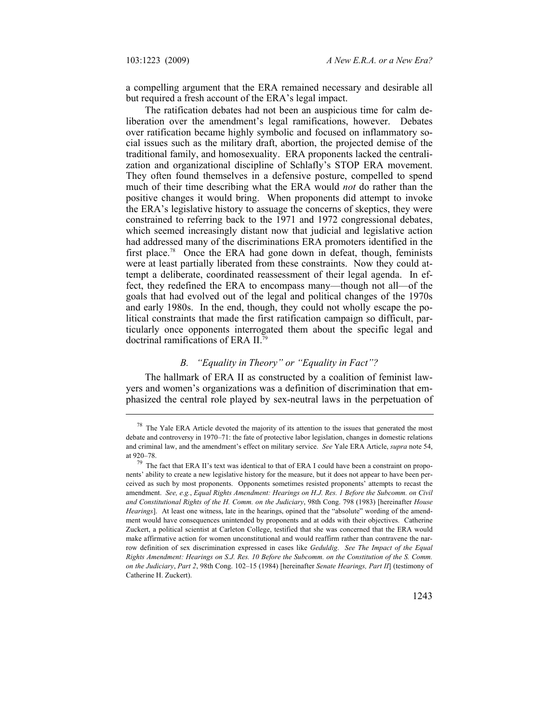a compelling argument that the ERA remained necessary and desirable all but required a fresh account of the ERA's legal impact.

The ratification debates had not been an auspicious time for calm deliberation over the amendment's legal ramifications, however. Debates over ratification became highly symbolic and focused on inflammatory social issues such as the military draft, abortion, the projected demise of the traditional family, and homosexuality. ERA proponents lacked the centralization and organizational discipline of Schlafly's STOP ERA movement. They often found themselves in a defensive posture, compelled to spend much of their time describing what the ERA would *not* do rather than the positive changes it would bring. When proponents did attempt to invoke the ERA's legislative history to assuage the concerns of skeptics, they were constrained to referring back to the 1971 and 1972 congressional debates, which seemed increasingly distant now that judicial and legislative action had addressed many of the discriminations ERA promoters identified in the first place.<sup>78</sup> Once the ERA had gone down in defeat, though, feminists were at least partially liberated from these constraints. Now they could attempt a deliberate, coordinated reassessment of their legal agenda. In effect, they redefined the ERA to encompass many—though not all—of the goals that had evolved out of the legal and political changes of the 1970s and early 1980s. In the end, though, they could not wholly escape the political constraints that made the first ratification campaign so difficult, particularly once opponents interrogated them about the specific legal and doctrinal ramifications of ERA II.79

## *B. "Equality in Theory" or "Equality in Fact"?*

The hallmark of ERA II as constructed by a coalition of feminist lawyers and women's organizations was a definition of discrimination that emphasized the central role played by sex-neutral laws in the perpetuation of

 $78$  The Yale ERA Article devoted the majority of its attention to the issues that generated the most debate and controversy in 1970–71: the fate of protective labor legislation, changes in domestic relations and criminal law, and the amendment's effect on military service. *See* Yale ERA Article, *supra* note 54, at 920–78. 79 The fact that ERA II's text was identical to that of ERA I could have been a constraint on propo-

nents' ability to create a new legislative history for the measure, but it does not appear to have been perceived as such by most proponents. Opponents sometimes resisted proponents' attempts to recast the amendment. *See, e.g.*, *Equal Rights Amendment: Hearings on H.J. Res. 1 Before the Subcomm. on Civil and Constitutional Rights of the H. Comm. on the Judiciary*, 98th Cong. 798 (1983) [hereinafter *House Hearings*]. At least one witness, late in the hearings, opined that the "absolute" wording of the amendment would have consequences unintended by proponents and at odds with their objectives. Catherine Zuckert, a political scientist at Carleton College, testified that she was concerned that the ERA would make affirmative action for women unconstitutional and would reaffirm rather than contravene the narrow definition of sex discrimination expressed in cases like *Geduldig*. *See The Impact of the Equal Rights Amendment: Hearings on S.J. Res. 10 Before the Subcomm. on the Constitution of the S. Comm. on the Judiciary*, *Part 2*, 98th Cong. 102–15 (1984) [hereinafter *Senate Hearings, Part II*] (testimony of Catherine H. Zuckert).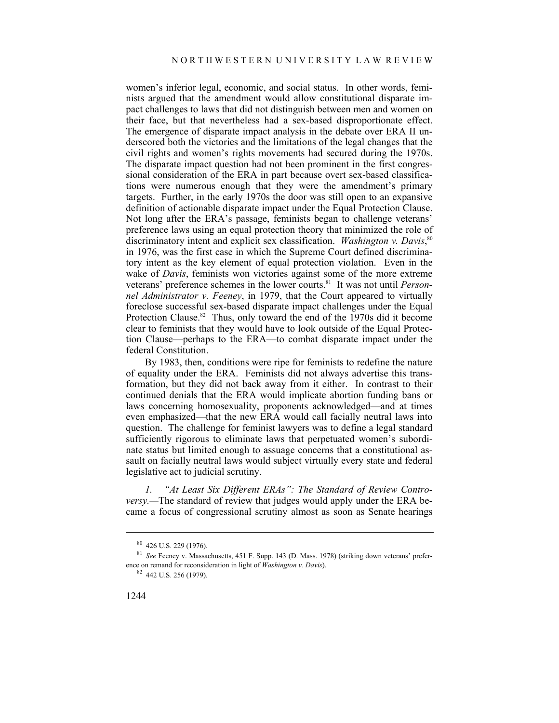women's inferior legal, economic, and social status. In other words, feminists argued that the amendment would allow constitutional disparate impact challenges to laws that did not distinguish between men and women on their face, but that nevertheless had a sex-based disproportionate effect. The emergence of disparate impact analysis in the debate over ERA II underscored both the victories and the limitations of the legal changes that the civil rights and women's rights movements had secured during the 1970s. The disparate impact question had not been prominent in the first congressional consideration of the ERA in part because overt sex-based classifications were numerous enough that they were the amendment's primary targets. Further, in the early 1970s the door was still open to an expansive definition of actionable disparate impact under the Equal Protection Clause. Not long after the ERA's passage, feminists began to challenge veterans' preference laws using an equal protection theory that minimized the role of discriminatory intent and explicit sex classification. *Washington v. Davis*, 80 in 1976, was the first case in which the Supreme Court defined discriminatory intent as the key element of equal protection violation. Even in the wake of *Davis*, feminists won victories against some of the more extreme veterans' preference schemes in the lower courts.81 It was not until *Personnel Administrator v. Feeney*, in 1979, that the Court appeared to virtually foreclose successful sex-based disparate impact challenges under the Equal Protection Clause.<sup>82</sup> Thus, only toward the end of the 1970s did it become clear to feminists that they would have to look outside of the Equal Protection Clause—perhaps to the ERA—to combat disparate impact under the federal Constitution.

By 1983, then, conditions were ripe for feminists to redefine the nature of equality under the ERA. Feminists did not always advertise this transformation, but they did not back away from it either. In contrast to their continued denials that the ERA would implicate abortion funding bans or laws concerning homosexuality, proponents acknowledged—and at times even emphasized—that the new ERA would call facially neutral laws into question. The challenge for feminist lawyers was to define a legal standard sufficiently rigorous to eliminate laws that perpetuated women's subordinate status but limited enough to assuage concerns that a constitutional assault on facially neutral laws would subject virtually every state and federal legislative act to judicial scrutiny.

*1. "At Least Six Different ERAs": The Standard of Review Controversy.*—The standard of review that judges would apply under the ERA became a focus of congressional scrutiny almost as soon as Senate hearings

 $80$  426 U.S. 229 (1976).

<sup>81</sup> *See* Feeney v. Massachusetts, 451 F. Supp. 143 (D. Mass. 1978) (striking down veterans' preference on remand for reconsideration in light of *Washington v. Davis*). 82 442 U.S. 256 (1979).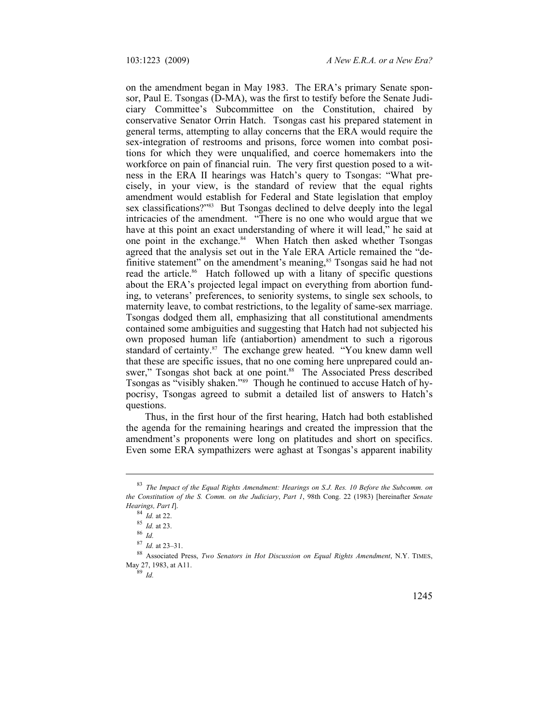on the amendment began in May 1983. The ERA's primary Senate sponsor, Paul E. Tsongas (D-MA), was the first to testify before the Senate Judiciary Committee's Subcommittee on the Constitution, chaired by conservative Senator Orrin Hatch. Tsongas cast his prepared statement in general terms, attempting to allay concerns that the ERA would require the sex-integration of restrooms and prisons, force women into combat positions for which they were unqualified, and coerce homemakers into the workforce on pain of financial ruin. The very first question posed to a witness in the ERA II hearings was Hatch's query to Tsongas: "What precisely, in your view, is the standard of review that the equal rights amendment would establish for Federal and State legislation that employ sex classifications?"<sup>83</sup> But Tsongas declined to delve deeply into the legal intricacies of the amendment. "There is no one who would argue that we have at this point an exact understanding of where it will lead," he said at one point in the exchange. $84$  When Hatch then asked whether Tsongas agreed that the analysis set out in the Yale ERA Article remained the "definitive statement" on the amendment's meaning,<sup>85</sup> Tsongas said he had not read the article.<sup>86</sup> Hatch followed up with a litany of specific questions about the ERA's projected legal impact on everything from abortion funding, to veterans' preferences, to seniority systems, to single sex schools, to maternity leave, to combat restrictions, to the legality of same-sex marriage. Tsongas dodged them all, emphasizing that all constitutional amendments contained some ambiguities and suggesting that Hatch had not subjected his own proposed human life (antiabortion) amendment to such a rigorous standard of certainty.<sup>87</sup> The exchange grew heated. "You knew damn well that these are specific issues, that no one coming here unprepared could answer," Tsongas shot back at one point.<sup>88</sup> The Associated Press described Tsongas as "visibly shaken."89 Though he continued to accuse Hatch of hypocrisy, Tsongas agreed to submit a detailed list of answers to Hatch's questions.

Thus, in the first hour of the first hearing, Hatch had both established the agenda for the remaining hearings and created the impression that the amendment's proponents were long on platitudes and short on specifics. Even some ERA sympathizers were aghast at Tsongas's apparent inability

<sup>83</sup> *The Impact of the Equal Rights Amendment: Hearings on S.J. Res. 10 Before the Subcomm. on the Constitution of the S. Comm. on the Judiciary*, *Part 1*, 98th Cong. 22 (1983) [hereinafter *Senate Hearings, Part I*]. 84 *Id.* at 22. 85 *Id.* at 23. 86 *Id.*

<sup>88</sup> Associated Press, *Two Senators in Hot Discussion on Equal Rights Amendment*, N.Y. TIMES, May 27, 1983, at A11. 89 *Id.*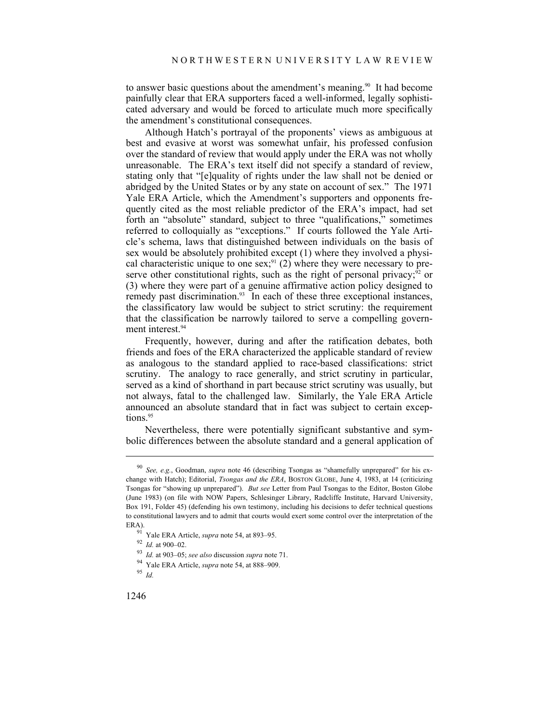to answer basic questions about the amendment's meaning.<sup>90</sup> It had become painfully clear that ERA supporters faced a well-informed, legally sophisticated adversary and would be forced to articulate much more specifically the amendment's constitutional consequences.

Although Hatch's portrayal of the proponents' views as ambiguous at best and evasive at worst was somewhat unfair, his professed confusion over the standard of review that would apply under the ERA was not wholly unreasonable. The ERA's text itself did not specify a standard of review, stating only that "[e]quality of rights under the law shall not be denied or abridged by the United States or by any state on account of sex." The 1971 Yale ERA Article, which the Amendment's supporters and opponents frequently cited as the most reliable predictor of the ERA's impact, had set forth an "absolute" standard, subject to three "qualifications," sometimes referred to colloquially as "exceptions." If courts followed the Yale Article's schema, laws that distinguished between individuals on the basis of sex would be absolutely prohibited except (1) where they involved a physical characteristic unique to one  $sex$ <sup>91</sup> (2) where they were necessary to preserve other constitutional rights, such as the right of personal privacy;  $\frac{92}{2}$  or (3) where they were part of a genuine affirmative action policy designed to remedy past discrimination.<sup>93</sup> In each of these three exceptional instances, the classificatory law would be subject to strict scrutiny: the requirement that the classification be narrowly tailored to serve a compelling government interest.<sup>94</sup>

Frequently, however, during and after the ratification debates, both friends and foes of the ERA characterized the applicable standard of review as analogous to the standard applied to race-based classifications: strict scrutiny. The analogy to race generally, and strict scrutiny in particular, served as a kind of shorthand in part because strict scrutiny was usually, but not always, fatal to the challenged law. Similarly, the Yale ERA Article announced an absolute standard that in fact was subject to certain exceptions.<sup>95</sup>

Nevertheless, there were potentially significant substantive and symbolic differences between the absolute standard and a general application of

<sup>90</sup> *See, e.g.*, Goodman, *supra* note 46 (describing Tsongas as "shamefully unprepared" for his exchange with Hatch); Editorial, *Tsongas and the ERA*, BOSTON GLOBE, June 4, 1983, at 14 (criticizing Tsongas for "showing up unprepared"). *But see* Letter from Paul Tsongas to the Editor, Boston Globe (June 1983) (on file with NOW Papers, Schlesinger Library, Radcliffe Institute, Harvard University, Box 191, Folder 45) (defending his own testimony, including his decisions to defer technical questions to constitutional lawyers and to admit that courts would exert some control over the interpretation of the ERA).<br><sup>91</sup> Yale ERA Article, *supra* note 54, at 893–95.<br><sup>92</sup> Id. at 900–02.<br><sup>93</sup> Id. at 903–05; *see also* discussion *supra* note 71.<br><sup>94</sup> Yale ERA Article, *supra* note 54, at 888–909.<br><sup>95</sup> Id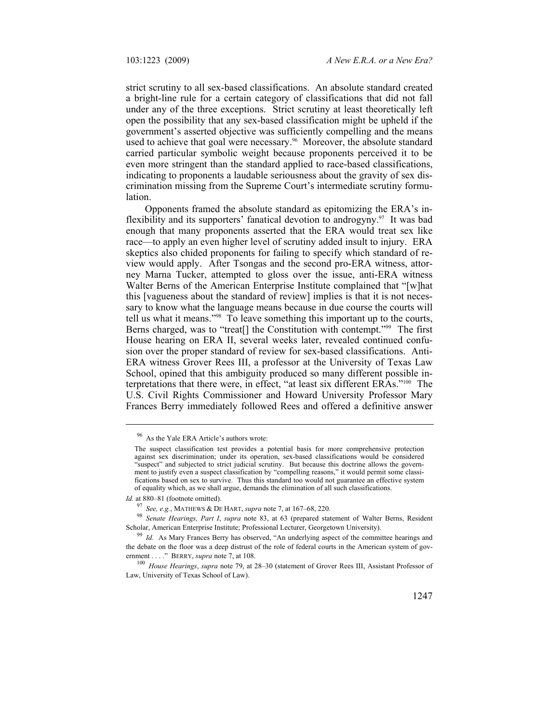strict scrutiny to all sex-based classifications. An absolute standard created a bright-line rule for a certain category of classifications that did not fall under any of the three exceptions. Strict scrutiny at least theoretically left open the possibility that any sex-based classification might be upheld if the government's asserted objective was sufficiently compelling and the means used to achieve that goal were necessary.<sup>96</sup> Moreover, the absolute standard carried particular symbolic weight because proponents perceived it to be even more stringent than the standard applied to race-based classifications, indicating to proponents a laudable seriousness about the gravity of sex discrimination missing from the Supreme Court's intermediate scrutiny formulation.

Opponents framed the absolute standard as epitomizing the ERA's inflexibility and its supporters' fanatical devotion to androgyny.97 It was bad enough that many proponents asserted that the ERA would treat sex like race—to apply an even higher level of scrutiny added insult to injury. ERA skeptics also chided proponents for failing to specify which standard of review would apply. After Tsongas and the second pro-ERA witness, attorney Marna Tucker, attempted to gloss over the issue, anti-ERA witness Walter Berns of the American Enterprise Institute complained that "[w]hat this [vagueness about the standard of review] implies is that it is not necessary to know what the language means because in due course the courts will tell us what it means."98 To leave something this important up to the courts, Berns charged, was to "treat[] the Constitution with contempt."99 The first House hearing on ERA II, several weeks later, revealed continued confusion over the proper standard of review for sex-based classifications. Anti-ERA witness Grover Rees III, a professor at the University of Texas Law School, opined that this ambiguity produced so many different possible interpretations that there were, in effect, "at least six different ERAs."100 The U.S. Civil Rights Commissioner and Howard University Professor Mary Frances Berry immediately followed Rees and offered a definitive answer

<sup>96</sup> As the Yale ERA Article's authors wrote:

The suspect classification test provides a potential basis for more comprehensive protection against sex discrimination; under its operation, sex-based classifications would be considered "suspect" and subjected to strict judicial scrutiny. But because this doctrine allows the government to justify even a suspect classification by "compelling reasons," it would permit some classifications based on sex to survive. Thus this standard too would not guarantee an effective system of equality which, as we shall argue, demands the elimination of all such classifications.

Id. at 880-81 (footnote omitted).

<sup>&</sup>lt;sup>97</sup> See, e.g., MATHEWS & DE HART, *supra* note 7, at 167–68, 220.<br><sup>98</sup> *Senate Hearings, Part I, supra* note 83, at 63 (prepared statement of Walter Berns, Resident Scholar, American Enterprise Institute; Professional Lec

<sup>&</sup>lt;sup>99</sup> Id. As Mary Frances Berry has observed, "An underlying aspect of the committee hearings and the debate on the floor was a deep distrust of the role of federal courts in the American system of government . . . ." BERRY, *supra* note 7, at 108.<br><sup>100</sup> *House Hearings, supra* note 79, at 28–30 (statement of Grover Rees III, Assistant Professor of

Law, University of Texas School of Law).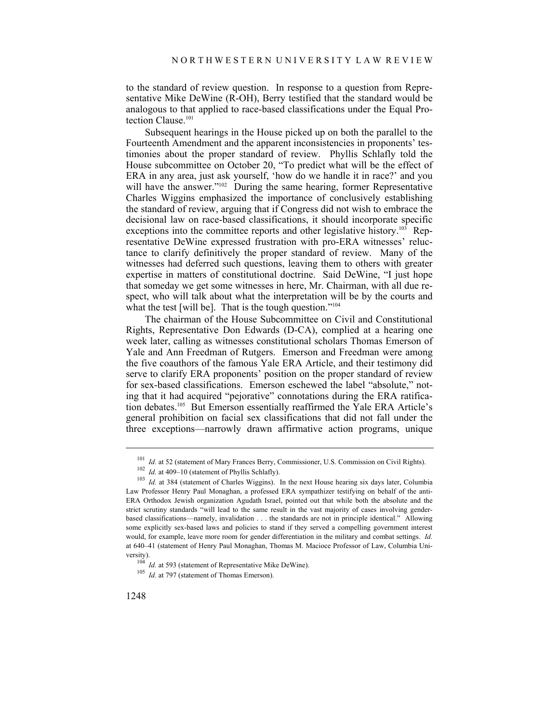to the standard of review question. In response to a question from Representative Mike DeWine (R-OH), Berry testified that the standard would be analogous to that applied to race-based classifications under the Equal Protection Clause.<sup>101</sup>

Subsequent hearings in the House picked up on both the parallel to the Fourteenth Amendment and the apparent inconsistencies in proponents' testimonies about the proper standard of review. Phyllis Schlafly told the House subcommittee on October 20, "To predict what will be the effect of ERA in any area, just ask yourself, 'how do we handle it in race?' and you will have the answer."<sup>102</sup> During the same hearing, former Representative Charles Wiggins emphasized the importance of conclusively establishing the standard of review, arguing that if Congress did not wish to embrace the decisional law on race-based classifications, it should incorporate specific exceptions into the committee reports and other legislative history.<sup>103</sup> Representative DeWine expressed frustration with pro-ERA witnesses' reluctance to clarify definitively the proper standard of review. Many of the witnesses had deferred such questions, leaving them to others with greater expertise in matters of constitutional doctrine. Said DeWine, "I just hope that someday we get some witnesses in here, Mr. Chairman, with all due respect, who will talk about what the interpretation will be by the courts and what the test [will be]. That is the tough question."<sup>104</sup>

The chairman of the House Subcommittee on Civil and Constitutional Rights, Representative Don Edwards (D-CA), complied at a hearing one week later, calling as witnesses constitutional scholars Thomas Emerson of Yale and Ann Freedman of Rutgers. Emerson and Freedman were among the five coauthors of the famous Yale ERA Article, and their testimony did serve to clarify ERA proponents' position on the proper standard of review for sex-based classifications. Emerson eschewed the label "absolute," noting that it had acquired "pejorative" connotations during the ERA ratification debates.105 But Emerson essentially reaffirmed the Yale ERA Article's general prohibition on facial sex classifications that did not fall under the three exceptions—narrowly drawn affirmative action programs, unique

<sup>&</sup>lt;sup>101</sup> *Id.* at 52 (statement of Mary Frances Berry, Commissioner, U.S. Commission on Civil Rights).<br><sup>102</sup> *Id.* at 409–10 (statement of Phyllis Schlafly).<br><sup>103</sup> *Id.* at 384 (statement of Charles Wiggins). In the next Hou Law Professor Henry Paul Monaghan, a professed ERA sympathizer testifying on behalf of the anti-ERA Orthodox Jewish organization Agudath Israel, pointed out that while both the absolute and the strict scrutiny standards "will lead to the same result in the vast majority of cases involving genderbased classifications—namely, invalidation . . . the standards are not in principle identical." Allowing some explicitly sex-based laws and policies to stand if they served a compelling government interest would, for example, leave more room for gender differentiation in the military and combat settings. *Id.*  at 640–41 (statement of Henry Paul Monaghan, Thomas M. Macioce Professor of Law, Columbia University). 104 *Id.* at 593 (statement of Representative Mike DeWine). 105 *Id.* at 797 (statement of Thomas Emerson).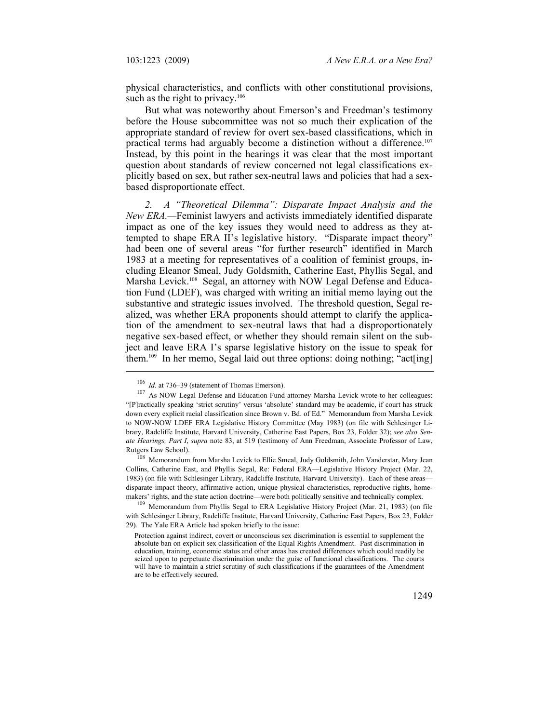physical characteristics, and conflicts with other constitutional provisions, such as the right to privacy. $106$ 

But what was noteworthy about Emerson's and Freedman's testimony before the House subcommittee was not so much their explication of the appropriate standard of review for overt sex-based classifications, which in practical terms had arguably become a distinction without a difference.107 Instead, by this point in the hearings it was clear that the most important question about standards of review concerned not legal classifications explicitly based on sex, but rather sex-neutral laws and policies that had a sexbased disproportionate effect.

*2. A "Theoretical Dilemma": Disparate Impact Analysis and the New ERA.—*Feminist lawyers and activists immediately identified disparate impact as one of the key issues they would need to address as they attempted to shape ERA II's legislative history. "Disparate impact theory" had been one of several areas "for further research" identified in March 1983 at a meeting for representatives of a coalition of feminist groups, including Eleanor Smeal, Judy Goldsmith, Catherine East, Phyllis Segal, and Marsha Levick.<sup>108</sup> Segal, an attorney with NOW Legal Defense and Education Fund (LDEF), was charged with writing an initial memo laying out the substantive and strategic issues involved. The threshold question, Segal realized, was whether ERA proponents should attempt to clarify the application of the amendment to sex-neutral laws that had a disproportionately negative sex-based effect, or whether they should remain silent on the subject and leave ERA I's sparse legislative history on the issue to speak for them.109 In her memo, Segal laid out three options: doing nothing; "act[ing]

<sup>&</sup>lt;sup>106</sup> *Id.* at 736–39 (statement of Thomas Emerson). <sup>107</sup> As NOW Legal Defense and Education Fund attorney Marsha Levick wrote to her colleagues: "[P]ractically speaking 'strict scrutiny' versus 'absolute' standard may be academic, if court has struck down every explicit racial classification since Brown v. Bd. of Ed." Memorandum from Marsha Levick to NOW-NOW LDEF ERA Legislative History Committee (May 1983) (on file with Schlesinger Library, Radcliffe Institute, Harvard University, Catherine East Papers, Box 23, Folder 32); *see also Senate Hearings, Part I*, *supra* note 83, at 519 (testimony of Ann Freedman, Associate Professor of Law,

Rutgers Law School). 108 Memorandum from Marsha Levick to Ellie Smeal, Judy Goldsmith, John Vanderstar, Mary Jean Collins, Catherine East, and Phyllis Segal, Re: Federal ERA—Legislative History Project (Mar. 22, 1983) (on file with Schlesinger Library, Radcliffe Institute, Harvard University). Each of these areas disparate impact theory, affirmative action, unique physical characteristics, reproductive rights, homemakers' rights, and the state action doctrine—were both politically sensitive and technically complex.<br><sup>109</sup> Memorandum from Phyllis Segal to ERA Legislative History Project (Mar. 21, 1983) (on file

with Schlesinger Library, Radcliffe Institute, Harvard University, Catherine East Papers, Box 23, Folder 29). The Yale ERA Article had spoken briefly to the issue:

Protection against indirect, covert or unconscious sex discrimination is essential to supplement the absolute ban on explicit sex classification of the Equal Rights Amendment. Past discrimination in education, training, economic status and other areas has created differences which could readily be seized upon to perpetuate discrimination under the guise of functional classifications. The courts will have to maintain a strict scrutiny of such classifications if the guarantees of the Amendment are to be effectively secured.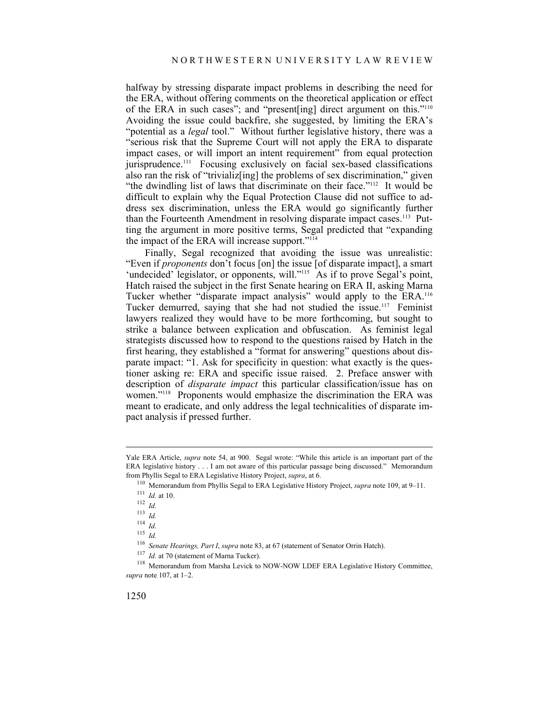halfway by stressing disparate impact problems in describing the need for the ERA, without offering comments on the theoretical application or effect of the ERA in such cases"; and "present[ing] direct argument on this."110 Avoiding the issue could backfire, she suggested, by limiting the ERA's "potential as a *legal* tool." Without further legislative history, there was a "serious risk that the Supreme Court will not apply the ERA to disparate impact cases, or will import an intent requirement" from equal protection jurisprudence.<sup>111</sup> Focusing exclusively on facial sex-based classifications also ran the risk of "trivializ[ing] the problems of sex discrimination," given "the dwindling list of laws that discriminate on their face."112 It would be difficult to explain why the Equal Protection Clause did not suffice to address sex discrimination, unless the ERA would go significantly further than the Fourteenth Amendment in resolving disparate impact cases.<sup>113</sup> Putting the argument in more positive terms, Segal predicted that "expanding the impact of the ERA will increase support."<sup>114</sup>

Finally, Segal recognized that avoiding the issue was unrealistic: "Even if *proponents* don't focus [on] the issue [of disparate impact], a smart 'undecided' legislator, or opponents, will."<sup>115</sup> As if to prove Segal's point, Hatch raised the subject in the first Senate hearing on ERA II, asking Marna Tucker whether "disparate impact analysis" would apply to the ERA.116 Tucker demurred, saying that she had not studied the issue.<sup>117</sup> Feminist lawyers realized they would have to be more forthcoming, but sought to strike a balance between explication and obfuscation. As feminist legal strategists discussed how to respond to the questions raised by Hatch in the first hearing, they established a "format for answering" questions about disparate impact: "1. Ask for specificity in question: what exactly is the questioner asking re: ERA and specific issue raised. 2. Preface answer with description of *disparate impact* this particular classification/issue has on women."<sup>118</sup> Proponents would emphasize the discrimination the ERA was meant to eradicate, and only address the legal technicalities of disparate impact analysis if pressed further.

1

Yale ERA Article, *supra* note 54, at 900. Segal wrote: "While this article is an important part of the ERA legislative history . . . I am not aware of this particular passage being discussed." Memorandum from Phyllis Segal to ERA Legislative History Project, *supra*, at 6. 110 Memorandum from Phyllis Segal to ERA Legislative History Project, *supra* note 109, at 9–11. 111 *Id.* at 10. 112 *Id.* 

<sup>113</sup> *Id.*

<sup>114</sup> *Id.*

<sup>115</sup> *Id.*<br><sup>115</sup> *Id.*<br><sup>116</sup> Senate Hearings, Part I, supra note 83, at 67 (statement of Senator Orrin Hatch).

 $117$  *Id.* at 70 (statement of Marna Tucker).<br><sup>118</sup> Memorandum from Marsha Levick to NOW-NOW LDEF ERA Legislative History Committee, *supra* note 107, at 1–2.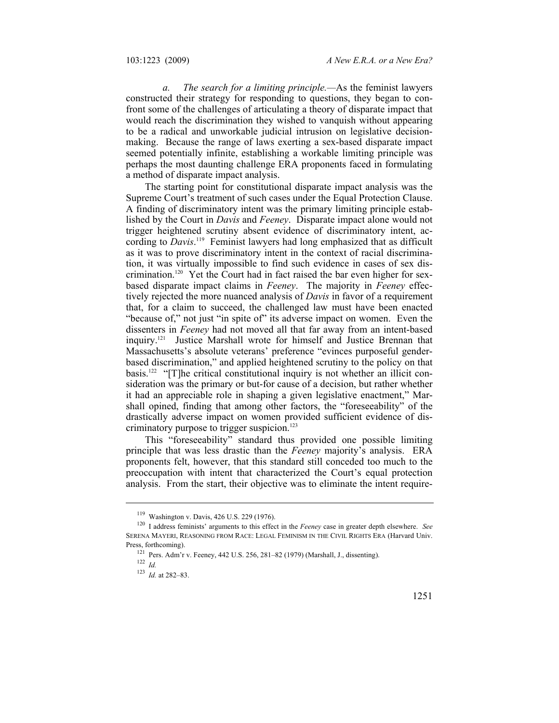*a. The search for a limiting principle.—*As the feminist lawyers constructed their strategy for responding to questions, they began to confront some of the challenges of articulating a theory of disparate impact that would reach the discrimination they wished to vanquish without appearing to be a radical and unworkable judicial intrusion on legislative decisionmaking. Because the range of laws exerting a sex-based disparate impact seemed potentially infinite, establishing a workable limiting principle was perhaps the most daunting challenge ERA proponents faced in formulating a method of disparate impact analysis.

The starting point for constitutional disparate impact analysis was the Supreme Court's treatment of such cases under the Equal Protection Clause. A finding of discriminatory intent was the primary limiting principle established by the Court in *Davis* and *Feeney*. Disparate impact alone would not trigger heightened scrutiny absent evidence of discriminatory intent, according to *Davis*. 119 Feminist lawyers had long emphasized that as difficult as it was to prove discriminatory intent in the context of racial discrimination, it was virtually impossible to find such evidence in cases of sex discrimination.120 Yet the Court had in fact raised the bar even higher for sexbased disparate impact claims in *Feeney*. The majority in *Feeney* effectively rejected the more nuanced analysis of *Davis* in favor of a requirement that, for a claim to succeed, the challenged law must have been enacted "because of," not just "in spite of" its adverse impact on women. Even the dissenters in *Feeney* had not moved all that far away from an intent-based inquiry.121 Justice Marshall wrote for himself and Justice Brennan that Massachusetts's absolute veterans' preference "evinces purposeful genderbased discrimination," and applied heightened scrutiny to the policy on that basis.<sup>122</sup> "[T]he critical constitutional inquiry is not whether an illicit consideration was the primary or but-for cause of a decision, but rather whether it had an appreciable role in shaping a given legislative enactment," Marshall opined, finding that among other factors, the "foreseeability" of the drastically adverse impact on women provided sufficient evidence of discriminatory purpose to trigger suspicion.<sup>123</sup>

This "foreseeability" standard thus provided one possible limiting principle that was less drastic than the *Feeney* majority's analysis. ERA proponents felt, however, that this standard still conceded too much to the preoccupation with intent that characterized the Court's equal protection analysis. From the start, their objective was to eliminate the intent require-

<sup>119</sup> Washington v. Davis, 426 U.S. 229 (1976). 120 I address feminists' arguments to this effect in the *Feeney* case in greater depth elsewhere. *See* SERENA MAYERI, REASONING FROM RACE: LEGAL FEMINISM IN THE CIVIL RIGHTS ERA (Harvard Univ. Press, forthcoming). <sup>121</sup> Pers. Adm'r v. Feeney, 442 U.S. 256, 281–82 (1979) (Marshall, J., dissenting). <sup>122</sup> *Id.* 

<sup>123</sup> *Id.* at 282–83.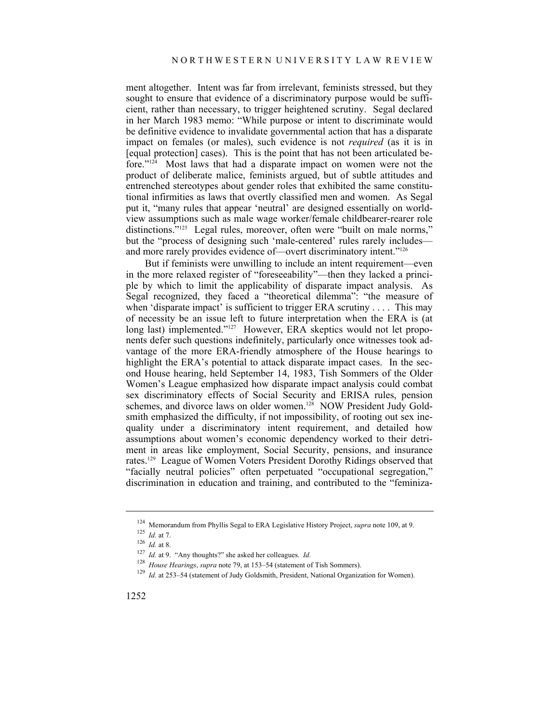ment altogether. Intent was far from irrelevant, feminists stressed, but they sought to ensure that evidence of a discriminatory purpose would be sufficient, rather than necessary, to trigger heightened scrutiny. Segal declared in her March 1983 memo: "While purpose or intent to discriminate would be definitive evidence to invalidate governmental action that has a disparate impact on females (or males), such evidence is not *required* (as it is in [equal protection] cases). This is the point that has not been articulated before."124 Most laws that had a disparate impact on women were not the product of deliberate malice, feminists argued, but of subtle attitudes and entrenched stereotypes about gender roles that exhibited the same constitutional infirmities as laws that overtly classified men and women. As Segal put it, "many rules that appear 'neutral' are designed essentially on worldview assumptions such as male wage worker/female childbearer-rearer role distinctions."<sup>125</sup> Legal rules, moreover, often were "built on male norms," but the "process of designing such 'male-centered' rules rarely includes and more rarely provides evidence of—overt discriminatory intent."126

But if feminists were unwilling to include an intent requirement—even in the more relaxed register of "foreseeability"—then they lacked a principle by which to limit the applicability of disparate impact analysis. As Segal recognized, they faced a "theoretical dilemma": "the measure of when 'disparate impact' is sufficient to trigger ERA scrutiny . . . . This may of necessity be an issue left to future interpretation when the ERA is (at long last) implemented."<sup>127</sup> However, ERA skeptics would not let proponents defer such questions indefinitely, particularly once witnesses took advantage of the more ERA-friendly atmosphere of the House hearings to highlight the ERA's potential to attack disparate impact cases. In the second House hearing, held September 14, 1983, Tish Sommers of the Older Women's League emphasized how disparate impact analysis could combat sex discriminatory effects of Social Security and ERISA rules, pension schemes, and divorce laws on older women.<sup>128</sup> NOW President Judy Goldsmith emphasized the difficulty, if not impossibility, of rooting out sex inequality under a discriminatory intent requirement, and detailed how assumptions about women's economic dependency worked to their detriment in areas like employment, Social Security, pensions, and insurance rates.129 League of Women Voters President Dorothy Ridings observed that "facially neutral policies" often perpetuated "occupational segregation," discrimination in education and training, and contributed to the "feminiza-

<sup>124</sup> Memorandum from Phyllis Segal to ERA Legislative History Project, *supra* note 109, at 9.<br>
125 *Id.* at 8.<br>
127 *Id.* at 9. "Any thoughts?" she asked her colleagues. *Id.*<br>
128 *House Hearings, supra* note 79, at 153–5

<sup>&</sup>lt;sup>129</sup> Id. at 253–54 (statement of Judy Goldsmith, President, National Organization for Women).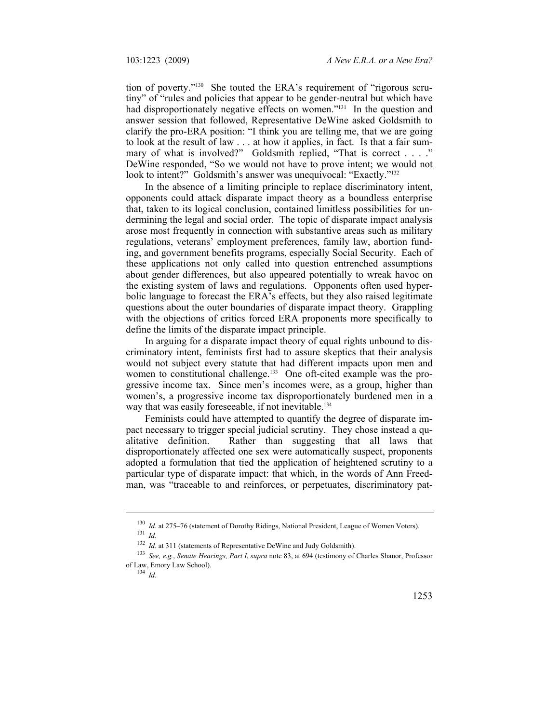tion of poverty."<sup>130</sup> She touted the ERA's requirement of "rigorous scrutiny" of "rules and policies that appear to be gender-neutral but which have had disproportionately negative effects on women."<sup>131</sup> In the question and answer session that followed, Representative DeWine asked Goldsmith to clarify the pro-ERA position: "I think you are telling me, that we are going to look at the result of law . . . at how it applies, in fact. Is that a fair summary of what is involved?" Goldsmith replied, "That is correct . . . ." DeWine responded, "So we would not have to prove intent; we would not look to intent?" Goldsmith's answer was unequivocal: "Exactly."<sup>132</sup>

In the absence of a limiting principle to replace discriminatory intent, opponents could attack disparate impact theory as a boundless enterprise that, taken to its logical conclusion, contained limitless possibilities for undermining the legal and social order. The topic of disparate impact analysis arose most frequently in connection with substantive areas such as military regulations, veterans' employment preferences, family law, abortion funding, and government benefits programs, especially Social Security. Each of these applications not only called into question entrenched assumptions about gender differences, but also appeared potentially to wreak havoc on the existing system of laws and regulations. Opponents often used hyperbolic language to forecast the ERA's effects, but they also raised legitimate questions about the outer boundaries of disparate impact theory. Grappling with the objections of critics forced ERA proponents more specifically to define the limits of the disparate impact principle.

In arguing for a disparate impact theory of equal rights unbound to discriminatory intent, feminists first had to assure skeptics that their analysis would not subject every statute that had different impacts upon men and women to constitutional challenge.<sup>133</sup> One oft-cited example was the progressive income tax. Since men's incomes were, as a group, higher than women's, a progressive income tax disproportionately burdened men in a way that was easily foreseeable, if not inevitable.<sup>134</sup>

Feminists could have attempted to quantify the degree of disparate impact necessary to trigger special judicial scrutiny. They chose instead a qualitative definition. Rather than suggesting that all laws that disproportionately affected one sex were automatically suspect, proponents adopted a formulation that tied the application of heightened scrutiny to a particular type of disparate impact: that which, in the words of Ann Freedman, was "traceable to and reinforces, or perpetuates, discriminatory pat-

<sup>&</sup>lt;sup>130</sup>*Id.* at 275–76 (statement of Dorothy Ridings, National President, League of Women Voters).<br><sup>131</sup>*Id. Id.* at 311 (statements of Representative DeWine and Judy Goldsmith).

<sup>&</sup>lt;sup>133</sup> See, e.g., *Senate Hearings, Part I, supra* note 83, at 694 (testimony of Charles Shanor, Professor of Law, Emory Law School). 134 *Id.*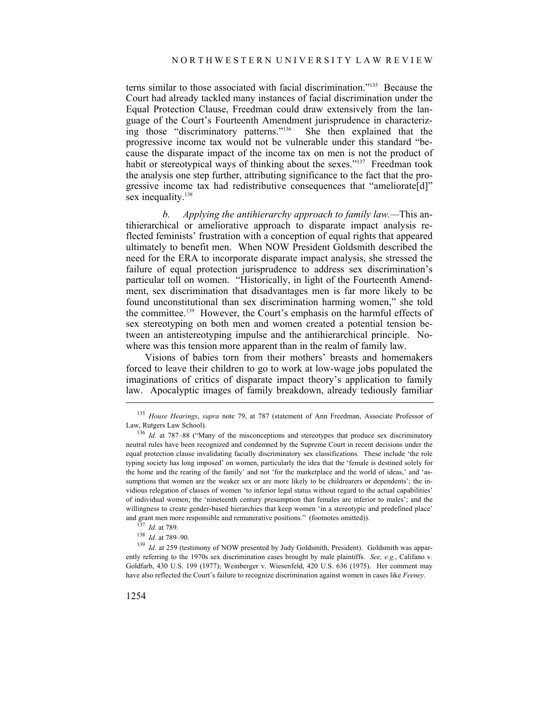terns similar to those associated with facial discrimination."135 Because the Court had already tackled many instances of facial discrimination under the Equal Protection Clause, Freedman could draw extensively from the language of the Court's Fourteenth Amendment jurisprudence in characteriz-<br>ing those "discriminatory patterns."<sup>136</sup> She then explained that the ing those "discriminatory patterns."<sup>136</sup> progressive income tax would not be vulnerable under this standard "because the disparate impact of the income tax on men is not the product of habit or stereotypical ways of thinking about the sexes."<sup>137</sup> Freedman took the analysis one step further, attributing significance to the fact that the progressive income tax had redistributive consequences that "ameliorate[d]" sex inequality.<sup>138</sup>

*b. Applying the antihierarchy approach to family law.—*This antihierarchical or ameliorative approach to disparate impact analysis reflected feminists' frustration with a conception of equal rights that appeared ultimately to benefit men. When NOW President Goldsmith described the need for the ERA to incorporate disparate impact analysis, she stressed the failure of equal protection jurisprudence to address sex discrimination's particular toll on women. "Historically, in light of the Fourteenth Amendment, sex discrimination that disadvantages men is far more likely to be found unconstitutional than sex discrimination harming women," she told the committee.<sup>139</sup> However, the Court's emphasis on the harmful effects of sex stereotyping on both men and women created a potential tension between an antistereotyping impulse and the antihierarchical principle. Nowhere was this tension more apparent than in the realm of family law.

Visions of babies torn from their mothers' breasts and homemakers forced to leave their children to go to work at low-wage jobs populated the imaginations of critics of disparate impact theory's application to family law. Apocalyptic images of family breakdown, already tediously familiar

<sup>&</sup>lt;sup>135</sup> *House Hearings, supra* note 79, at 787 (statement of Ann Freedman, Associate Professor of Law, Rutgers Law School).

<sup>&</sup>lt;sup>136</sup> *Id.* at 787–88 ("Many of the misconceptions and stereotypes that produce sex discriminatory neutral rules have been recognized and condemned by the Supreme Court in recent decisions under the equal protection clause invalidating facially discriminatory sex classifications. These include 'the role typing society has long imposed' on women, particularly the idea that the 'female is destined solely for the home and the rearing of the family' and not 'for the marketplace and the world of ideas,' and 'assumptions that women are the weaker sex or are more likely to be childrearers or dependents'; the invidious relegation of classes of women 'to inferior legal status without regard to the actual capabilities' of individual women; the 'nineteenth century presumption that females are inferior to males'; and the willingness to create gender-based hierarchies that keep women 'in a stereotypic and predefined place' and grant men more responsible and remunerative positions." (footnotes omitted)).<br>
<sup>137</sup> *Id.* at 789.<br>
<sup>138</sup> *Id.* at 789–90.<br>
<sup>138</sup> *Id.* at 259 (testimony of NOW presented by Judy Goldsmith, President). Goldsmith was a

ently referring to the 1970s sex discrimination cases brought by male plaintiffs. *See, e.g.*, Califano v. Goldfarb, 430 U.S. 199 (1977); Weinberger v. Wiesenfeld, 420 U.S. 636 (1975). Her comment may have also reflected the Court's failure to recognize discrimination against women in cases like *Feeney*.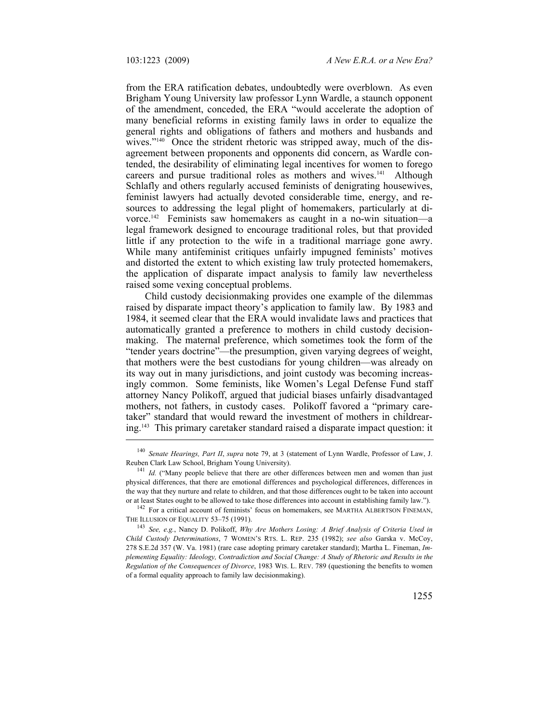from the ERA ratification debates, undoubtedly were overblown. As even Brigham Young University law professor Lynn Wardle, a staunch opponent of the amendment, conceded, the ERA "would accelerate the adoption of many beneficial reforms in existing family laws in order to equalize the general rights and obligations of fathers and mothers and husbands and wives."<sup>140</sup> Once the strident rhetoric was stripped away, much of the disagreement between proponents and opponents did concern, as Wardle contended, the desirability of eliminating legal incentives for women to forego careers and pursue traditional roles as mothers and wives.<sup>141</sup> Although Schlafly and others regularly accused feminists of denigrating housewives, feminist lawyers had actually devoted considerable time, energy, and resources to addressing the legal plight of homemakers, particularly at divorce.142 Feminists saw homemakers as caught in a no-win situation—a legal framework designed to encourage traditional roles, but that provided little if any protection to the wife in a traditional marriage gone awry. While many antifeminist critiques unfairly impugned feminists' motives and distorted the extent to which existing law truly protected homemakers, the application of disparate impact analysis to family law nevertheless raised some vexing conceptual problems.

Child custody decisionmaking provides one example of the dilemmas raised by disparate impact theory's application to family law. By 1983 and 1984, it seemed clear that the ERA would invalidate laws and practices that automatically granted a preference to mothers in child custody decisionmaking. The maternal preference, which sometimes took the form of the "tender years doctrine"—the presumption, given varying degrees of weight, that mothers were the best custodians for young children—was already on its way out in many jurisdictions, and joint custody was becoming increasingly common. Some feminists, like Women's Legal Defense Fund staff attorney Nancy Polikoff, argued that judicial biases unfairly disadvantaged mothers, not fathers, in custody cases. Polikoff favored a "primary caretaker" standard that would reward the investment of mothers in childrearing.143 This primary caretaker standard raised a disparate impact question: it

<sup>140</sup> *Senate Hearings, Part II*, *supra* note 79, at 3 (statement of Lynn Wardle, Professor of Law, J. Reuben Clark Law School, Brigham Young University).<br><sup>141</sup> *Id.* ("Many people believe that there are other differences between men and women than just

physical differences, that there are emotional differences and psychological differences, differences in the way that they nurture and relate to children, and that those differences ought to be taken into account or at least States ought to be allowed to take those differences into account in establishing family law.").

<sup>&</sup>lt;sup>142</sup> For a critical account of feminists' focus on homemakers, see MARTHA ALBERTSON FINEMAN, THE ILLUSION OF EQUALITY 53–75 (1991).

<sup>&</sup>lt;sup>143</sup> *See, e.g., Nancy D. Polikoff, Why Are Mothers Losing: A Brief Analysis of Criteria Used in Child Custody Determinations*, 7 WOMEN'S RTS. L. REP. 235 (1982); *see also* Garska v. McCoy, 278 S.E.2d 357 (W. Va. 1981) (rare case adopting primary caretaker standard); Martha L. Fineman, *Implementing Equality: Ideology, Contradiction and Social Change: A Study of Rhetoric and Results in the Regulation of the Consequences of Divorce*, 1983 WIS. L. REV. 789 (questioning the benefits to women of a formal equality approach to family law decisionmaking).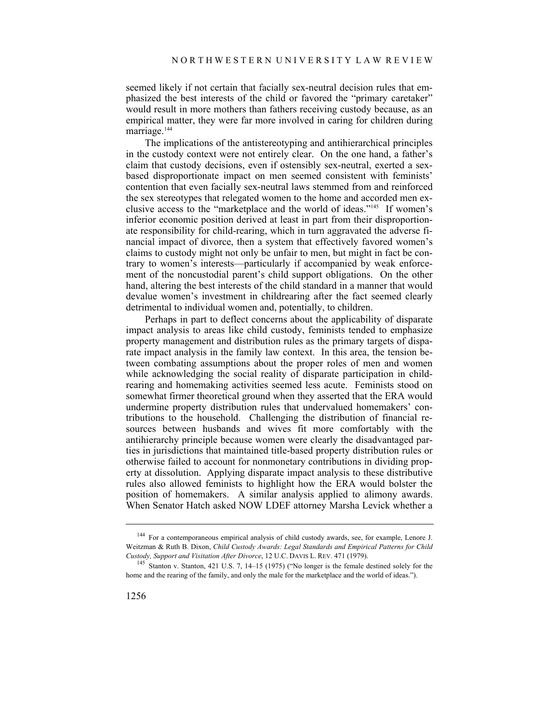seemed likely if not certain that facially sex-neutral decision rules that emphasized the best interests of the child or favored the "primary caretaker" would result in more mothers than fathers receiving custody because, as an empirical matter, they were far more involved in caring for children during marriage.<sup>144</sup>

The implications of the antistereotyping and antihierarchical principles in the custody context were not entirely clear. On the one hand, a father's claim that custody decisions, even if ostensibly sex-neutral, exerted a sexbased disproportionate impact on men seemed consistent with feminists' contention that even facially sex-neutral laws stemmed from and reinforced the sex stereotypes that relegated women to the home and accorded men exclusive access to the "marketplace and the world of ideas."145 If women's inferior economic position derived at least in part from their disproportionate responsibility for child-rearing, which in turn aggravated the adverse financial impact of divorce, then a system that effectively favored women's claims to custody might not only be unfair to men, but might in fact be contrary to women's interests—particularly if accompanied by weak enforcement of the noncustodial parent's child support obligations. On the other hand, altering the best interests of the child standard in a manner that would devalue women's investment in childrearing after the fact seemed clearly detrimental to individual women and, potentially, to children.

Perhaps in part to deflect concerns about the applicability of disparate impact analysis to areas like child custody, feminists tended to emphasize property management and distribution rules as the primary targets of disparate impact analysis in the family law context. In this area, the tension between combating assumptions about the proper roles of men and women while acknowledging the social reality of disparate participation in childrearing and homemaking activities seemed less acute. Feminists stood on somewhat firmer theoretical ground when they asserted that the ERA would undermine property distribution rules that undervalued homemakers' contributions to the household. Challenging the distribution of financial resources between husbands and wives fit more comfortably with the antihierarchy principle because women were clearly the disadvantaged parties in jurisdictions that maintained title-based property distribution rules or otherwise failed to account for nonmonetary contributions in dividing property at dissolution. Applying disparate impact analysis to these distributive rules also allowed feminists to highlight how the ERA would bolster the position of homemakers. A similar analysis applied to alimony awards. When Senator Hatch asked NOW LDEF attorney Marsha Levick whether a

<sup>144</sup> For a contemporaneous empirical analysis of child custody awards, see, for example, Lenore J. Weitzman & Ruth B. Dixon, *Child Custody Awards: Legal Standards and Empirical Patterns for Child Custody, Support and Visitation After Divorce*, 12 U.C. DAVIS L. REV. 471 (1979). 145 Stanton v. Stanton, 421 U.S. 7, 14–15 (1975) ("No longer is the female destined solely for the

home and the rearing of the family, and only the male for the marketplace and the world of ideas.").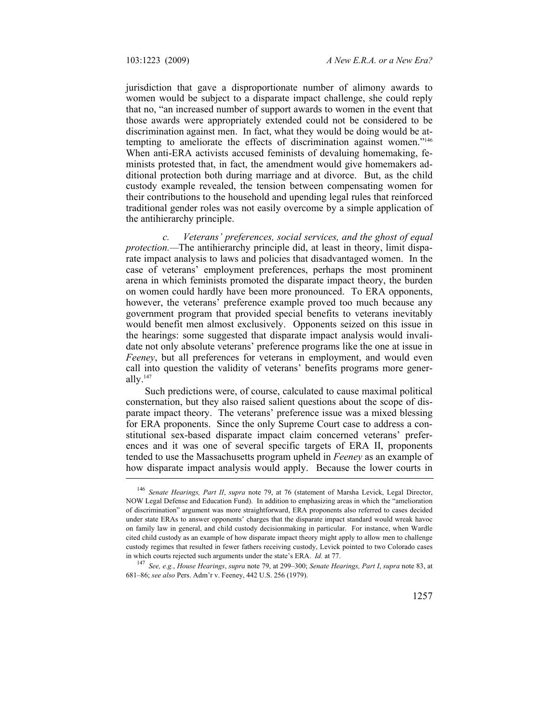jurisdiction that gave a disproportionate number of alimony awards to women would be subject to a disparate impact challenge, she could reply that no, "an increased number of support awards to women in the event that those awards were appropriately extended could not be considered to be discrimination against men. In fact, what they would be doing would be attempting to ameliorate the effects of discrimination against women."146 When anti-ERA activists accused feminists of devaluing homemaking, feminists protested that, in fact, the amendment would give homemakers additional protection both during marriage and at divorce. But, as the child custody example revealed, the tension between compensating women for their contributions to the household and upending legal rules that reinforced traditional gender roles was not easily overcome by a simple application of the antihierarchy principle.

*c. Veterans' preferences, social services, and the ghost of equal protection.—*The antihierarchy principle did, at least in theory, limit disparate impact analysis to laws and policies that disadvantaged women. In the case of veterans' employment preferences, perhaps the most prominent arena in which feminists promoted the disparate impact theory, the burden on women could hardly have been more pronounced. To ERA opponents, however, the veterans' preference example proved too much because any government program that provided special benefits to veterans inevitably would benefit men almost exclusively. Opponents seized on this issue in the hearings: some suggested that disparate impact analysis would invalidate not only absolute veterans' preference programs like the one at issue in *Feeney*, but all preferences for veterans in employment, and would even call into question the validity of veterans' benefits programs more generally. $147$ 

Such predictions were, of course, calculated to cause maximal political consternation, but they also raised salient questions about the scope of disparate impact theory. The veterans' preference issue was a mixed blessing for ERA proponents. Since the only Supreme Court case to address a constitutional sex-based disparate impact claim concerned veterans' preferences and it was one of several specific targets of ERA II, proponents tended to use the Massachusetts program upheld in *Feeney* as an example of how disparate impact analysis would apply. Because the lower courts in

<sup>146</sup> *Senate Hearings, Part II*, *supra* note 79, at 76 (statement of Marsha Levick, Legal Director, NOW Legal Defense and Education Fund). In addition to emphasizing areas in which the "amelioration of discrimination" argument was more straightforward, ERA proponents also referred to cases decided under state ERAs to answer opponents' charges that the disparate impact standard would wreak havoc on family law in general, and child custody decisionmaking in particular. For instance, when Wardle cited child custody as an example of how disparate impact theory might apply to allow men to challenge custody regimes that resulted in fewer fathers receiving custody, Levick pointed to two Colorado cases in which courts rejected such arguments under the state's ERA. *Id.* at 77. 147 *See, e.g.*, *House Hearings*, *supra* note 79, at 299–300; *Senate Hearings, Part I*, *supra* note 83, at

<sup>681–86;</sup> *see also* Pers. Adm'r v. Feeney, 442 U.S. 256 (1979).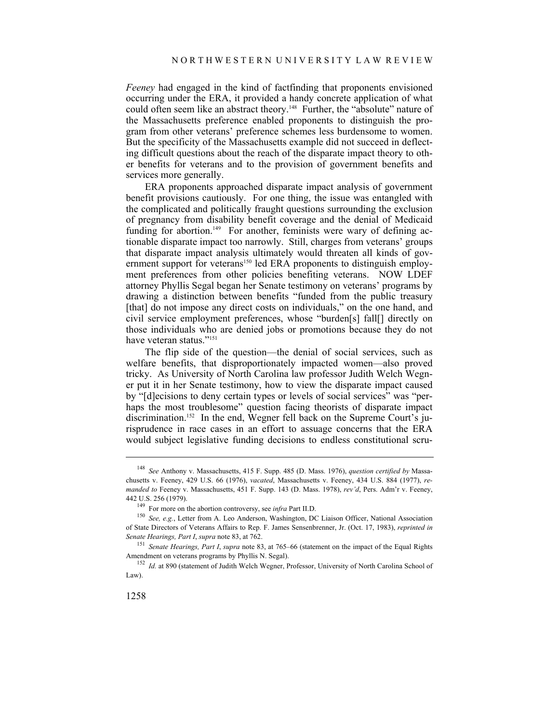*Feeney* had engaged in the kind of factfinding that proponents envisioned occurring under the ERA, it provided a handy concrete application of what could often seem like an abstract theory.148 Further, the "absolute" nature of the Massachusetts preference enabled proponents to distinguish the program from other veterans' preference schemes less burdensome to women. But the specificity of the Massachusetts example did not succeed in deflecting difficult questions about the reach of the disparate impact theory to other benefits for veterans and to the provision of government benefits and services more generally.

ERA proponents approached disparate impact analysis of government benefit provisions cautiously. For one thing, the issue was entangled with the complicated and politically fraught questions surrounding the exclusion of pregnancy from disability benefit coverage and the denial of Medicaid funding for abortion.<sup>149</sup> For another, feminists were wary of defining actionable disparate impact too narrowly. Still, charges from veterans' groups that disparate impact analysis ultimately would threaten all kinds of government support for veterans<sup>150</sup> led ERA proponents to distinguish employment preferences from other policies benefiting veterans. NOW LDEF attorney Phyllis Segal began her Senate testimony on veterans' programs by drawing a distinction between benefits "funded from the public treasury [that] do not impose any direct costs on individuals," on the one hand, and civil service employment preferences, whose "burden[s] fall[] directly on those individuals who are denied jobs or promotions because they do not have veteran status."<sup>151</sup>

The flip side of the question—the denial of social services, such as welfare benefits, that disproportionately impacted women—also proved tricky. As University of North Carolina law professor Judith Welch Wegner put it in her Senate testimony, how to view the disparate impact caused by "[d]ecisions to deny certain types or levels of social services" was "perhaps the most troublesome" question facing theorists of disparate impact discrimination.<sup>152</sup> In the end, Wegner fell back on the Supreme Court's jurisprudence in race cases in an effort to assuage concerns that the ERA would subject legislative funding decisions to endless constitutional scru-

<sup>148</sup> *See* Anthony v. Massachusetts, 415 F. Supp. 485 (D. Mass. 1976), *question certified by* Massachusetts v. Feeney, 429 U.S. 66 (1976), *vacated*, Massachusetts v. Feeney, 434 U.S. 884 (1977), *remanded to* Feeney v. Massachusetts, 451 F. Supp. 143 (D. Mass. 1978), *rev'd*, Pers. Adm'r v. Feeney,

<sup>442</sup> U.S. 256 (1979).<br><sup>149</sup> For more on the abortion controversy, see *infra* Part II.D.<br><sup>150</sup> *See, e.g.*, Letter from A. Leo Anderson, Washington, DC Liaison Officer, National Association of State Directors of Veterans Affairs to Rep. F. James Sensenbrenner, Jr. (Oct. 17, 1983), *reprinted in Senate Hearings, Part I*, *supra* note 83, at 762. 151 *Senate Hearings, Part I*, *supra* note 83, at 765–66 (statement on the impact of the Equal Rights

Amendment on veterans programs by Phyllis N. Segal).<br><sup>152</sup> *Id.* at 890 (statement of Judith Welch Wegner, Professor, University of North Carolina School of

Law).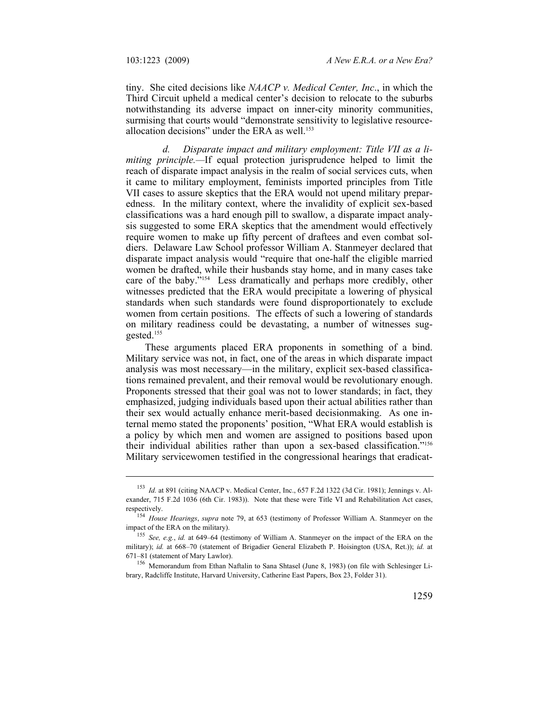tiny. She cited decisions like *NAACP v. Medical Center, Inc*., in which the Third Circuit upheld a medical center's decision to relocate to the suburbs notwithstanding its adverse impact on inner-city minority communities, surmising that courts would "demonstrate sensitivity to legislative resourceallocation decisions" under the ERA as well.<sup>153</sup>

*d. Disparate impact and military employment: Title VII as a limiting principle.—*If equal protection jurisprudence helped to limit the reach of disparate impact analysis in the realm of social services cuts, when it came to military employment, feminists imported principles from Title VII cases to assure skeptics that the ERA would not upend military preparedness. In the military context, where the invalidity of explicit sex-based classifications was a hard enough pill to swallow, a disparate impact analysis suggested to some ERA skeptics that the amendment would effectively require women to make up fifty percent of draftees and even combat soldiers. Delaware Law School professor William A. Stanmeyer declared that disparate impact analysis would "require that one-half the eligible married women be drafted, while their husbands stay home, and in many cases take care of the baby."154 Less dramatically and perhaps more credibly, other witnesses predicted that the ERA would precipitate a lowering of physical standards when such standards were found disproportionately to exclude women from certain positions. The effects of such a lowering of standards on military readiness could be devastating, a number of witnesses suggested.155

These arguments placed ERA proponents in something of a bind. Military service was not, in fact, one of the areas in which disparate impact analysis was most necessary—in the military, explicit sex-based classifications remained prevalent, and their removal would be revolutionary enough. Proponents stressed that their goal was not to lower standards; in fact, they emphasized, judging individuals based upon their actual abilities rather than their sex would actually enhance merit-based decisionmaking. As one internal memo stated the proponents' position, "What ERA would establish is a policy by which men and women are assigned to positions based upon their individual abilities rather than upon a sex-based classification."156 Military servicewomen testified in the congressional hearings that eradicat-

<sup>&</sup>lt;sup>153</sup> *Id.* at 891 (citing NAACP v. Medical Center, Inc., 657 F.2d 1322 (3d Cir. 1981); Jennings v. Alexander, 715 F.2d 1036 (6th Cir. 1983)). Note that these were Title VI and Rehabilitation Act cases,

respectively. 154 *House Hearings*, *supra* note 79, at 653 (testimony of Professor William A. Stanmeyer on the

<sup>&</sup>lt;sup>155</sup> *See, e.g., id.* at 649–64 (testimony of William A. Stanmeyer on the impact of the ERA on the military); *id.* at 668–70 (statement of Brigadier General Elizabeth P. Hoisington (USA, Ret.)); *id.* at 671–81 (statement of Mary Lawlor). 156 Memorandum from Ethan Naftalin to Sana Shtasel (June 8, 1983) (on file with Schlesinger Li-

brary, Radcliffe Institute, Harvard University, Catherine East Papers, Box 23, Folder 31).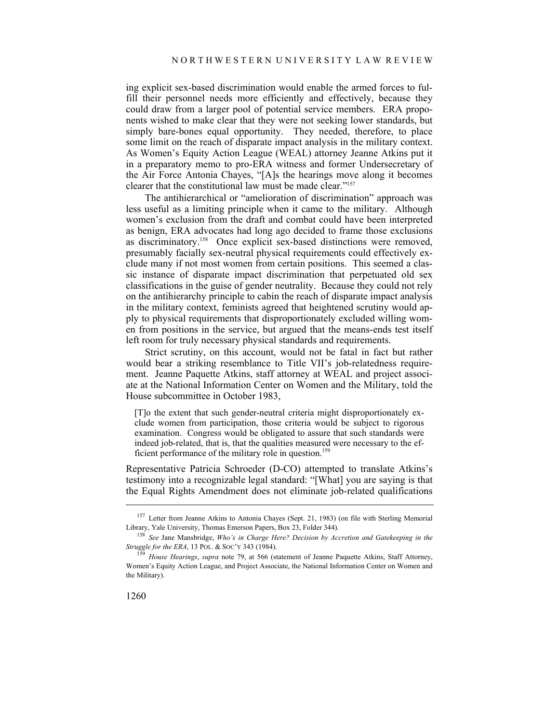ing explicit sex-based discrimination would enable the armed forces to fulfill their personnel needs more efficiently and effectively, because they could draw from a larger pool of potential service members. ERA proponents wished to make clear that they were not seeking lower standards, but simply bare-bones equal opportunity. They needed, therefore, to place some limit on the reach of disparate impact analysis in the military context. As Women's Equity Action League (WEAL) attorney Jeanne Atkins put it in a preparatory memo to pro-ERA witness and former Undersecretary of the Air Force Antonia Chayes, "[A]s the hearings move along it becomes clearer that the constitutional law must be made clear."157

The antihierarchical or "amelioration of discrimination" approach was less useful as a limiting principle when it came to the military. Although women's exclusion from the draft and combat could have been interpreted as benign, ERA advocates had long ago decided to frame those exclusions as discriminatory.158 Once explicit sex-based distinctions were removed, presumably facially sex-neutral physical requirements could effectively exclude many if not most women from certain positions. This seemed a classic instance of disparate impact discrimination that perpetuated old sex classifications in the guise of gender neutrality. Because they could not rely on the antihierarchy principle to cabin the reach of disparate impact analysis in the military context, feminists agreed that heightened scrutiny would apply to physical requirements that disproportionately excluded willing women from positions in the service, but argued that the means-ends test itself left room for truly necessary physical standards and requirements.

Strict scrutiny, on this account, would not be fatal in fact but rather would bear a striking resemblance to Title VII's job-relatedness requirement. Jeanne Paquette Atkins, staff attorney at WEAL and project associate at the National Information Center on Women and the Military, told the House subcommittee in October 1983,

[T]o the extent that such gender-neutral criteria might disproportionately exclude women from participation, those criteria would be subject to rigorous examination. Congress would be obligated to assure that such standards were indeed job-related, that is, that the qualities measured were necessary to the efficient performance of the military role in question.<sup>159</sup>

Representative Patricia Schroeder (D-CO) attempted to translate Atkins's testimony into a recognizable legal standard: "[What] you are saying is that the Equal Rights Amendment does not eliminate job-related qualifications

<sup>&</sup>lt;sup>157</sup> Letter from Jeanne Atkins to Antonia Chayes (Sept. 21, 1983) (on file with Sterling Memorial

Library, Yale University, Thomas Emerson Papers, Box 23, Folder 344).<br><sup>158</sup> *See* Jane Mansbridge, *Who's in Charge Here? Decision by Accretion and Gatekeeping in the Struggle for the ERA,* 13 POL. & SOC'Y 343 (1984).

<sup>&</sup>lt;sup>159</sup> House Hearings, *supra* note 79, at 566 (statement of Jeanne Paquette Atkins, Staff Attorney, Women's Equity Action League, and Project Associate, the National Information Center on Women and the Military).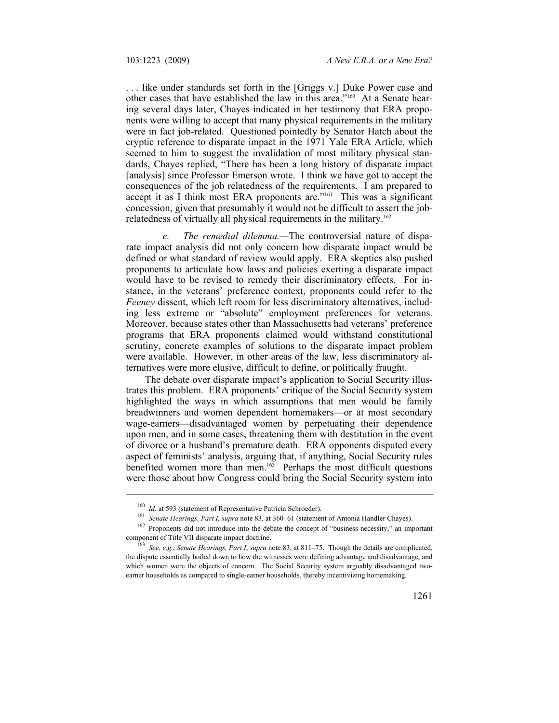. . . like under standards set forth in the [Griggs v.] Duke Power case and other cases that have established the law in this area."160 At a Senate hearing several days later, Chayes indicated in her testimony that ERA proponents were willing to accept that many physical requirements in the military were in fact job-related. Questioned pointedly by Senator Hatch about the cryptic reference to disparate impact in the 1971 Yale ERA Article, which seemed to him to suggest the invalidation of most military physical standards, Chayes replied, "There has been a long history of disparate impact [analysis] since Professor Emerson wrote. I think we have got to accept the consequences of the job relatedness of the requirements. I am prepared to accept it as I think most ERA proponents are."161 This was a significant concession, given that presumably it would not be difficult to assert the jobrelatedness of virtually all physical requirements in the military.<sup>162</sup>

*e. The remedial dilemma.—*The controversial nature of disparate impact analysis did not only concern how disparate impact would be defined or what standard of review would apply. ERA skeptics also pushed proponents to articulate how laws and policies exerting a disparate impact would have to be revised to remedy their discriminatory effects. For instance, in the veterans' preference context, proponents could refer to the *Feeney* dissent, which left room for less discriminatory alternatives, including less extreme or "absolute" employment preferences for veterans. Moreover, because states other than Massachusetts had veterans' preference programs that ERA proponents claimed would withstand constitutional scrutiny, concrete examples of solutions to the disparate impact problem were available. However, in other areas of the law, less discriminatory alternatives were more elusive, difficult to define, or politically fraught.

The debate over disparate impact's application to Social Security illustrates this problem. ERA proponents' critique of the Social Security system highlighted the ways in which assumptions that men would be family breadwinners and women dependent homemakers—or at most secondary wage-earners—disadvantaged women by perpetuating their dependence upon men, and in some cases, threatening them with destitution in the event of divorce or a husband's premature death. ERA opponents disputed every aspect of feminists' analysis, arguing that, if anything, Social Security rules benefited women more than men.163 Perhaps the most difficult questions were those about how Congress could bring the Social Security system into

<sup>&</sup>lt;sup>160</sup> *Id.* at 593 (statement of Representative Patricia Schroeder).<br>
<sup>161</sup> *Senate Hearings, Part I, supra* note 83, at 360–61 (statement of Antonia Handler Chayes).<br>
<sup>162</sup> Proponents did not introduce into the debate th component of Title VII disparate impact doctrine.<br><sup>163</sup> *See, e.g., Senate Hearings, Part I, supra* note 83, at 811–75. Though the details are complicated,

the dispute essentially boiled down to how the witnesses were defining advantage and disadvantage, and which women were the objects of concern. The Social Security system arguably disadvantaged twoearner households as compared to single-earner households, thereby incentivizing homemaking.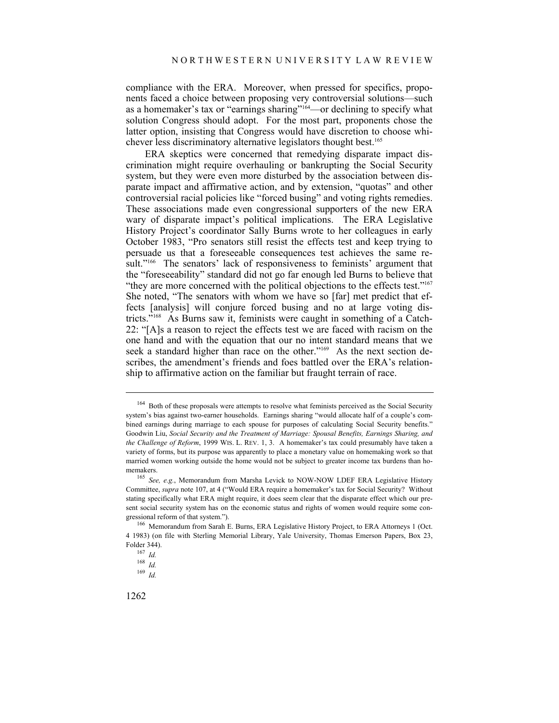compliance with the ERA. Moreover, when pressed for specifics, proponents faced a choice between proposing very controversial solutions—such as a homemaker's tax or "earnings sharing"164—or declining to specify what solution Congress should adopt. For the most part, proponents chose the latter option, insisting that Congress would have discretion to choose whichever less discriminatory alternative legislators thought best.<sup>165</sup>

ERA skeptics were concerned that remedying disparate impact discrimination might require overhauling or bankrupting the Social Security system, but they were even more disturbed by the association between disparate impact and affirmative action, and by extension, "quotas" and other controversial racial policies like "forced busing" and voting rights remedies. These associations made even congressional supporters of the new ERA wary of disparate impact's political implications. The ERA Legislative History Project's coordinator Sally Burns wrote to her colleagues in early October 1983, "Pro senators still resist the effects test and keep trying to persuade us that a foreseeable consequences test achieves the same result."<sup>166</sup> The senators' lack of responsiveness to feminists' argument that the "foreseeability" standard did not go far enough led Burns to believe that "they are more concerned with the political objections to the effects test."<sup>167</sup> She noted, "The senators with whom we have so [far] met predict that effects [analysis] will conjure forced busing and no at large voting districts."168 As Burns saw it, feminists were caught in something of a Catch-22: "[A]s a reason to reject the effects test we are faced with racism on the one hand and with the equation that our no intent standard means that we seek a standard higher than race on the other."<sup>169</sup> As the next section describes, the amendment's friends and foes battled over the ERA's relationship to affirmative action on the familiar but fraught terrain of race.

<sup>&</sup>lt;sup>164</sup> Both of these proposals were attempts to resolve what feminists perceived as the Social Security system's bias against two-earner households. Earnings sharing "would allocate half of a couple's combined earnings during marriage to each spouse for purposes of calculating Social Security benefits." Goodwin Liu, *Social Security and the Treatment of Marriage: Spousal Benefits, Earnings Sharing, and the Challenge of Reform*, 1999 WIS. L. REV. 1, 3. A homemaker's tax could presumably have taken a variety of forms, but its purpose was apparently to place a monetary value on homemaking work so that married women working outside the home would not be subject to greater income tax burdens than homemakers.<br><sup>165</sup> *See, e.g.*, Memorandum from Marsha Levick to NOW-NOW LDEF ERA Legislative History

Committee, *supra* note 107, at 4 ("Would ERA require a homemaker's tax for Social Security? Without stating specifically what ERA might require, it does seem clear that the disparate effect which our present social security system has on the economic status and rights of women would require some con-<br>gressional reform of that system.").

<sup>&</sup>lt;sup>166</sup> Memorandum from Sarah E. Burns, ERA Legislative History Project, to ERA Attorneys 1 (Oct. 4 1983) (on file with Sterling Memorial Library, Yale University, Thomas Emerson Papers, Box 23, Folder 344). 167 *Id.*

<sup>168</sup> *Id.*

<sup>169</sup> *Id.*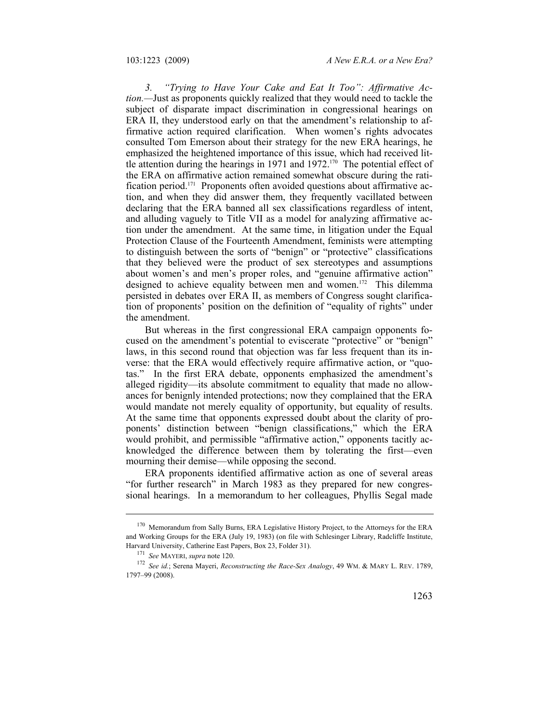*3. "Trying to Have Your Cake and Eat It Too": Affirmative Action.—*Just as proponents quickly realized that they would need to tackle the subject of disparate impact discrimination in congressional hearings on ERA II, they understood early on that the amendment's relationship to affirmative action required clarification. When women's rights advocates consulted Tom Emerson about their strategy for the new ERA hearings, he emphasized the heightened importance of this issue, which had received little attention during the hearings in 1971 and 1972.<sup>170</sup> The potential effect of the ERA on affirmative action remained somewhat obscure during the ratification period.171 Proponents often avoided questions about affirmative action, and when they did answer them, they frequently vacillated between declaring that the ERA banned all sex classifications regardless of intent, and alluding vaguely to Title VII as a model for analyzing affirmative action under the amendment. At the same time, in litigation under the Equal Protection Clause of the Fourteenth Amendment, feminists were attempting to distinguish between the sorts of "benign" or "protective" classifications that they believed were the product of sex stereotypes and assumptions about women's and men's proper roles, and "genuine affirmative action" designed to achieve equality between men and women.<sup>172</sup> This dilemma persisted in debates over ERA II, as members of Congress sought clarification of proponents' position on the definition of "equality of rights" under the amendment.

But whereas in the first congressional ERA campaign opponents focused on the amendment's potential to eviscerate "protective" or "benign" laws, in this second round that objection was far less frequent than its inverse: that the ERA would effectively require affirmative action, or "quotas." In the first ERA debate, opponents emphasized the amendment's alleged rigidity—its absolute commitment to equality that made no allowances for benignly intended protections; now they complained that the ERA would mandate not merely equality of opportunity, but equality of results. At the same time that opponents expressed doubt about the clarity of proponents' distinction between "benign classifications," which the ERA would prohibit, and permissible "affirmative action," opponents tacitly acknowledged the difference between them by tolerating the first—even mourning their demise—while opposing the second.

ERA proponents identified affirmative action as one of several areas "for further research" in March 1983 as they prepared for new congressional hearings. In a memorandum to her colleagues, Phyllis Segal made

<sup>&</sup>lt;sup>170</sup> Memorandum from Sally Burns, ERA Legislative History Project, to the Attorneys for the ERA and Working Groups for the ERA (July 19, 1983) (on file with Schlesinger Library, Radcliffe Institute, Harvard University, Catherine East Papers, Box 23, Folder 31).<br><sup>171</sup> *See* MAYERI, *supra* note 120.<br><sup>172</sup> *See id.*; Serena Mayeri, *Reconstructing the Race-Sex Analogy*, 49 WM. & MARY L. REV. 1789,

<sup>1797–99 (2008).</sup>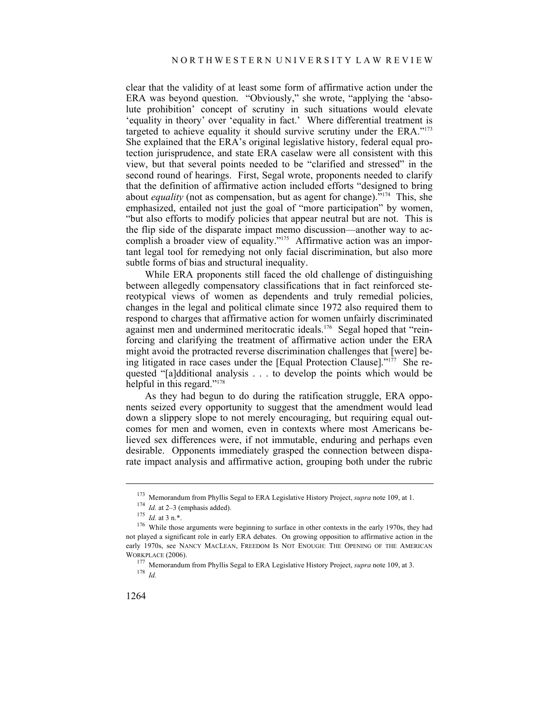clear that the validity of at least some form of affirmative action under the ERA was beyond question. "Obviously," she wrote, "applying the 'absolute prohibition' concept of scrutiny in such situations would elevate 'equality in theory' over 'equality in fact.' Where differential treatment is targeted to achieve equality it should survive scrutiny under the ERA."173 She explained that the ERA's original legislative history, federal equal protection jurisprudence, and state ERA caselaw were all consistent with this view, but that several points needed to be "clarified and stressed" in the second round of hearings. First, Segal wrote, proponents needed to clarify that the definition of affirmative action included efforts "designed to bring about *equality* (not as compensation, but as agent for change)."174 This, she emphasized, entailed not just the goal of "more participation" by women, "but also efforts to modify policies that appear neutral but are not. This is the flip side of the disparate impact memo discussion—another way to accomplish a broader view of equality."<sup>175</sup> Affirmative action was an important legal tool for remedying not only facial discrimination, but also more subtle forms of bias and structural inequality.

While ERA proponents still faced the old challenge of distinguishing between allegedly compensatory classifications that in fact reinforced stereotypical views of women as dependents and truly remedial policies, changes in the legal and political climate since 1972 also required them to respond to charges that affirmative action for women unfairly discriminated against men and undermined meritocratic ideals.176 Segal hoped that "reinforcing and clarifying the treatment of affirmative action under the ERA might avoid the protracted reverse discrimination challenges that [were] being litigated in race cases under the [Equal Protection Clause]."177 She requested "[a]dditional analysis . . . to develop the points which would be helpful in this regard."<sup>178</sup>

As they had begun to do during the ratification struggle, ERA opponents seized every opportunity to suggest that the amendment would lead down a slippery slope to not merely encouraging, but requiring equal outcomes for men and women, even in contexts where most Americans believed sex differences were, if not immutable, enduring and perhaps even desirable. Opponents immediately grasped the connection between disparate impact analysis and affirmative action, grouping both under the rubric

<sup>&</sup>lt;sup>173</sup> Memorandum from Phyllis Segal to ERA Legislative History Project, *supra* note 109, at 1.<br><sup>174</sup> *Id.* at 2–3 (emphasis added).<br><sup>175</sup> *Id.* at 3 n.\*.<br><sup>176</sup> While those arguments were beginning to surface in other con not played a significant role in early ERA debates. On growing opposition to affirmative action in the early 1970s, see NANCY MACLEAN, FREEDOM IS NOT ENOUGH: THE OPENING OF THE AMERICAN

WORKPLACE (2006). 177 Memorandum from Phyllis Segal to ERA Legislative History Project, *supra* note 109, at 3. 178 *Id.*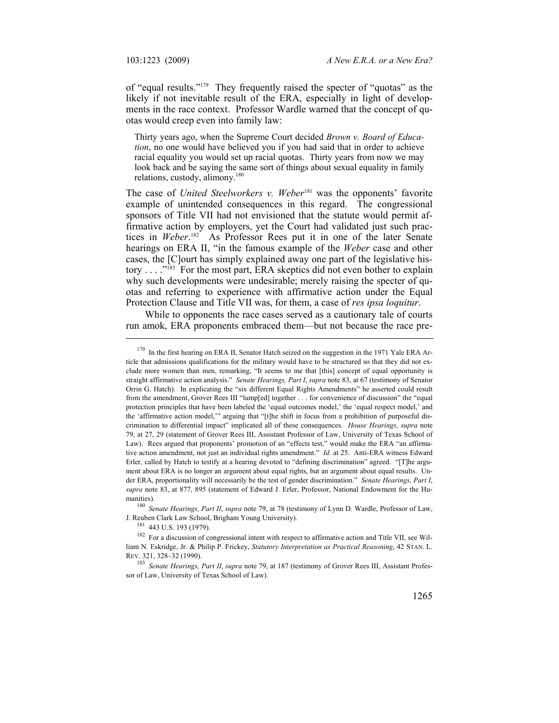of "equal results."179 They frequently raised the specter of "quotas" as the likely if not inevitable result of the ERA, especially in light of developments in the race context. Professor Wardle warned that the concept of quotas would creep even into family law:

Thirty years ago, when the Supreme Court decided *Brown v. Board of Education*, no one would have believed you if you had said that in order to achieve racial equality you would set up racial quotas. Thirty years from now we may look back and be saying the same sort of things about sexual equality in family relations, custody, alimony.<sup>180</sup>

The case of *United Steelworkers v. Weber*<sup>181</sup> was the opponents' favorite example of unintended consequences in this regard. The congressional sponsors of Title VII had not envisioned that the statute would permit affirmative action by employers, yet the Court had validated just such practices in *Weber*. 182 As Professor Rees put it in one of the later Senate hearings on ERA II, "in the famous example of the *Weber* case and other cases, the [C]ourt has simply explained away one part of the legislative history . . . . "<sup>183</sup> For the most part, ERA skeptics did not even bother to explain why such developments were undesirable; merely raising the specter of quotas and referring to experience with affirmative action under the Equal Protection Clause and Title VII was, for them, a case of *res ipsa loquitur*.

While to opponents the race cases served as a cautionary tale of courts run amok, ERA proponents embraced them—but not because the race pre-

manities).<br><sup>180</sup> *Senate Hearings, Part II, supra* note 79, at 78 (testimony of Lynn D. Wardle, Professor of Law, J. Reuben Clark Law School, Brigham Young University).

<sup>&</sup>lt;sup>179</sup> In the first hearing on ERA II, Senator Hatch seized on the suggestion in the 1971 Yale ERA Article that admissions qualifications for the military would have to be structured so that they did not exclude more women than men, remarking, "It seems to me that [this] concept of equal opportunity is straight affirmative action analysis." *Senate Hearings, Part I*, *supra* note 83, at 67 (testimony of Senator Orrin G. Hatch). In explicating the "six different Equal Rights Amendments" he asserted could result from the amendment, Grover Rees III "lump[ed] together . . . for convenience of discussion" the "equal protection principles that have been labeled the 'equal outcomes model,' the 'equal respect model,' and the 'affirmative action model,'" arguing that "[t]he shift in focus from a prohibition of purposeful discrimination to differential impact" implicated all of these consequences. *House Hearings*, *supra* note 79, at 27, 29 (statement of Grover Rees III, Assistant Professor of Law, University of Texas School of Law). Rees argued that proponents' promotion of an "effects test," would make the ERA "an affirmative action amendment, not just an individual rights amendment." *Id.* at 25. Anti-ERA witness Edward Erler, called by Hatch to testify at a hearing devoted to "defining discrimination" agreed. "[T]he argument about ERA is no longer an argument about equal rights, but an argument about equal results. Under ERA, proportionality will necessarily be the test of gender discrimination." *Senate Hearings, Part I*, *supra* note 83, at 877, 895 (statement of Edward J. Erler, Professor, National Endowment for the Hu-

<sup>&</sup>lt;sup>181</sup> 443 U.S. 193 (1979). <sup>181</sup> For a discussion of congressional intent with respect to affirmative action and Title VII, see William N. Eskridge, Jr. & Philip P. Frickey, *Statutory Interpretation as Practical Reasoning*, 42 STAN. L. REV. 321, 328–32 (1990).

<sup>183</sup> *Senate Hearings, Part II*, *supra* note 79, at 187 (testimony of Grover Rees III, Assistant Professor of Law, University of Texas School of Law).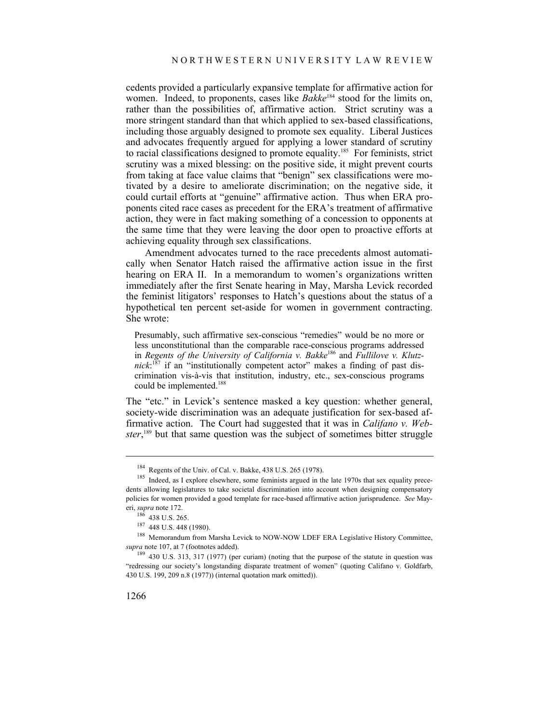cedents provided a particularly expansive template for affirmative action for women. Indeed, to proponents, cases like *Bakke*<sup>184</sup> stood for the limits on, rather than the possibilities of, affirmative action. Strict scrutiny was a more stringent standard than that which applied to sex-based classifications, including those arguably designed to promote sex equality. Liberal Justices and advocates frequently argued for applying a lower standard of scrutiny to racial classifications designed to promote equality.185 For feminists, strict scrutiny was a mixed blessing: on the positive side, it might prevent courts from taking at face value claims that "benign" sex classifications were motivated by a desire to ameliorate discrimination; on the negative side, it could curtail efforts at "genuine" affirmative action. Thus when ERA proponents cited race cases as precedent for the ERA's treatment of affirmative action, they were in fact making something of a concession to opponents at the same time that they were leaving the door open to proactive efforts at achieving equality through sex classifications.

Amendment advocates turned to the race precedents almost automatically when Senator Hatch raised the affirmative action issue in the first hearing on ERA II. In a memorandum to women's organizations written immediately after the first Senate hearing in May, Marsha Levick recorded the feminist litigators' responses to Hatch's questions about the status of a hypothetical ten percent set-aside for women in government contracting. She wrote:

Presumably, such affirmative sex-conscious "remedies" would be no more or less unconstitutional than the comparable race-conscious programs addressed in *Regents of the University of California v. Bakke<sup>186</sup> and <i>Fullilove v. Klutz*nick:<sup>187</sup> if an "institutionally competent actor" makes a finding of past discrimination vis-à-vis that institution, industry, etc., sex-conscious programs could be implemented.<sup>188</sup>

The "etc." in Levick's sentence masked a key question: whether general, society-wide discrimination was an adequate justification for sex-based affirmative action. The Court had suggested that it was in *Califano v. Webster*, 189 but that same question was the subject of sometimes bitter struggle

<sup>&</sup>lt;sup>184</sup> Regents of the Univ. of Cal. v. Bakke, 438 U.S. 265 (1978).<br><sup>185</sup> Indeed, as I explore elsewhere, some feminists argued in the late 1970s that sex equality precedents allowing legislatures to take societal discrimination into account when designing compensatory policies for women provided a good template for race-based affirmative action jurisprudence. *See* May-

eri, *supra* note 172.<br><sup>186</sup> 438 U.S. 265.<br><sup>187</sup> 448 U.S. 448 (1980).<br><sup>188</sup> Memorandum from Marsha Levick to NOW-NOW LDEF ERA Legislative History Committee,<br>*supra* note 107, at 7 (footnotes added).

<sup>&</sup>lt;sup>189</sup> 430 U.S. 313, 317 (1977) (per curiam) (noting that the purpose of the statute in question was "redressing our society's longstanding disparate treatment of women" (quoting Califano v. Goldfarb, 430 U.S. 199, 209 n.8 (1977)) (internal quotation mark omitted)).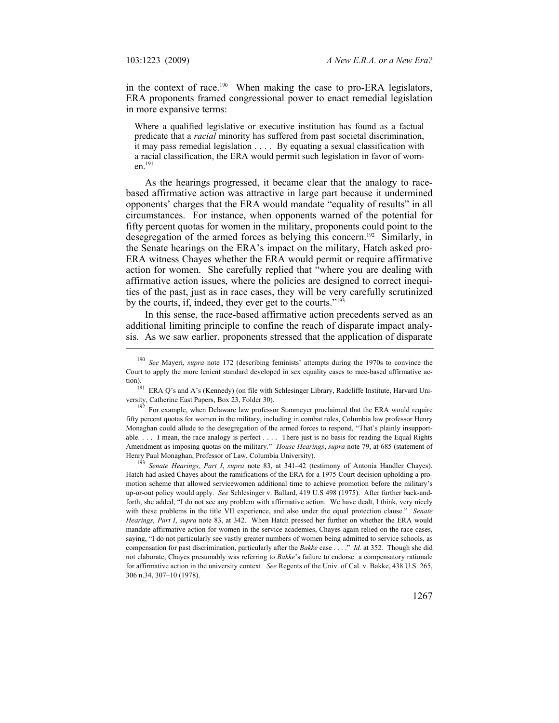in the context of race.<sup>190</sup> When making the case to pro-ERA legislators, ERA proponents framed congressional power to enact remedial legislation in more expansive terms:

Where a qualified legislative or executive institution has found as a factual predicate that a *racial* minority has suffered from past societal discrimination, it may pass remedial legislation . . . . By equating a sexual classification with a racial classification, the ERA would permit such legislation in favor of women.191

As the hearings progressed, it became clear that the analogy to racebased affirmative action was attractive in large part because it undermined opponents' charges that the ERA would mandate "equality of results" in all circumstances. For instance, when opponents warned of the potential for fifty percent quotas for women in the military, proponents could point to the desegregation of the armed forces as belying this concern.192 Similarly, in the Senate hearings on the ERA's impact on the military, Hatch asked pro-ERA witness Chayes whether the ERA would permit or require affirmative action for women. She carefully replied that "where you are dealing with affirmative action issues, where the policies are designed to correct inequities of the past, just as in race cases, they will be very carefully scrutinized by the courts, if, indeed, they ever get to the courts."193

In this sense, the race-based affirmative action precedents served as an additional limiting principle to confine the reach of disparate impact analysis. As we saw earlier, proponents stressed that the application of disparate

<sup>190</sup> *See* Mayeri, *supra* note 172 (describing feminists' attempts during the 1970s to convince the Court to apply the more lenient standard developed in sex equality cases to race-based affirmative ac-

tion). 191 ERA Q's and A's (Kennedy) (on file with Schlesinger Library, Radcliffe Institute, Harvard Uni-

versity, Catherine East Papers, Box 23, Folder 30).<br><sup>192</sup> For example, when Delaware law professor Stanmeyer proclaimed that the ERA would require fifty percent quotas for women in the military, including in combat roles, Columbia law professor Henry Monaghan could allude to the desegregation of the armed forces to respond, "That's plainly insupportable. . . . I mean, the race analogy is perfect . . . . There just is no basis for reading the Equal Rights Amendment as imposing quotas on the military." *House Hearings*, *supra* note 79, at 685 (statement of Henry Paul Monaghan, Professor of Law, Columbia University). 193 *Senate Hearings, Part I*, *supra* note 83, at 341–42 (testimony of Antonia Handler Chayes).

Hatch had asked Chayes about the ramifications of the ERA for a 1975 Court decision upholding a promotion scheme that allowed servicewomen additional time to achieve promotion before the military's up-or-out policy would apply. *See* Schlesinger v. Ballard, 419 U.S 498 (1975). After further back-andforth, she added, "I do not see any problem with affirmative action. We have dealt, I think, very nicely with these problems in the title VII experience, and also under the equal protection clause." *Senate Hearings, Part I*, *supra* note 83, at 342. When Hatch pressed her further on whether the ERA would mandate affirmative action for women in the service academies, Chayes again relied on the race cases, saying, "I do not particularly see vastly greater numbers of women being admitted to service schools, as compensation for past discrimination, particularly after the *Bakke* case . . . ." *Id.* at 352. Though she did not elaborate, Chayes presumably was referring to *Bakke*'s failure to endorse a compensatory rationale for affirmative action in the university context. *See* Regents of the Univ. of Cal. v. Bakke, 438 U.S. 265, 306 n.34, 307–10 (1978).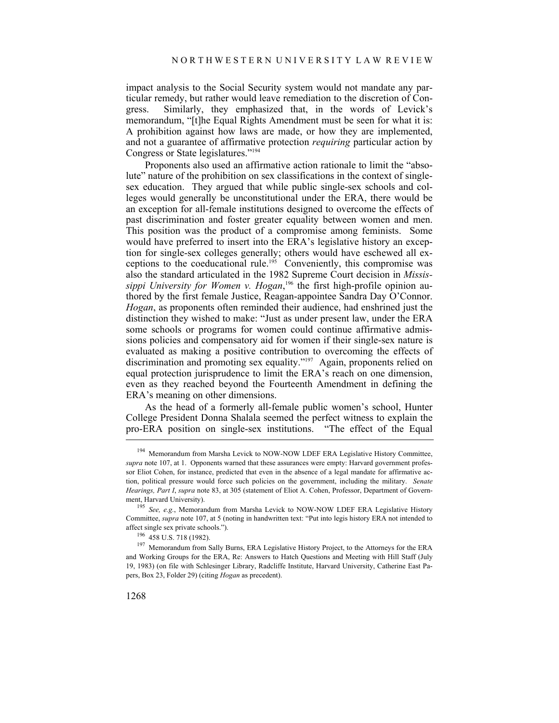impact analysis to the Social Security system would not mandate any particular remedy, but rather would leave remediation to the discretion of Congress. Similarly, they emphasized that, in the words of Levick's memorandum, "[t]he Equal Rights Amendment must be seen for what it is: A prohibition against how laws are made, or how they are implemented, and not a guarantee of affirmative protection *requiring* particular action by Congress or State legislatures."194

Proponents also used an affirmative action rationale to limit the "absolute" nature of the prohibition on sex classifications in the context of singlesex education. They argued that while public single-sex schools and colleges would generally be unconstitutional under the ERA, there would be an exception for all-female institutions designed to overcome the effects of past discrimination and foster greater equality between women and men. This position was the product of a compromise among feminists. Some would have preferred to insert into the ERA's legislative history an exception for single-sex colleges generally; others would have eschewed all exceptions to the coeducational rule.195 Conveniently, this compromise was also the standard articulated in the 1982 Supreme Court decision in *Mississippi University for Women v. Hogan*, 196 the first high-profile opinion authored by the first female Justice, Reagan-appointee Sandra Day O'Connor. *Hogan*, as proponents often reminded their audience, had enshrined just the distinction they wished to make: "Just as under present law, under the ERA some schools or programs for women could continue affirmative admissions policies and compensatory aid for women if their single-sex nature is evaluated as making a positive contribution to overcoming the effects of discrimination and promoting sex equality."<sup>197</sup> Again, proponents relied on equal protection jurisprudence to limit the ERA's reach on one dimension, even as they reached beyond the Fourteenth Amendment in defining the ERA's meaning on other dimensions.

As the head of a formerly all-female public women's school, Hunter College President Donna Shalala seemed the perfect witness to explain the pro-ERA position on single-sex institutions. "The effect of the Equal

<sup>&</sup>lt;sup>194</sup> Memorandum from Marsha Levick to NOW-NOW LDEF ERA Legislative History Committee, *supra* note 107, at 1. Opponents warned that these assurances were empty: Harvard government professor Eliot Cohen, for instance, predicted that even in the absence of a legal mandate for affirmative action, political pressure would force such policies on the government, including the military. *Senate Hearings, Part I*, *supra* note 83, at 305 (statement of Eliot A. Cohen, Professor, Department of Govern-

ment, Harvard University).<br><sup>195</sup> *See, e.g.*, Memorandum from Marsha Levick to NOW-NOW LDEF ERA Legislative History Committee, *supra* note 107, at 5 (noting in handwritten text: "Put into legis history ERA not intended to affect single sex private schools.").<br><sup>196</sup> 458 U.S. 718 (1982).<br><sup>197</sup> Memorandum from Sally Burns, ERA Legislative History Project, to the Attorneys for the ERA

and Working Groups for the ERA, Re: Answers to Hatch Questions and Meeting with Hill Staff (July 19, 1983) (on file with Schlesinger Library, Radcliffe Institute, Harvard University, Catherine East Papers, Box 23, Folder 29) (citing *Hogan* as precedent).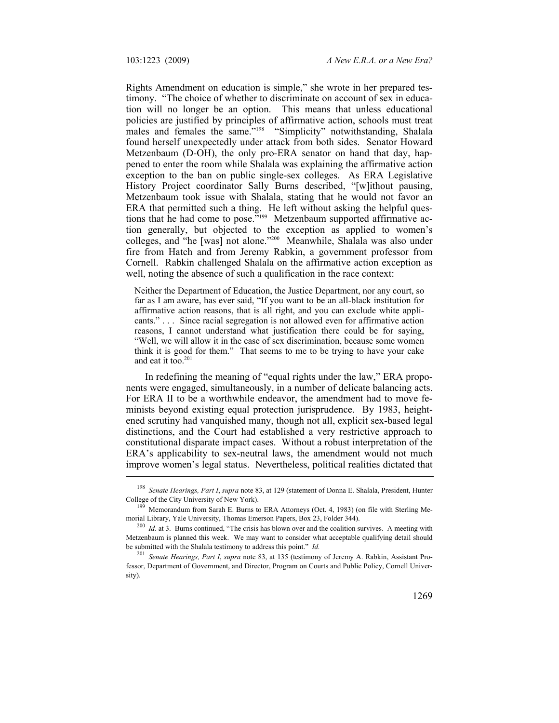Rights Amendment on education is simple," she wrote in her prepared testimony. "The choice of whether to discriminate on account of sex in education will no longer be an option. This means that unless educational policies are justified by principles of affirmative action, schools must treat males and females the same."<sup>198</sup> "Simplicity" notwithstanding, Shalala found herself unexpectedly under attack from both sides. Senator Howard Metzenbaum (D-OH), the only pro-ERA senator on hand that day, happened to enter the room while Shalala was explaining the affirmative action exception to the ban on public single-sex colleges. As ERA Legislative History Project coordinator Sally Burns described, "[w]ithout pausing, Metzenbaum took issue with Shalala, stating that he would not favor an ERA that permitted such a thing. He left without asking the helpful questions that he had come to pose."199 Metzenbaum supported affirmative action generally, but objected to the exception as applied to women's colleges, and "he [was] not alone."200 Meanwhile, Shalala was also under fire from Hatch and from Jeremy Rabkin, a government professor from Cornell. Rabkin challenged Shalala on the affirmative action exception as well, noting the absence of such a qualification in the race context:

Neither the Department of Education, the Justice Department, nor any court, so far as I am aware, has ever said, "If you want to be an all-black institution for affirmative action reasons, that is all right, and you can exclude white applicants." . . . Since racial segregation is not allowed even for affirmative action reasons, I cannot understand what justification there could be for saying, "Well, we will allow it in the case of sex discrimination, because some women think it is good for them." That seems to me to be trying to have your cake and eat it too.<sup>201</sup>

In redefining the meaning of "equal rights under the law," ERA proponents were engaged, simultaneously, in a number of delicate balancing acts. For ERA II to be a worthwhile endeavor, the amendment had to move feminists beyond existing equal protection jurisprudence. By 1983, heightened scrutiny had vanquished many, though not all, explicit sex-based legal distinctions, and the Court had established a very restrictive approach to constitutional disparate impact cases. Without a robust interpretation of the ERA's applicability to sex-neutral laws, the amendment would not much improve women's legal status. Nevertheless, political realities dictated that

<sup>198</sup> *Senate Hearings, Part I*, *supra* note 83, at 129 (statement of Donna E. Shalala, President, Hunter

College of the City University of New York).<br><sup>199</sup> Memorandum from Sarah E. Burns to ERA Attorneys (Oct. 4, 1983) (on file with Sterling Me-<br>morial Library, Yale University, Thomas Emerson Papers, Box 23, Folder 344).

<sup>&</sup>lt;sup>200</sup> *Id.* at 3. Burns continued, "The crisis has blown over and the coalition survives. A meeting with Metzenbaum is planned this week. We may want to consider what acceptable qualifying detail should be submitted with the Shalala testimony to address this point." *Id.* 201 *Senate Hearings, Part I*, *supra* note 83, at 135 (testimony of Jeremy A. Rabkin, Assistant Pro-

fessor, Department of Government, and Director, Program on Courts and Public Policy, Cornell University).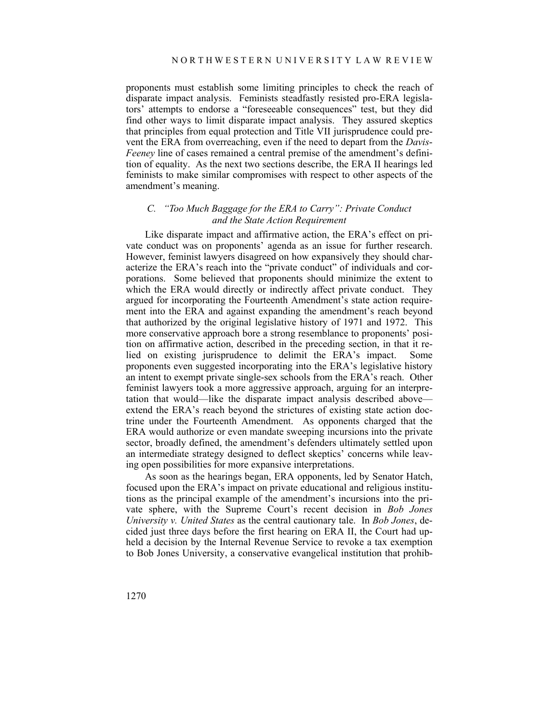proponents must establish some limiting principles to check the reach of disparate impact analysis. Feminists steadfastly resisted pro-ERA legislators' attempts to endorse a "foreseeable consequences" test, but they did find other ways to limit disparate impact analysis. They assured skeptics that principles from equal protection and Title VII jurisprudence could prevent the ERA from overreaching, even if the need to depart from the *Davis*-*Feeney* line of cases remained a central premise of the amendment's definition of equality. As the next two sections describe, the ERA II hearings led feminists to make similar compromises with respect to other aspects of the amendment's meaning.

### *C. "Too Much Baggage for the ERA to Carry": Private Conduct and the State Action Requirement*

Like disparate impact and affirmative action, the ERA's effect on private conduct was on proponents' agenda as an issue for further research. However, feminist lawyers disagreed on how expansively they should characterize the ERA's reach into the "private conduct" of individuals and corporations. Some believed that proponents should minimize the extent to which the ERA would directly or indirectly affect private conduct. They argued for incorporating the Fourteenth Amendment's state action requirement into the ERA and against expanding the amendment's reach beyond that authorized by the original legislative history of 1971 and 1972. This more conservative approach bore a strong resemblance to proponents' position on affirmative action, described in the preceding section, in that it relied on existing jurisprudence to delimit the ERA's impact. Some proponents even suggested incorporating into the ERA's legislative history an intent to exempt private single-sex schools from the ERA's reach. Other feminist lawyers took a more aggressive approach, arguing for an interpretation that would—like the disparate impact analysis described above extend the ERA's reach beyond the strictures of existing state action doctrine under the Fourteenth Amendment. As opponents charged that the ERA would authorize or even mandate sweeping incursions into the private sector, broadly defined, the amendment's defenders ultimately settled upon an intermediate strategy designed to deflect skeptics' concerns while leaving open possibilities for more expansive interpretations.

As soon as the hearings began, ERA opponents, led by Senator Hatch, focused upon the ERA's impact on private educational and religious institutions as the principal example of the amendment's incursions into the private sphere, with the Supreme Court's recent decision in *Bob Jones University v. United States* as the central cautionary tale. In *Bob Jones*, decided just three days before the first hearing on ERA II, the Court had upheld a decision by the Internal Revenue Service to revoke a tax exemption to Bob Jones University, a conservative evangelical institution that prohib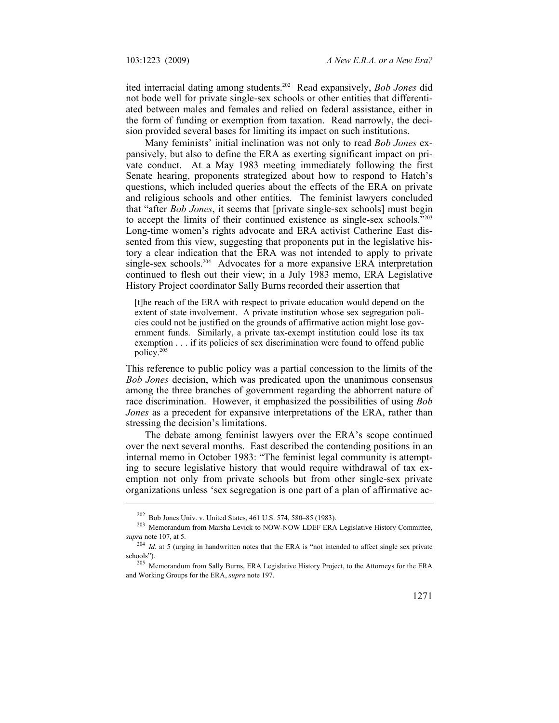ited interracial dating among students.202 Read expansively, *Bob Jones* did not bode well for private single-sex schools or other entities that differentiated between males and females and relied on federal assistance, either in the form of funding or exemption from taxation. Read narrowly, the decision provided several bases for limiting its impact on such institutions.

Many feminists' initial inclination was not only to read *Bob Jones* expansively, but also to define the ERA as exerting significant impact on private conduct. At a May 1983 meeting immediately following the first Senate hearing, proponents strategized about how to respond to Hatch's questions, which included queries about the effects of the ERA on private and religious schools and other entities. The feminist lawyers concluded that "after *Bob Jones*, it seems that [private single-sex schools] must begin to accept the limits of their continued existence as single-sex schools."203 Long-time women's rights advocate and ERA activist Catherine East dissented from this view, suggesting that proponents put in the legislative history a clear indication that the ERA was not intended to apply to private single-sex schools.<sup>204</sup> Advocates for a more expansive ERA interpretation continued to flesh out their view; in a July 1983 memo, ERA Legislative History Project coordinator Sally Burns recorded their assertion that

[t]he reach of the ERA with respect to private education would depend on the extent of state involvement. A private institution whose sex segregation policies could not be justified on the grounds of affirmative action might lose government funds. Similarly, a private tax-exempt institution could lose its tax exemption . . . if its policies of sex discrimination were found to offend public policy.205

This reference to public policy was a partial concession to the limits of the *Bob Jones* decision, which was predicated upon the unanimous consensus among the three branches of government regarding the abhorrent nature of race discrimination. However, it emphasized the possibilities of using *Bob Jones* as a precedent for expansive interpretations of the ERA, rather than stressing the decision's limitations.

The debate among feminist lawyers over the ERA's scope continued over the next several months. East described the contending positions in an internal memo in October 1983: "The feminist legal community is attempting to secure legislative history that would require withdrawal of tax exemption not only from private schools but from other single-sex private organizations unless 'sex segregation is one part of a plan of affirmative ac-

<sup>&</sup>lt;sup>202</sup> Bob Jones Univ. v. United States, 461 U.S. 574, 580–85 (1983).<br><sup>203</sup> Memorandum from Marsha Levick to NOW-NOW LDEF ERA Legislative History Committee, *supra* note 107, at 5. 204 *Id.* at 5 (urging in handwritten notes that the ERA is "not intended to affect single sex private

schools").<br><sup>205</sup> Memorandum from Sally Burns, ERA Legislative History Project, to the Attorneys for the ERA

and Working Groups for the ERA, *supra* note 197.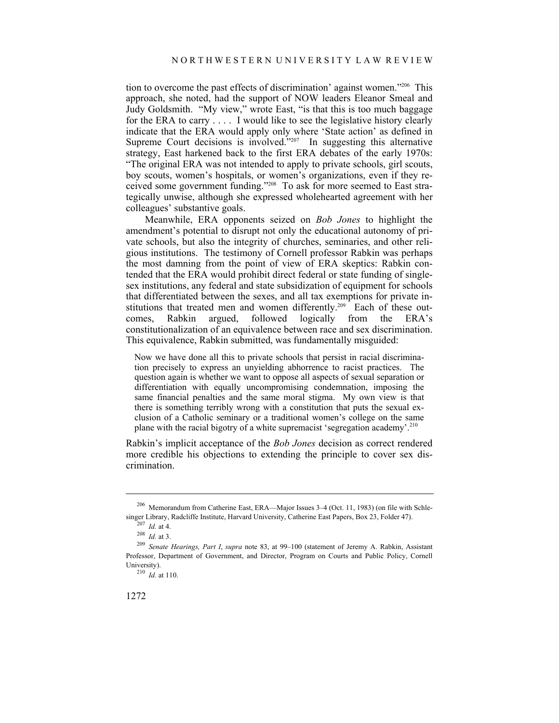tion to overcome the past effects of discrimination' against women."206 This approach, she noted, had the support of NOW leaders Eleanor Smeal and Judy Goldsmith. "My view," wrote East, "is that this is too much baggage for the ERA to carry . . . . I would like to see the legislative history clearly indicate that the ERA would apply only where 'State action' as defined in Supreme Court decisions is  $involved^{207}$  In suggesting this alternative strategy, East harkened back to the first ERA debates of the early 1970s: "The original ERA was not intended to apply to private schools, girl scouts, boy scouts, women's hospitals, or women's organizations, even if they received some government funding."208 To ask for more seemed to East strategically unwise, although she expressed wholehearted agreement with her colleagues' substantive goals.

Meanwhile, ERA opponents seized on *Bob Jones* to highlight the amendment's potential to disrupt not only the educational autonomy of private schools, but also the integrity of churches, seminaries, and other religious institutions. The testimony of Cornell professor Rabkin was perhaps the most damning from the point of view of ERA skeptics: Rabkin contended that the ERA would prohibit direct federal or state funding of singlesex institutions, any federal and state subsidization of equipment for schools that differentiated between the sexes, and all tax exemptions for private institutions that treated men and women differently.<sup>209</sup> Each of these outcomes, Rabkin argued, followed logically from the ERA's constitutionalization of an equivalence between race and sex discrimination. This equivalence, Rabkin submitted, was fundamentally misguided:

Now we have done all this to private schools that persist in racial discrimination precisely to express an unyielding abhorrence to racist practices. The question again is whether we want to oppose all aspects of sexual separation or differentiation with equally uncompromising condemnation, imposing the same financial penalties and the same moral stigma. My own view is that there is something terribly wrong with a constitution that puts the sexual exclusion of a Catholic seminary or a traditional women's college on the same plane with the racial bigotry of a white supremacist 'segregation academy'.210

Rabkin's implicit acceptance of the *Bob Jones* decision as correct rendered more credible his objections to extending the principle to cover sex discrimination.

<sup>&</sup>lt;sup>206</sup> Memorandum from Catherine East, ERA—Major Issues 3–4 (Oct. 11, 1983) (on file with Schlesinger Library, Radcliffe Institute, Harvard University, Catherine East Papers, Box 23, Folder 47).

<sup>207</sup> *Id.* at 4.<br>
208 *Id.* at 3.<br>
<sup>209</sup> *Senate Hearings, Part I, supra* note 83, at 99–100 (statement of Jeremy A. Rabkin, Assistant Professor, Department of Government, and Director, Program on Courts and Public Policy, Cornell University).<br> $^{210}$  *Id.* at 110.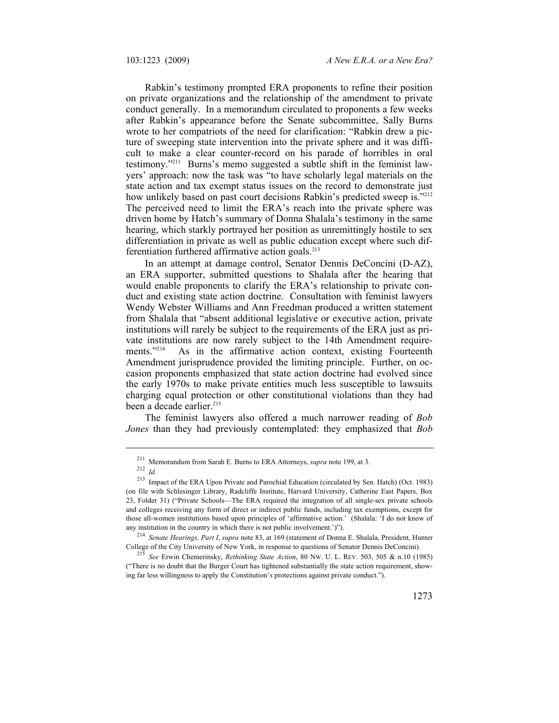Rabkin's testimony prompted ERA proponents to refine their position on private organizations and the relationship of the amendment to private conduct generally. In a memorandum circulated to proponents a few weeks after Rabkin's appearance before the Senate subcommittee, Sally Burns wrote to her compatriots of the need for clarification: "Rabkin drew a picture of sweeping state intervention into the private sphere and it was difficult to make a clear counter-record on his parade of horribles in oral testimony."211 Burns's memo suggested a subtle shift in the feminist lawyers' approach: now the task was "to have scholarly legal materials on the state action and tax exempt status issues on the record to demonstrate just how unlikely based on past court decisions Rabkin's predicted sweep is.<sup>7212</sup> The perceived need to limit the ERA's reach into the private sphere was driven home by Hatch's summary of Donna Shalala's testimony in the same hearing, which starkly portrayed her position as unremittingly hostile to sex differentiation in private as well as public education except where such differentiation furthered affirmative action goals.<sup>213</sup>

In an attempt at damage control, Senator Dennis DeConcini (D-AZ), an ERA supporter, submitted questions to Shalala after the hearing that would enable proponents to clarify the ERA's relationship to private conduct and existing state action doctrine. Consultation with feminist lawyers Wendy Webster Williams and Ann Freedman produced a written statement from Shalala that "absent additional legislative or executive action, private institutions will rarely be subject to the requirements of the ERA just as private institutions are now rarely subject to the 14th Amendment requirements."<sup>214</sup> As in the affirmative action context, existing Fourteenth Amendment jurisprudence provided the limiting principle. Further, on occasion proponents emphasized that state action doctrine had evolved since the early 1970s to make private entities much less susceptible to lawsuits charging equal protection or other constitutional violations than they had been a decade earlier.<sup>215</sup>

The feminist lawyers also offered a much narrower reading of *Bob Jones* than they had previously contemplated: they emphasized that *Bob* 

<sup>211</sup> Memorandum from Sarah E. Burns to ERA Attorneys, *supra* note 199, at 3. 212 *Id.*

<sup>213</sup> Impact of the ERA Upon Private and Parochial Education (circulated by Sen. Hatch) (Oct. 1983) (on file with Schlesinger Library, Radcliffe Institute, Harvard University, Catherine East Papers, Box 23, Folder 31) ("Private Schools—The ERA required the integration of all single-sex private schools and colleges receiving any form of direct or indirect public funds, including tax exemptions, except for those all-women institutions based upon principles of 'affirmative action.' (Shalala: 'I do not know of

any institution in the country in which there is not public involvement.')").<br><sup>214</sup> *Senate Hearings, Part I, supra* note 83, at 169 (statement of Donna E. Shalala, President, Hunter<br>College of the City University of New Y

<sup>&</sup>lt;sup>215</sup> See Erwin Chemerinsky, *Rethinking State Action*, 80 Nw. U. L. REV. 503, 505 & n.10 (1985) ("There is no doubt that the Burger Court has tightened substantially the state action requirement, showing far less willingness to apply the Constitution's protections against private conduct.").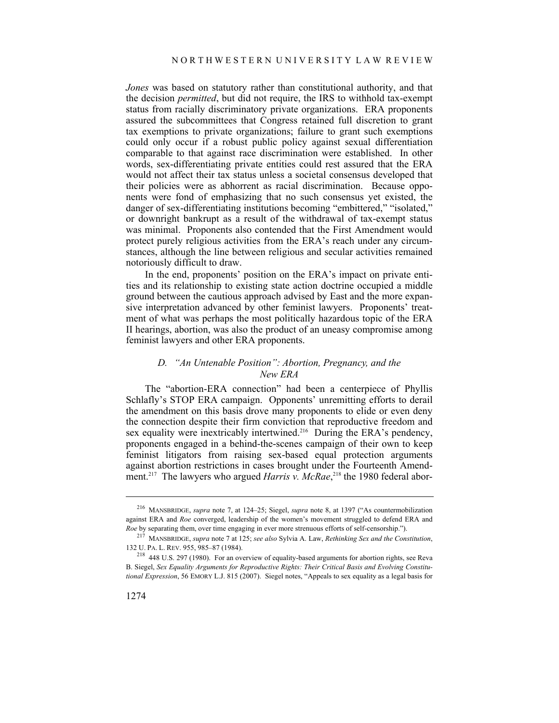*Jones* was based on statutory rather than constitutional authority, and that the decision *permitted*, but did not require, the IRS to withhold tax-exempt status from racially discriminatory private organizations. ERA proponents assured the subcommittees that Congress retained full discretion to grant tax exemptions to private organizations; failure to grant such exemptions could only occur if a robust public policy against sexual differentiation comparable to that against race discrimination were established. In other words, sex-differentiating private entities could rest assured that the ERA would not affect their tax status unless a societal consensus developed that their policies were as abhorrent as racial discrimination. Because opponents were fond of emphasizing that no such consensus yet existed, the danger of sex-differentiating institutions becoming "embittered," "isolated," or downright bankrupt as a result of the withdrawal of tax-exempt status was minimal. Proponents also contended that the First Amendment would protect purely religious activities from the ERA's reach under any circumstances, although the line between religious and secular activities remained notoriously difficult to draw.

In the end, proponents' position on the ERA's impact on private entities and its relationship to existing state action doctrine occupied a middle ground between the cautious approach advised by East and the more expansive interpretation advanced by other feminist lawyers. Proponents' treatment of what was perhaps the most politically hazardous topic of the ERA II hearings, abortion, was also the product of an uneasy compromise among feminist lawyers and other ERA proponents.

## *D. "An Untenable Position": Abortion, Pregnancy, and the New ERA*

The "abortion-ERA connection" had been a centerpiece of Phyllis Schlafly's STOP ERA campaign. Opponents' unremitting efforts to derail the amendment on this basis drove many proponents to elide or even deny the connection despite their firm conviction that reproductive freedom and sex equality were inextricably intertwined.<sup>216</sup> During the ERA's pendency, proponents engaged in a behind-the-scenes campaign of their own to keep feminist litigators from raising sex-based equal protection arguments against abortion restrictions in cases brought under the Fourteenth Amendment.<sup>217</sup> The lawyers who argued *Harris v. McRae*,<sup>218</sup> the 1980 federal abor-

<sup>216</sup> MANSBRIDGE, *supra* note 7, at 124–25; Siegel, *supra* note 8, at 1397 ("As countermobilization against ERA and *Roe* converged, leadership of the women's movement struggled to defend ERA and

*Roe* by separating them, over time engaging in ever more strenuous efforts of self-censorship."). 217 MANSBRIDGE, *supra* note 7 at 125; *see also* Sylvia A. Law, *Rethinking Sex and the Constitution*,

 $18$  448 U.S. 297 (1980). For an overview of equality-based arguments for abortion rights, see Reva B. Siegel, *Sex Equality Arguments for Reproductive Rights: Their Critical Basis and Evolving Constitutional Expression*, 56 EMORY L.J. 815 (2007). Siegel notes, "Appeals to sex equality as a legal basis for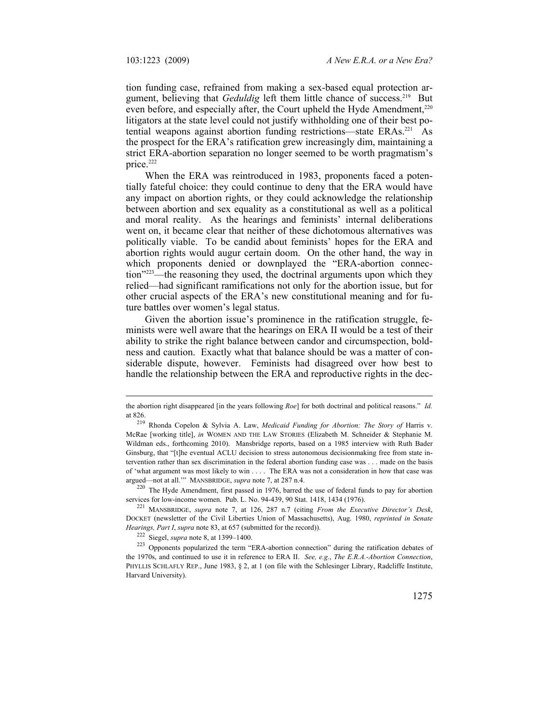tion funding case, refrained from making a sex-based equal protection argument, believing that *Geduldig* left them little chance of success.<sup>219</sup> But even before, and especially after, the Court upheld the Hyde Amendment, $220$ litigators at the state level could not justify withholding one of their best potential weapons against abortion funding restrictions—state ERAs.<sup>221</sup> As the prospect for the ERA's ratification grew increasingly dim, maintaining a strict ERA-abortion separation no longer seemed to be worth pragmatism's price.222

When the ERA was reintroduced in 1983, proponents faced a potentially fateful choice: they could continue to deny that the ERA would have any impact on abortion rights, or they could acknowledge the relationship between abortion and sex equality as a constitutional as well as a political and moral reality. As the hearings and feminists' internal deliberations went on, it became clear that neither of these dichotomous alternatives was politically viable. To be candid about feminists' hopes for the ERA and abortion rights would augur certain doom. On the other hand, the way in which proponents denied or downplayed the "ERA-abortion connection"<sup>223</sup>—the reasoning they used, the doctrinal arguments upon which they relied—had significant ramifications not only for the abortion issue, but for other crucial aspects of the ERA's new constitutional meaning and for future battles over women's legal status.

Given the abortion issue's prominence in the ratification struggle, feminists were well aware that the hearings on ERA II would be a test of their ability to strike the right balance between candor and circumspection, boldness and caution. Exactly what that balance should be was a matter of considerable dispute, however. Feminists had disagreed over how best to handle the relationship between the ERA and reproductive rights in the dec-

services for low-income women. Pub. L. No. 94-439, 90 Stat. 1418, 1434 (1976). 221 MANSBRIDGE, *supra* note 7, at 126, 287 n.7 (citing *From the Executive Director's Desk*,

 $\overline{a}$ 

the abortion right disappeared [in the years following *Roe*] for both doctrinal and political reasons." *Id.* at 826. 219 Rhonda Copelon & Sylvia A. Law, *Medicaid Funding for Abortion: The Story of* Harris v.

McRae [working title], *in* WOMEN AND THE LAW STORIES (Elizabeth M. Schneider & Stephanie M. Wildman eds., forthcoming 2010). Mansbridge reports, based on a 1985 interview with Ruth Bader Ginsburg, that "[t]he eventual ACLU decision to stress autonomous decisionmaking free from state intervention rather than sex discrimination in the federal abortion funding case was . . . made on the basis of 'what argument was most likely to win . . . . The ERA was not a consideration in how that case was argued—not at all.'" MANSBRIDGE, *supra* note 7, at 287 n.4. 220 The Hyde Amendment, first passed in 1976, barred the use of federal funds to pay for abortion

DOCKET (newsletter of the Civil Liberties Union of Massachusetts), Aug. 1980, *reprinted in Senate*  Hearings, Part I, supra note 83, at 657 (submitted for the record)).<br>
<sup>222</sup> Siegel, *supra* note 8, at 1399–1400.<br>
<sup>223</sup> Opponents popularized the term "ERA-abortion connection" during the ratification debates of

the 1970s, and continued to use it in reference to ERA II. *See, e.g.*, *The E.R.A.-Abortion Connection*, PHYLLIS SCHLAFLY REP., June 1983, § 2, at 1 (on file with the Schlesinger Library, Radcliffe Institute, Harvard University).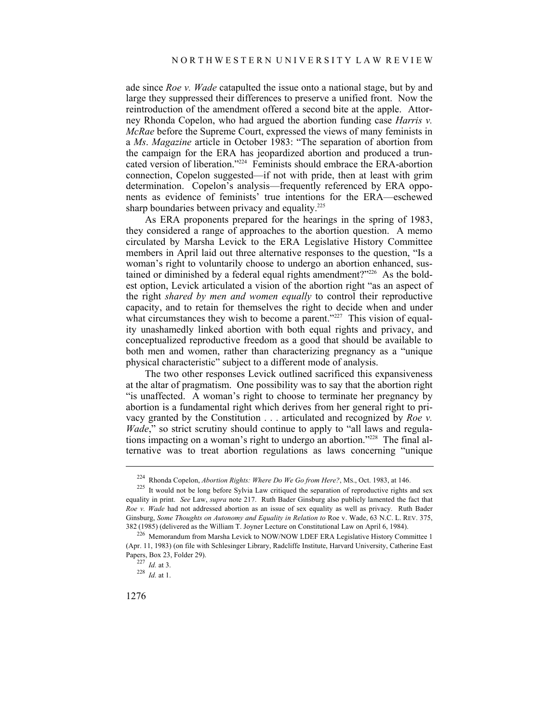ade since *Roe v. Wade* catapulted the issue onto a national stage, but by and large they suppressed their differences to preserve a unified front. Now the reintroduction of the amendment offered a second bite at the apple. Attorney Rhonda Copelon, who had argued the abortion funding case *Harris v. McRae* before the Supreme Court, expressed the views of many feminists in a *Ms*. *Magazine* article in October 1983: "The separation of abortion from the campaign for the ERA has jeopardized abortion and produced a truncated version of liberation."224 Feminists should embrace the ERA-abortion connection, Copelon suggested—if not with pride, then at least with grim determination. Copelon's analysis—frequently referenced by ERA opponents as evidence of feminists' true intentions for the ERA—eschewed sharp boundaries between privacy and equality.<sup>225</sup>

As ERA proponents prepared for the hearings in the spring of 1983, they considered a range of approaches to the abortion question. A memo circulated by Marsha Levick to the ERA Legislative History Committee members in April laid out three alternative responses to the question, "Is a woman's right to voluntarily choose to undergo an abortion enhanced, sustained or diminished by a federal equal rights amendment?"<sup>226</sup> As the boldest option, Levick articulated a vision of the abortion right "as an aspect of the right *shared by men and women equally* to control their reproductive capacity, and to retain for themselves the right to decide when and under what circumstances they wish to become a parent."<sup>227</sup> This vision of equality unashamedly linked abortion with both equal rights and privacy, and conceptualized reproductive freedom as a good that should be available to both men and women, rather than characterizing pregnancy as a "unique physical characteristic" subject to a different mode of analysis.

The two other responses Levick outlined sacrificed this expansiveness at the altar of pragmatism. One possibility was to say that the abortion right "is unaffected. A woman's right to choose to terminate her pregnancy by abortion is a fundamental right which derives from her general right to privacy granted by the Constitution . . . articulated and recognized by *Roe v. Wade*," so strict scrutiny should continue to apply to "all laws and regulations impacting on a woman's right to undergo an abortion."228 The final alternative was to treat abortion regulations as laws concerning "unique

<sup>&</sup>lt;sup>224</sup> Rhonda Copelon, *Abortion Rights: Where Do We Go from Here?*, Ms., Oct. 1983, at 146.<br><sup>225</sup> It would not be long before Sylvia Law critiqued the separation of reproductive rights and sex equality in print. *See* Law, *supra* note 217. Ruth Bader Ginsburg also publicly lamented the fact that *Roe v. Wade* had not addressed abortion as an issue of sex equality as well as privacy. Ruth Bader Ginsburg, *Some Thoughts on Autonomy and Equality in Relation to* Roe v. Wade, 63 N.C. L. REV. 375, <sup>382</sup> (1985) (delivered as the William T. Joyner Lecture on Constitutional Law on April 6, 1984). 226 Memorandum from Marsha Levick to NOW/NOW LDEF ERA Legislative History Committee 1

<sup>(</sup>Apr. 11, 1983) (on file with Schlesinger Library, Radcliffe Institute, Harvard University, Catherine East Papers, Box 23, Folder 29). 227 *Id.* at 3. 228 *Id.* at 1.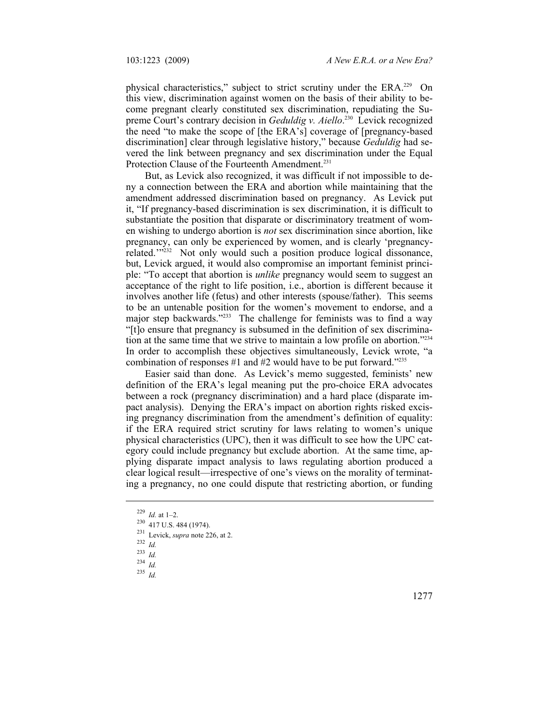physical characteristics," subject to strict scrutiny under the ERA.<sup>229</sup> On this view, discrimination against women on the basis of their ability to become pregnant clearly constituted sex discrimination, repudiating the Supreme Court's contrary decision in *Geduldig v. Aiello*. 230 Levick recognized the need "to make the scope of [the ERA's] coverage of [pregnancy-based discrimination] clear through legislative history," because *Geduldig* had severed the link between pregnancy and sex discrimination under the Equal Protection Clause of the Fourteenth Amendment.<sup>231</sup>

But, as Levick also recognized, it was difficult if not impossible to deny a connection between the ERA and abortion while maintaining that the amendment addressed discrimination based on pregnancy. As Levick put it, "If pregnancy-based discrimination is sex discrimination, it is difficult to substantiate the position that disparate or discriminatory treatment of women wishing to undergo abortion is *not* sex discrimination since abortion, like pregnancy, can only be experienced by women, and is clearly 'pregnancyrelated."<sup>232</sup> Not only would such a position produce logical dissonance, but, Levick argued, it would also compromise an important feminist principle: "To accept that abortion is *unlike* pregnancy would seem to suggest an acceptance of the right to life position, i.e., abortion is different because it involves another life (fetus) and other interests (spouse/father). This seems to be an untenable position for the women's movement to endorse, and a major step backwards."<sup>233</sup> The challenge for feminists was to find a way "[t]o ensure that pregnancy is subsumed in the definition of sex discrimination at the same time that we strive to maintain a low profile on abortion."234 In order to accomplish these objectives simultaneously, Levick wrote, "a combination of responses  $#1$  and  $#2$  would have to be put forward."<sup>235</sup>

Easier said than done. As Levick's memo suggested, feminists' new definition of the ERA's legal meaning put the pro-choice ERA advocates between a rock (pregnancy discrimination) and a hard place (disparate impact analysis). Denying the ERA's impact on abortion rights risked excising pregnancy discrimination from the amendment's definition of equality: if the ERA required strict scrutiny for laws relating to women's unique physical characteristics (UPC), then it was difficult to see how the UPC category could include pregnancy but exclude abortion. At the same time, applying disparate impact analysis to laws regulating abortion produced a clear logical result—irrespective of one's views on the morality of terminating a pregnancy, no one could dispute that restricting abortion, or funding

- 233 *Id.*
- $234 \frac{1}{1}$
- 235 *Id.*

<sup>229</sup>*Id.* at 1–2. 230 417 U.S. 484 (1974). 231 Levick, *supra* note 226, at 2. 232 *Id.*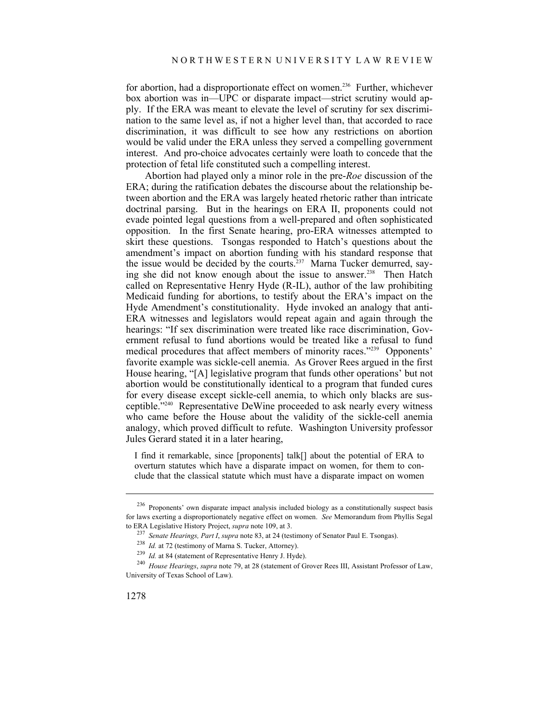for abortion, had a disproportionate effect on women.<sup>236</sup> Further, whichever box abortion was in—UPC or disparate impact—strict scrutiny would apply. If the ERA was meant to elevate the level of scrutiny for sex discrimination to the same level as, if not a higher level than, that accorded to race discrimination, it was difficult to see how any restrictions on abortion would be valid under the ERA unless they served a compelling government interest. And pro-choice advocates certainly were loath to concede that the protection of fetal life constituted such a compelling interest.

Abortion had played only a minor role in the pre-*Roe* discussion of the ERA; during the ratification debates the discourse about the relationship between abortion and the ERA was largely heated rhetoric rather than intricate doctrinal parsing. But in the hearings on ERA II, proponents could not evade pointed legal questions from a well-prepared and often sophisticated opposition. In the first Senate hearing, pro-ERA witnesses attempted to skirt these questions. Tsongas responded to Hatch's questions about the amendment's impact on abortion funding with his standard response that the issue would be decided by the courts.<sup>237</sup> Marna Tucker demurred, saying she did not know enough about the issue to answer.<sup>238</sup> Then Hatch called on Representative Henry Hyde (R-IL), author of the law prohibiting Medicaid funding for abortions, to testify about the ERA's impact on the Hyde Amendment's constitutionality. Hyde invoked an analogy that anti-ERA witnesses and legislators would repeat again and again through the hearings: "If sex discrimination were treated like race discrimination, Government refusal to fund abortions would be treated like a refusal to fund medical procedures that affect members of minority races."239 Opponents' favorite example was sickle-cell anemia. As Grover Rees argued in the first House hearing, "[A] legislative program that funds other operations' but not abortion would be constitutionally identical to a program that funded cures for every disease except sickle-cell anemia, to which only blacks are susceptible."240 Representative DeWine proceeded to ask nearly every witness who came before the House about the validity of the sickle-cell anemia analogy, which proved difficult to refute. Washington University professor Jules Gerard stated it in a later hearing,

I find it remarkable, since [proponents] talk[] about the potential of ERA to overturn statutes which have a disparate impact on women, for them to conclude that the classical statute which must have a disparate impact on women

<sup>236</sup> Proponents' own disparate impact analysis included biology as a constitutionally suspect basis for laws exerting a disproportionately negative effect on women. *See* Memorandum from Phyllis Segal to ERA Legislative History Project, *supra* note 109, at 3.<br>
<sup>237</sup> Senate Hearings, Part I, supra note 83, at 24 (testimony of Senator Paul E. Tsongas).<br>
<sup>238</sup> Id. at 72 (testimony of Marna S. Tucker, Attorney).<br>
<sup>239</sup> Id

University of Texas School of Law).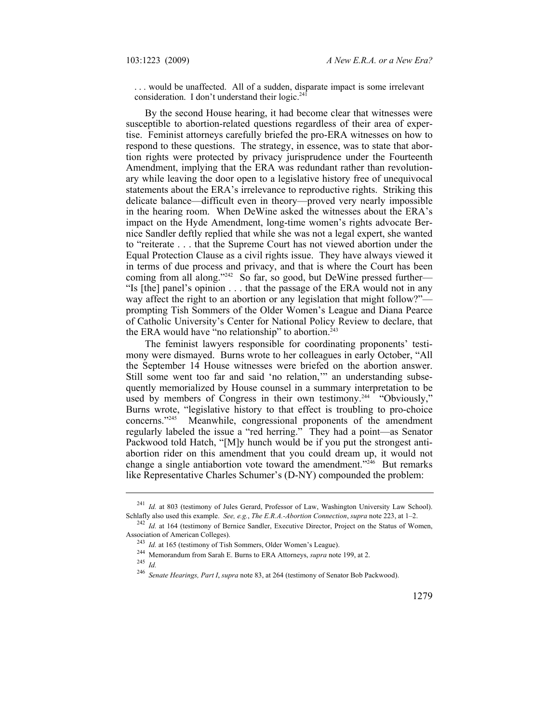. . . would be unaffected. All of a sudden, disparate impact is some irrelevant consideration. I don't understand their  $logic.^{241}$ 

By the second House hearing, it had become clear that witnesses were susceptible to abortion-related questions regardless of their area of expertise. Feminist attorneys carefully briefed the pro-ERA witnesses on how to respond to these questions. The strategy, in essence, was to state that abortion rights were protected by privacy jurisprudence under the Fourteenth Amendment, implying that the ERA was redundant rather than revolutionary while leaving the door open to a legislative history free of unequivocal statements about the ERA's irrelevance to reproductive rights. Striking this delicate balance—difficult even in theory—proved very nearly impossible in the hearing room. When DeWine asked the witnesses about the ERA's impact on the Hyde Amendment, long-time women's rights advocate Bernice Sandler deftly replied that while she was not a legal expert, she wanted to "reiterate . . . that the Supreme Court has not viewed abortion under the Equal Protection Clause as a civil rights issue. They have always viewed it in terms of due process and privacy, and that is where the Court has been coming from all along."<sup>242</sup> So far, so good, but DeWine pressed further— "Is [the] panel's opinion . . . that the passage of the ERA would not in any way affect the right to an abortion or any legislation that might follow?" prompting Tish Sommers of the Older Women's League and Diana Pearce of Catholic University's Center for National Policy Review to declare, that the ERA would have "no relationship" to abortion.<sup>243</sup>

The feminist lawyers responsible for coordinating proponents' testimony were dismayed. Burns wrote to her colleagues in early October, "All the September 14 House witnesses were briefed on the abortion answer. Still some went too far and said 'no relation,'" an understanding subsequently memorialized by House counsel in a summary interpretation to be used by members of Congress in their own testimony.<sup>244</sup> "Obviously," Burns wrote, "legislative history to that effect is troubling to pro-choice concerns."245 Meanwhile, congressional proponents of the amendment regularly labeled the issue a "red herring." They had a point—as Senator Packwood told Hatch, "[M]y hunch would be if you put the strongest antiabortion rider on this amendment that you could dream up, it would not change a single antiabortion vote toward the amendment."<sup>246</sup> But remarks like Representative Charles Schumer's (D-NY) compounded the problem:

<sup>241</sup> *Id.* at 803 (testimony of Jules Gerard, Professor of Law, Washington University Law School).

Schlafly also used this example. See, e.g., The E.R.A.-Abortion Connection, supra note 223, at 1–2.<br><sup>242</sup> Id. at 164 (testimony of Bernice Sandler, Executive Director, Project on the Status of Women, Association of American Colleges).<br><sup>243</sup> *Id.* at 165 (testimony of Tish Sommers, Older Women's League).<br><sup>244</sup> Memorandum from Sarah E. Burns to ERA Attorneys, *supra* note 199, at 2.<br><sup>245</sup> *Id* 

<sup>246</sup> *Senate Hearings, Part I*, *supra* note 83, at 264 (testimony of Senator Bob Packwood).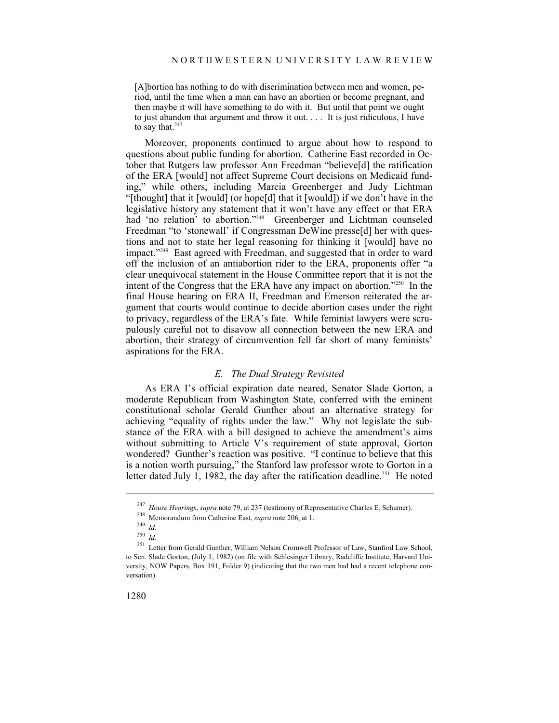[A]bortion has nothing to do with discrimination between men and women, period, until the time when a man can have an abortion or become pregnant, and then maybe it will have something to do with it. But until that point we ought to just abandon that argument and throw it out. . . . It is just ridiculous, I have to say that. $247$ 

Moreover, proponents continued to argue about how to respond to questions about public funding for abortion. Catherine East recorded in October that Rutgers law professor Ann Freedman "believe[d] the ratification of the ERA [would] not affect Supreme Court decisions on Medicaid funding," while others, including Marcia Greenberger and Judy Lichtman "[thought] that it [would] (or hope[d] that it [would]) if we don't have in the legislative history any statement that it won't have any effect or that ERA had 'no relation' to abortion."<sup>248</sup> Greenberger and Lichtman counseled Freedman "to 'stonewall' if Congressman DeWine presse[d] her with questions and not to state her legal reasoning for thinking it [would] have no impact."<sup>249</sup> East agreed with Freedman, and suggested that in order to ward off the inclusion of an antiabortion rider to the ERA, proponents offer "a clear unequivocal statement in the House Committee report that it is not the intent of the Congress that the ERA have any impact on abortion."250 In the final House hearing on ERA II, Freedman and Emerson reiterated the argument that courts would continue to decide abortion cases under the right to privacy, regardless of the ERA's fate. While feminist lawyers were scrupulously careful not to disavow all connection between the new ERA and abortion, their strategy of circumvention fell far short of many feminists' aspirations for the ERA.

#### *E. The Dual Strategy Revisited*

As ERA I's official expiration date neared, Senator Slade Gorton, a moderate Republican from Washington State, conferred with the eminent constitutional scholar Gerald Gunther about an alternative strategy for achieving "equality of rights under the law." Why not legislate the substance of the ERA with a bill designed to achieve the amendment's aims without submitting to Article V's requirement of state approval, Gorton wondered? Gunther's reaction was positive. "I continue to believe that this is a notion worth pursuing," the Stanford law professor wrote to Gorton in a letter dated July 1, 1982, the day after the ratification deadline.<sup>251</sup> He noted

<sup>247</sup>*House Hearings*, *supra* note 79, at 237 (testimony of Representative Charles E. Schumer). 248 Memorandum from Catherine East, *supra* note 206, at 1. 249 *Id.*

<sup>250</sup> *Id.*

<sup>251</sup> Letter from Gerald Gunther, William Nelson Cromwell Professor of Law, Stanford Law School, to Sen. Slade Gorton, (July 1, 1982) (on file with Schlesinger Library, Radcliffe Institute, Harvard University, NOW Papers, Box 191, Folder 9) (indicating that the two men had had a recent telephone conversation).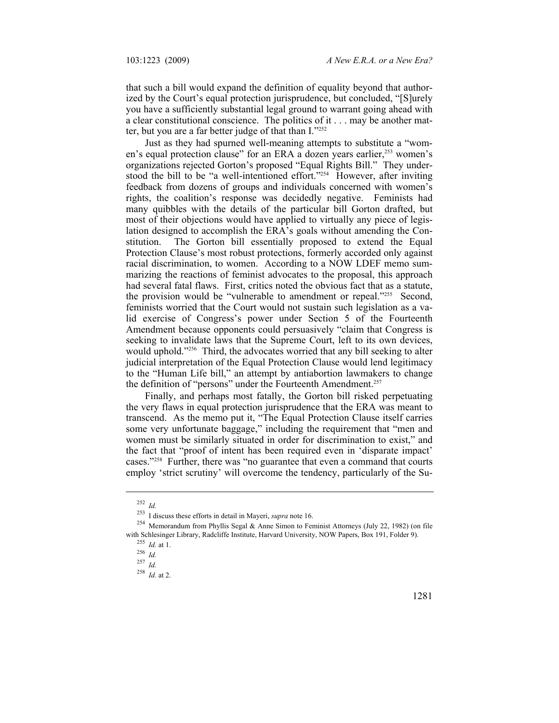that such a bill would expand the definition of equality beyond that authorized by the Court's equal protection jurisprudence, but concluded, "[S]urely you have a sufficiently substantial legal ground to warrant going ahead with a clear constitutional conscience. The politics of it . . . may be another matter, but you are a far better judge of that than I."252

Just as they had spurned well-meaning attempts to substitute a "women's equal protection clause" for an ERA a dozen years earlier,<sup>253</sup> women's organizations rejected Gorton's proposed "Equal Rights Bill." They understood the bill to be "a well-intentioned effort."<sup>254</sup> However, after inviting feedback from dozens of groups and individuals concerned with women's rights, the coalition's response was decidedly negative. Feminists had many quibbles with the details of the particular bill Gorton drafted, but most of their objections would have applied to virtually any piece of legislation designed to accomplish the ERA's goals without amending the Constitution. The Gorton bill essentially proposed to extend the Equal Protection Clause's most robust protections, formerly accorded only against racial discrimination, to women. According to a NOW LDEF memo summarizing the reactions of feminist advocates to the proposal, this approach had several fatal flaws. First, critics noted the obvious fact that as a statute, the provision would be "vulnerable to amendment or repeal."<sup>255</sup> Second, feminists worried that the Court would not sustain such legislation as a valid exercise of Congress's power under Section 5 of the Fourteenth Amendment because opponents could persuasively "claim that Congress is seeking to invalidate laws that the Supreme Court, left to its own devices, would uphold."<sup>256</sup> Third, the advocates worried that any bill seeking to alter judicial interpretation of the Equal Protection Clause would lend legitimacy to the "Human Life bill," an attempt by antiabortion lawmakers to change the definition of "persons" under the Fourteenth Amendment.<sup>257</sup>

Finally, and perhaps most fatally, the Gorton bill risked perpetuating the very flaws in equal protection jurisprudence that the ERA was meant to transcend. As the memo put it, "The Equal Protection Clause itself carries some very unfortunate baggage," including the requirement that "men and women must be similarly situated in order for discrimination to exist," and the fact that "proof of intent has been required even in 'disparate impact' cases."258 Further, there was "no guarantee that even a command that courts employ 'strict scrutiny' will overcome the tendency, particularly of the Su-

<sup>&</sup>lt;sup>252</sup> *Id.*<br><sup>253</sup> I discuss these efforts in detail in Mayeri, *supra* note 16.

<sup>&</sup>lt;sup>254</sup> Memorandum from Phyllis Segal & Anne Simon to Feminist Attorneys (July 22, 1982) (on file with Schlesinger Library, Radcliffe Institute, Harvard University, NOW Papers, Box 191, Folder 9).<br>
<sup>255</sup> *Id.* at 1.<br>
<sup>256</sup> *Id.* 257 *Id* 

 $^{258}$  *Id.* at 2.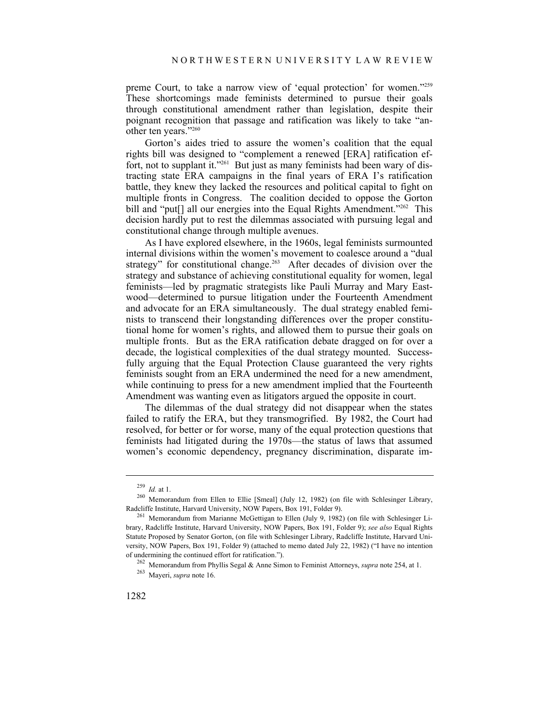preme Court, to take a narrow view of 'equal protection' for women."259 These shortcomings made feminists determined to pursue their goals through constitutional amendment rather than legislation, despite their poignant recognition that passage and ratification was likely to take "another ten years."260

Gorton's aides tried to assure the women's coalition that the equal rights bill was designed to "complement a renewed [ERA] ratification effort, not to supplant it."<sup>261</sup> But just as many feminists had been wary of distracting state ERA campaigns in the final years of ERA I's ratification battle, they knew they lacked the resources and political capital to fight on multiple fronts in Congress. The coalition decided to oppose the Gorton bill and "put[] all our energies into the Equal Rights Amendment."<sup>262</sup> This decision hardly put to rest the dilemmas associated with pursuing legal and constitutional change through multiple avenues.

As I have explored elsewhere, in the 1960s, legal feminists surmounted internal divisions within the women's movement to coalesce around a "dual strategy" for constitutional change.<sup>263</sup> After decades of division over the strategy and substance of achieving constitutional equality for women, legal feminists—led by pragmatic strategists like Pauli Murray and Mary Eastwood—determined to pursue litigation under the Fourteenth Amendment and advocate for an ERA simultaneously. The dual strategy enabled feminists to transcend their longstanding differences over the proper constitutional home for women's rights, and allowed them to pursue their goals on multiple fronts. But as the ERA ratification debate dragged on for over a decade, the logistical complexities of the dual strategy mounted. Successfully arguing that the Equal Protection Clause guaranteed the very rights feminists sought from an ERA undermined the need for a new amendment, while continuing to press for a new amendment implied that the Fourteenth Amendment was wanting even as litigators argued the opposite in court.

The dilemmas of the dual strategy did not disappear when the states failed to ratify the ERA, but they transmogrified. By 1982, the Court had resolved, for better or for worse, many of the equal protection questions that feminists had litigated during the 1970s—the status of laws that assumed women's economic dependency, pregnancy discrimination, disparate im-

<sup>&</sup>lt;sup>259</sup> Id. at 1.<br><sup>260</sup> Memorandum from Ellen to Ellie [Smeal] (July 12, 1982) (on file with Schlesinger Library, Radcliffe Institute, Harvard University, NOW Papers, Box 191, Folder 9).<br><sup>261</sup> Memorandum from Marianne McGettigan to Ellen (July 9, 1982) (on file with Schlesinger Li-

brary, Radcliffe Institute, Harvard University, NOW Papers, Box 191, Folder 9); *see also* Equal Rights Statute Proposed by Senator Gorton, (on file with Schlesinger Library, Radcliffe Institute, Harvard University, NOW Papers, Box 191, Folder 9) (attached to memo dated July 22, 1982) ("I have no intention

<sup>&</sup>lt;sup>262</sup> Memorandum from Phyllis Segal & Anne Simon to Feminist Attorneys, *supra* note 254, at 1. <sup>263</sup> Maveri, *supra* note 16.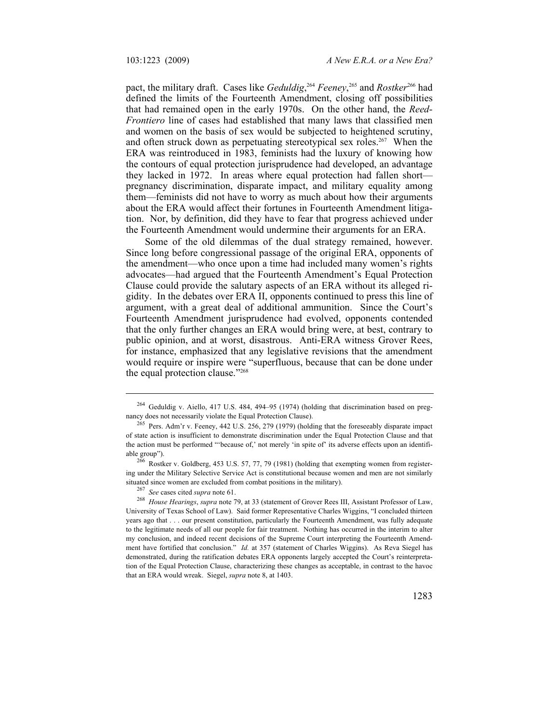pact, the military draft. Cases like *Geduldig*, <sup>264</sup> *Feeney*, 265 and *Rostker*<sup>266</sup> had defined the limits of the Fourteenth Amendment, closing off possibilities that had remained open in the early 1970s. On the other hand, the *Reed*-*Frontiero* line of cases had established that many laws that classified men and women on the basis of sex would be subjected to heightened scrutiny, and often struck down as perpetuating stereotypical sex roles.<sup>267</sup> When the ERA was reintroduced in 1983, feminists had the luxury of knowing how the contours of equal protection jurisprudence had developed, an advantage they lacked in 1972. In areas where equal protection had fallen short pregnancy discrimination, disparate impact, and military equality among them—feminists did not have to worry as much about how their arguments about the ERA would affect their fortunes in Fourteenth Amendment litigation. Nor, by definition, did they have to fear that progress achieved under the Fourteenth Amendment would undermine their arguments for an ERA.

Some of the old dilemmas of the dual strategy remained, however. Since long before congressional passage of the original ERA, opponents of the amendment—who once upon a time had included many women's rights advocates—had argued that the Fourteenth Amendment's Equal Protection Clause could provide the salutary aspects of an ERA without its alleged rigidity. In the debates over ERA II, opponents continued to press this line of argument, with a great deal of additional ammunition. Since the Court's Fourteenth Amendment jurisprudence had evolved, opponents contended that the only further changes an ERA would bring were, at best, contrary to public opinion, and at worst, disastrous. Anti-ERA witness Grover Rees, for instance, emphasized that any legislative revisions that the amendment would require or inspire were "superfluous, because that can be done under the equal protection clause."268

 $^{264}$  Geduldig v. Aiello, 417 U.S. 484, 494–95 (1974) (holding that discrimination based on pregnancy does not necessarily violate the Equal Protection Clause).

<sup>&</sup>lt;sup>265</sup> Pers. Adm'r v. Feeney, 442 U.S. 256, 279 (1979) (holding that the foreseeably disparate impact of state action is insufficient to demonstrate discrimination under the Equal Protection Clause and that the action must be performed "'because of,' not merely 'in spite of' its adverse effects upon an identifiable group").<br><sup>266</sup> Rostker v. Goldberg, 453 U.S. 57, 77, 79 (1981) (holding that exempting women from register-

ing under the Military Selective Service Act is constitutional because women and men are not similarly situated since women are excluded from combat positions in the military).<br><sup>267</sup> See cases cited *supra* note 61.<br><sup>268</sup> House Hearings, supra note 79, at 33 (statement of Grover Rees III, Assistant Professor of Law,

University of Texas School of Law). Said former Representative Charles Wiggins, "I concluded thirteen years ago that . . . our present constitution, particularly the Fourteenth Amendment, was fully adequate to the legitimate needs of all our people for fair treatment. Nothing has occurred in the interim to alter my conclusion, and indeed recent decisions of the Supreme Court interpreting the Fourteenth Amendment have fortified that conclusion." *Id.* at 357 (statement of Charles Wiggins). As Reva Siegel has demonstrated, during the ratification debates ERA opponents largely accepted the Court's reinterpretation of the Equal Protection Clause, characterizing these changes as acceptable, in contrast to the havoc that an ERA would wreak. Siegel, *supra* note 8, at 1403.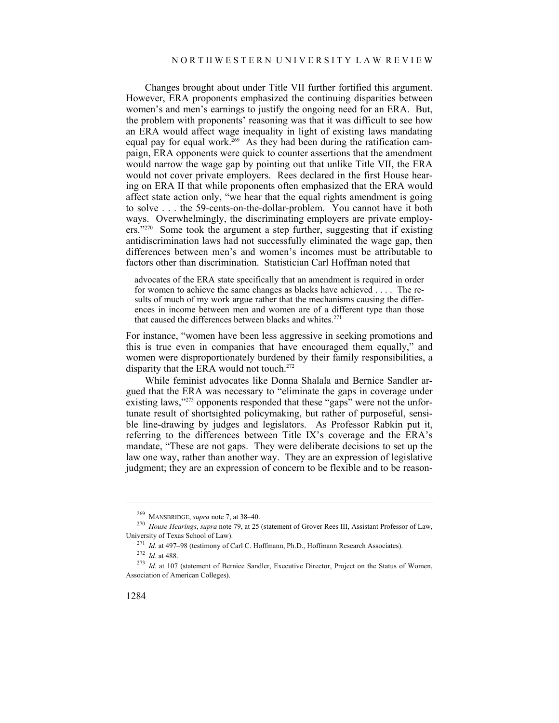Changes brought about under Title VII further fortified this argument. However, ERA proponents emphasized the continuing disparities between women's and men's earnings to justify the ongoing need for an ERA. But, the problem with proponents' reasoning was that it was difficult to see how an ERA would affect wage inequality in light of existing laws mandating equal pay for equal work.<sup>269</sup> As they had been during the ratification campaign, ERA opponents were quick to counter assertions that the amendment would narrow the wage gap by pointing out that unlike Title VII, the ERA would not cover private employers. Rees declared in the first House hearing on ERA II that while proponents often emphasized that the ERA would affect state action only, "we hear that the equal rights amendment is going to solve . . . the 59-cents-on-the-dollar-problem. You cannot have it both ways. Overwhelmingly, the discriminating employers are private employers."270 Some took the argument a step further, suggesting that if existing antidiscrimination laws had not successfully eliminated the wage gap, then differences between men's and women's incomes must be attributable to factors other than discrimination. Statistician Carl Hoffman noted that

advocates of the ERA state specifically that an amendment is required in order for women to achieve the same changes as blacks have achieved . . . . The results of much of my work argue rather that the mechanisms causing the differences in income between men and women are of a different type than those that caused the differences between blacks and whites. $271$ 

For instance, "women have been less aggressive in seeking promotions and this is true even in companies that have encouraged them equally," and women were disproportionately burdened by their family responsibilities, a disparity that the ERA would not touch.<sup>272</sup>

While feminist advocates like Donna Shalala and Bernice Sandler argued that the ERA was necessary to "eliminate the gaps in coverage under existing laws,"<sup>273</sup> opponents responded that these "gaps" were not the unfortunate result of shortsighted policymaking, but rather of purposeful, sensible line-drawing by judges and legislators. As Professor Rabkin put it, referring to the differences between Title IX's coverage and the ERA's mandate, "These are not gaps. They were deliberate decisions to set up the law one way, rather than another way. They are an expression of legislative judgment; they are an expression of concern to be flexible and to be reason-

<sup>269</sup> MANSBRIDGE, *supra* note 7, at 38–40. 270 *House Hearings*, *supra* note 79, at 25 (statement of Grover Rees III, Assistant Professor of Law, University of Texas School of Law).<br>
<sup>271</sup> *Id.* at 497–98 (testimony of Carl C. Hoffmann, Ph.D., Hoffmann Research Associates).<br>
<sup>272</sup> *Id.* at 488.<br>
<sup>273</sup> *Id.* at 107 (statement of Bernice Sandler, Executive Director,

Association of American Colleges).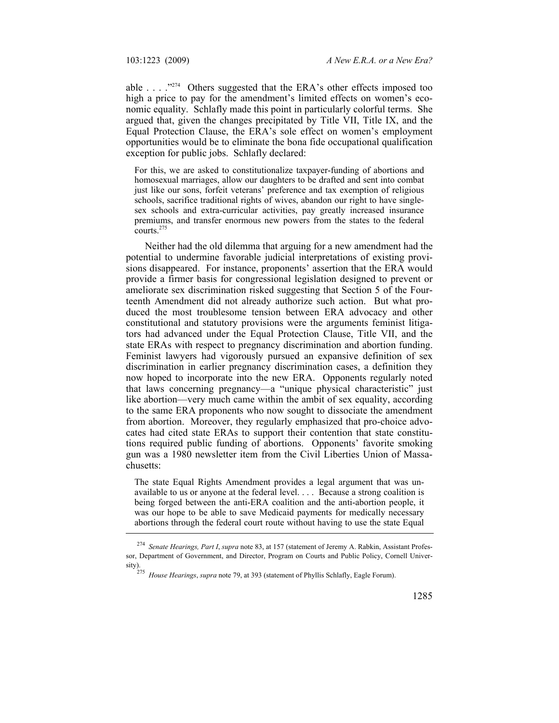able . . . ."274 Others suggested that the ERA's other effects imposed too high a price to pay for the amendment's limited effects on women's economic equality. Schlafly made this point in particularly colorful terms. She argued that, given the changes precipitated by Title VII, Title IX, and the Equal Protection Clause, the ERA's sole effect on women's employment opportunities would be to eliminate the bona fide occupational qualification exception for public jobs. Schlafly declared:

For this, we are asked to constitutionalize taxpayer-funding of abortions and homosexual marriages, allow our daughters to be drafted and sent into combat just like our sons, forfeit veterans' preference and tax exemption of religious schools, sacrifice traditional rights of wives, abandon our right to have singlesex schools and extra-curricular activities, pay greatly increased insurance premiums, and transfer enormous new powers from the states to the federal courts.275

Neither had the old dilemma that arguing for a new amendment had the potential to undermine favorable judicial interpretations of existing provisions disappeared. For instance, proponents' assertion that the ERA would provide a firmer basis for congressional legislation designed to prevent or ameliorate sex discrimination risked suggesting that Section 5 of the Fourteenth Amendment did not already authorize such action. But what produced the most troublesome tension between ERA advocacy and other constitutional and statutory provisions were the arguments feminist litigators had advanced under the Equal Protection Clause, Title VII, and the state ERAs with respect to pregnancy discrimination and abortion funding. Feminist lawyers had vigorously pursued an expansive definition of sex discrimination in earlier pregnancy discrimination cases, a definition they now hoped to incorporate into the new ERA. Opponents regularly noted that laws concerning pregnancy—a "unique physical characteristic" just like abortion—very much came within the ambit of sex equality, according to the same ERA proponents who now sought to dissociate the amendment from abortion. Moreover, they regularly emphasized that pro-choice advocates had cited state ERAs to support their contention that state constitutions required public funding of abortions. Opponents' favorite smoking gun was a 1980 newsletter item from the Civil Liberties Union of Massachusetts:

The state Equal Rights Amendment provides a legal argument that was unavailable to us or anyone at the federal level. . . . Because a strong coalition is being forged between the anti-ERA coalition and the anti-abortion people, it was our hope to be able to save Medicaid payments for medically necessary abortions through the federal court route without having to use the state Equal

<sup>274</sup> *Senate Hearings, Part I*, *supra* note 83, at 157 (statement of Jeremy A. Rabkin, Assistant Professor, Department of Government, and Director, Program on Courts and Public Policy, Cornell University). 275 *House Hearings*, *supra* note 79, at 393 (statement of Phyllis Schlafly, Eagle Forum).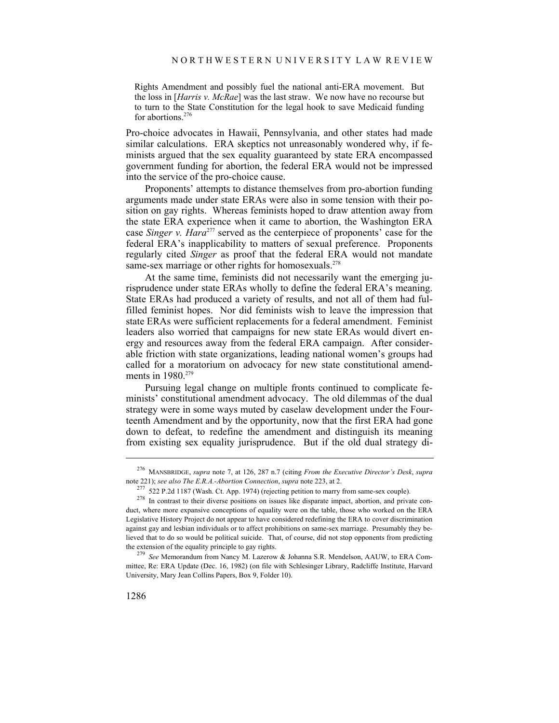Rights Amendment and possibly fuel the national anti-ERA movement. But the loss in [*Harris v. McRae*] was the last straw. We now have no recourse but to turn to the State Constitution for the legal hook to save Medicaid funding for abortions. $276$ 

Pro-choice advocates in Hawaii, Pennsylvania, and other states had made similar calculations. ERA skeptics not unreasonably wondered why, if feminists argued that the sex equality guaranteed by state ERA encompassed government funding for abortion, the federal ERA would not be impressed into the service of the pro-choice cause.

Proponents' attempts to distance themselves from pro-abortion funding arguments made under state ERAs were also in some tension with their position on gay rights. Whereas feminists hoped to draw attention away from the state ERA experience when it came to abortion, the Washington ERA case *Singer v. Hara*277 served as the centerpiece of proponents' case for the federal ERA's inapplicability to matters of sexual preference. Proponents regularly cited *Singer* as proof that the federal ERA would not mandate same-sex marriage or other rights for homosexuals.<sup>278</sup>

At the same time, feminists did not necessarily want the emerging jurisprudence under state ERAs wholly to define the federal ERA's meaning. State ERAs had produced a variety of results, and not all of them had fulfilled feminist hopes. Nor did feminists wish to leave the impression that state ERAs were sufficient replacements for a federal amendment. Feminist leaders also worried that campaigns for new state ERAs would divert energy and resources away from the federal ERA campaign. After considerable friction with state organizations, leading national women's groups had called for a moratorium on advocacy for new state constitutional amendments in 1980.<sup>279</sup>

Pursuing legal change on multiple fronts continued to complicate feminists' constitutional amendment advocacy. The old dilemmas of the dual strategy were in some ways muted by caselaw development under the Fourteenth Amendment and by the opportunity, now that the first ERA had gone down to defeat, to redefine the amendment and distinguish its meaning from existing sex equality jurisprudence. But if the old dual strategy di-

<sup>276</sup> MANSBRIDGE, *supra* note 7, at 126, 287 n.7 (citing *From the Executive Director's Desk*, *supra*

 $^{277}$  522 P.2d 1187 (Wash. Ct. App. 1974) (rejecting petition to marry from same-sex couple).<br><sup>278</sup> In contrast to their diverse positions on issues like disparate impact, abortion, and private conduct, where more expansive conceptions of equality were on the table, those who worked on the ERA Legislative History Project do not appear to have considered redefining the ERA to cover discrimination against gay and lesbian individuals or to affect prohibitions on same-sex marriage. Presumably they believed that to do so would be political suicide. That, of course, did not stop opponents from predicting the extension of the equality principle to gay rights. 279 *See* Memorandum from Nancy M. Lazerow & Johanna S.R. Mendelson, AAUW, to ERA Com-

mittee, Re: ERA Update (Dec. 16, 1982) (on file with Schlesinger Library, Radcliffe Institute, Harvard University, Mary Jean Collins Papers, Box 9, Folder 10).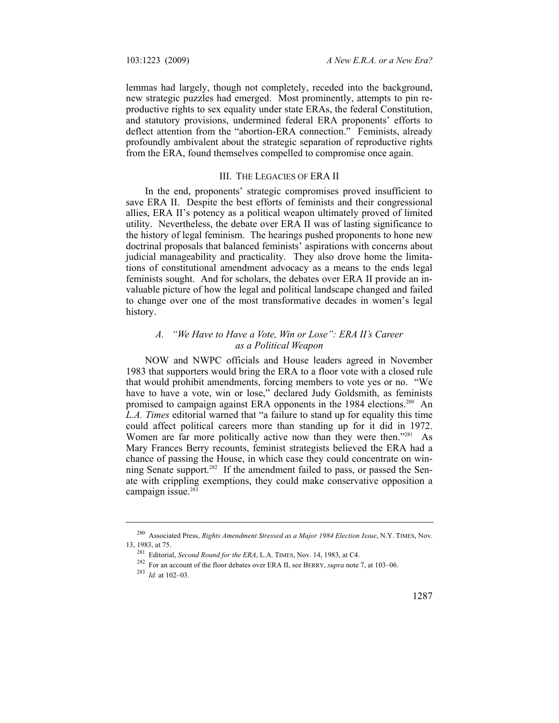lemmas had largely, though not completely, receded into the background, new strategic puzzles had emerged. Most prominently, attempts to pin reproductive rights to sex equality under state ERAs, the federal Constitution, and statutory provisions, undermined federal ERA proponents' efforts to deflect attention from the "abortion-ERA connection." Feminists, already profoundly ambivalent about the strategic separation of reproductive rights from the ERA, found themselves compelled to compromise once again.

## III. THE LEGACIES OF ERA II

In the end, proponents' strategic compromises proved insufficient to save ERA II. Despite the best efforts of feminists and their congressional allies, ERA II's potency as a political weapon ultimately proved of limited utility. Nevertheless, the debate over ERA II was of lasting significance to the history of legal feminism. The hearings pushed proponents to hone new doctrinal proposals that balanced feminists' aspirations with concerns about judicial manageability and practicality. They also drove home the limitations of constitutional amendment advocacy as a means to the ends legal feminists sought. And for scholars, the debates over ERA II provide an invaluable picture of how the legal and political landscape changed and failed to change over one of the most transformative decades in women's legal history.

# *A. "We Have to Have a Vote, Win or Lose": ERA II's Career as a Political Weapon*

NOW and NWPC officials and House leaders agreed in November 1983 that supporters would bring the ERA to a floor vote with a closed rule that would prohibit amendments, forcing members to vote yes or no. "We have to have a vote, win or lose," declared Judy Goldsmith, as feminists promised to campaign against ERA opponents in the 1984 elections.<sup>280</sup> An *L.A. Times* editorial warned that "a failure to stand up for equality this time could affect political careers more than standing up for it did in 1972. Women are far more politically active now than they were then."281 As Mary Frances Berry recounts, feminist strategists believed the ERA had a chance of passing the House, in which case they could concentrate on winning Senate support.<sup>282</sup> If the amendment failed to pass, or passed the Senate with crippling exemptions, they could make conservative opposition a campaign issue.<sup>283</sup>

<sup>&</sup>lt;sup>280</sup> Associated Press, *Rights Amendment Stressed as a Major 1984 Election Issue*, N.Y. TIMES, Nov.<br>13, 1983, at 75.

<sup>13, 1983,</sup> at 75. 281 Editorial, *Second Round for the ERA*, L.A. TIMES, Nov. 14, 1983, at C4. 282 For an account of the floor debates over ERA II, see BERRY, *supra* note 7, at 103–06. 283 *Id.* at 102–03.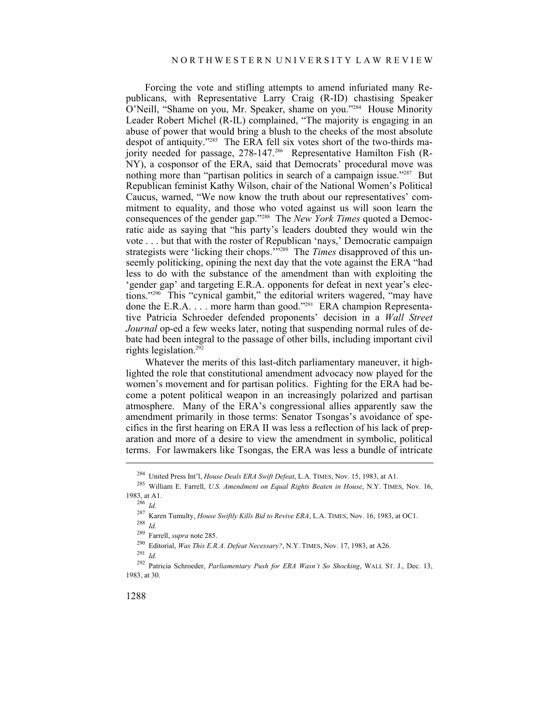Forcing the vote and stifling attempts to amend infuriated many Republicans, with Representative Larry Craig (R-ID) chastising Speaker O'Neill, "Shame on you, Mr. Speaker, shame on you."284 House Minority Leader Robert Michel (R-IL) complained, "The majority is engaging in an abuse of power that would bring a blush to the cheeks of the most absolute despot of antiquity."285 The ERA fell six votes short of the two-thirds majority needed for passage, 278-147.<sup>286</sup> Representative Hamilton Fish (R-NY), a cosponsor of the ERA, said that Democrats' procedural move was nothing more than "partisan politics in search of a campaign issue."<sup>287</sup> But Republican feminist Kathy Wilson, chair of the National Women's Political Caucus, warned, "We now know the truth about our representatives' commitment to equality, and those who voted against us will soon learn the consequences of the gender gap."288 The *New York Times* quoted a Democratic aide as saying that "his party's leaders doubted they would win the vote . . . but that with the roster of Republican 'nays,' Democratic campaign strategists were 'licking their chops.'<sup>"289</sup> The *Times* disapproved of this unseemly politicking, opining the next day that the vote against the ERA "had less to do with the substance of the amendment than with exploiting the 'gender gap' and targeting E.R.A. opponents for defeat in next year's elections."290 This "cynical gambit," the editorial writers wagered, "may have done the E.R.A. . . . more harm than good."291 ERA champion Representative Patricia Schroeder defended proponents' decision in a *Wall Street Journal* op-ed a few weeks later, noting that suspending normal rules of debate had been integral to the passage of other bills, including important civil rights legislation.292

Whatever the merits of this last-ditch parliamentary maneuver, it highlighted the role that constitutional amendment advocacy now played for the women's movement and for partisan politics. Fighting for the ERA had become a potent political weapon in an increasingly polarized and partisan atmosphere. Many of the ERA's congressional allies apparently saw the amendment primarily in those terms: Senator Tsongas's avoidance of specifics in the first hearing on ERA II was less a reflection of his lack of preparation and more of a desire to view the amendment in symbolic, political terms. For lawmakers like Tsongas, the ERA was less a bundle of intricate

<sup>284</sup> United Press Int'l, *House Deals ERA Swift Defeat*, L.A. TIMES, Nov. 15, 1983, at A1. 285 William E. Farrell, *U.S. Amendment on Equal Rights Beaten in House*, N.Y. TIMES, Nov. 16, 1983, at A1. 286 *Id.*

<sup>287</sup> Karen Tumulty, *House Swiftly Kills Bid to Revive ERA*, L.A. TIMES, Nov. 16, 1983, at OC1. 288 *Id.*

<sup>&</sup>lt;sup>290</sup> Editorial, *Was This E.R.A. Defeat Necessary?*, N.Y. TIMES, Nov. 17, 1983, at A26. <sup>291</sup> *Id* 

<sup>292</sup> Patricia Schroeder, *Parliamentary Push for ERA Wasn't So Shocking*, WALL ST. J., Dec. 13, 1983, at 30.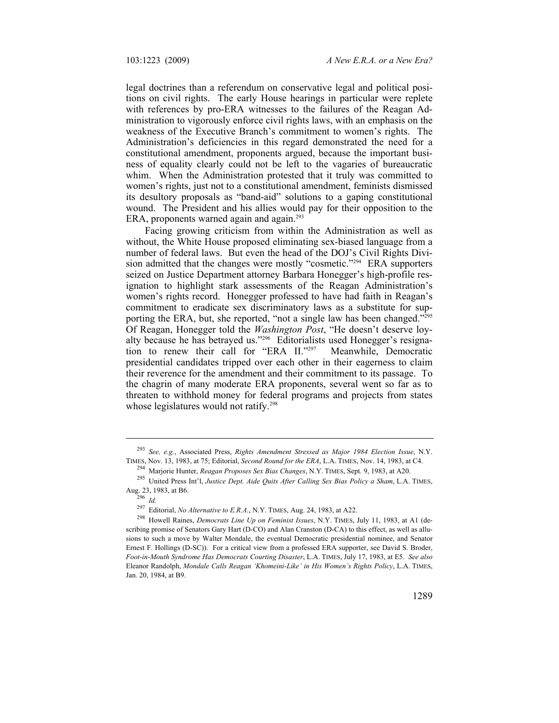legal doctrines than a referendum on conservative legal and political positions on civil rights. The early House hearings in particular were replete with references by pro-ERA witnesses to the failures of the Reagan Administration to vigorously enforce civil rights laws, with an emphasis on the weakness of the Executive Branch's commitment to women's rights. The Administration's deficiencies in this regard demonstrated the need for a constitutional amendment, proponents argued, because the important business of equality clearly could not be left to the vagaries of bureaucratic whim. When the Administration protested that it truly was committed to women's rights, just not to a constitutional amendment, feminists dismissed its desultory proposals as "band-aid" solutions to a gaping constitutional wound. The President and his allies would pay for their opposition to the ERA, proponents warned again and again.<sup>293</sup>

Facing growing criticism from within the Administration as well as without, the White House proposed eliminating sex-biased language from a number of federal laws. But even the head of the DOJ's Civil Rights Division admitted that the changes were mostly "cosmetic."294 ERA supporters seized on Justice Department attorney Barbara Honegger's high-profile resignation to highlight stark assessments of the Reagan Administration's women's rights record. Honegger professed to have had faith in Reagan's commitment to eradicate sex discriminatory laws as a substitute for supporting the ERA, but, she reported, "not a single law has been changed."<sup>295</sup> Of Reagan, Honegger told the *Washington Post*, "He doesn't deserve loyalty because he has betrayed us."296 Editorialists used Honegger's resignation to renew their call for "ERA II."297 Meanwhile, Democratic presidential candidates tripped over each other in their eagerness to claim their reverence for the amendment and their commitment to its passage. To the chagrin of many moderate ERA proponents, several went so far as to threaten to withhold money for federal programs and projects from states whose legislatures would not ratify.<sup>298</sup>

<sup>&</sup>lt;sup>293</sup> *See, e.g.*, Associated Press, *Rights Amendment Stressed as Major 1984 Election Issue*, N.Y. TIMES, Nov. 13, 1983, at 75; Editorial, *Second Round for the ERA*, L.A. TIMES, Nov. 14, 1983, at C4.

<sup>&</sup>lt;sup>294</sup> Marjorie Hunter, *Reagan Proposes Sex Bias Changes*, N.Y. TIMES, Sept. 9, 1983, at A20.<br><sup>295</sup> United Press Int'l, *Justice Dept. Aide Quits After Calling Sex Bias Policy a Sham*, L.A. TIMES, Aug. 23, 1983, at B6.<br><sup>2</sup>

<sup>&</sup>lt;sup>297</sup> Editorial, *No Alternative to E.R.A.*, N.Y. TIMES, Aug. 24, 1983, at A22.<br><sup>298</sup> Howell Raines, *Democrats Line Up on Feminist Issues*, N.Y. TIMES, July 11, 1983, at A1 (describing promise of Senators Gary Hart (D-CO) and Alan Cranston (D-CA) to this effect, as well as allusions to such a move by Walter Mondale, the eventual Democratic presidential nominee, and Senator Ernest F. Hollings (D-SC)). For a critical view from a professed ERA supporter, see David S. Broder, *Foot-in-Mouth Syndrome Has Democrats Courting Disaster*, L.A. TIMES, July 17, 1983, at E5. *See also* Eleanor Randolph, *Mondale Calls Reagan 'Khomeini-Like' in His Women's Rights Policy*, L.A. TIMES, Jan. 20, 1984, at B9.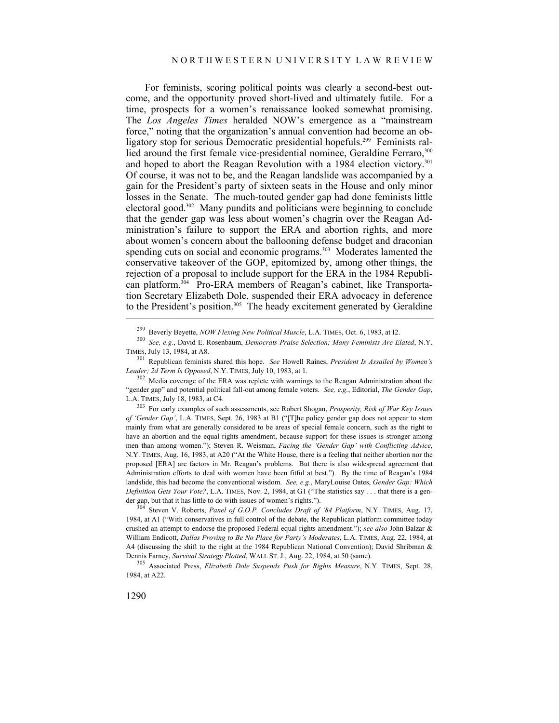For feminists, scoring political points was clearly a second-best outcome, and the opportunity proved short-lived and ultimately futile. For a time, prospects for a women's renaissance looked somewhat promising. The *Los Angeles Times* heralded NOW's emergence as a "mainstream force," noting that the organization's annual convention had become an obligatory stop for serious Democratic presidential hopefuls.<sup>299</sup> Feminists rallied around the first female vice-presidential nominee, Geraldine Ferraro, 300 and hoped to abort the Reagan Revolution with a 1984 election victory.<sup>301</sup> Of course, it was not to be, and the Reagan landslide was accompanied by a gain for the President's party of sixteen seats in the House and only minor losses in the Senate. The much-touted gender gap had done feminists little electoral good.302 Many pundits and politicians were beginning to conclude that the gender gap was less about women's chagrin over the Reagan Administration's failure to support the ERA and abortion rights, and more about women's concern about the ballooning defense budget and draconian spending cuts on social and economic programs.<sup>303</sup> Moderates lamented the conservative takeover of the GOP, epitomized by, among other things, the rejection of a proposal to include support for the ERA in the 1984 Republican platform.<sup>304</sup> Pro-ERA members of Reagan's cabinet, like Transportation Secretary Elizabeth Dole, suspended their ERA advocacy in deference to the President's position.<sup>305</sup> The heady excitement generated by Geraldine

*of 'Gender Gap'*, L.A. TIMES, Sept. 26, 1983 at B1 ("[T]he policy gender gap does not appear to stem mainly from what are generally considered to be areas of special female concern, such as the right to have an abortion and the equal rights amendment, because support for these issues is stronger among men than among women."); Steven R. Weisman, *Facing the 'Gender Gap' with Conflicting Advice*, N.Y. TIMES, Aug. 16, 1983, at A20 ("At the White House, there is a feeling that neither abortion nor the proposed [ERA] are factors in Mr. Reagan's problems. But there is also widespread agreement that Administration efforts to deal with women have been fitful at best."). By the time of Reagan's 1984 landslide, this had become the conventional wisdom. *See, e.g.*, MaryLouise Oates, *Gender Gap: Which Definition Gets Your Vote?*, L.A. TIMES, Nov. 2, 1984, at G1 ("The statistics say . . . that there is a gender gap, but that it has little to do with issues of women's rights."). 304 Steven V. Roberts, *Panel of G.O.P. Concludes Draft of '84 Platform*, N.Y. TIMES, Aug. 17,

1984, at A1 ("With conservatives in full control of the debate, the Republican platform committee today crushed an attempt to endorse the proposed Federal equal rights amendment."); *see also* John Balzar & William Endicott, *Dallas Proving to Be No Place for Party's Moderates*, L.A. TIMES, Aug. 22, 1984, at A4 (discussing the shift to the right at the 1984 Republican National Convention); David Shribman & Dennis Farney, *Survival Strategy Plotted*, WALL ST. J., Aug. 22, 1984, at 50 (same). 305 Associated Press, *Elizabeth Dole Suspends Push for Rights Measure*, N.Y. TIMES, Sept. 28,

1984, at A22.

<sup>299</sup> Beverly Beyette, *NOW Flexing New Political Muscle*, L.A. TIMES, Oct. 6, 1983, at I2. 300 *See, e.g.*, David E. Rosenbaum, *Democrats Praise Selection; Many Feminists Are Elated*, N.Y. TIMES, July 13, 1984, at A8. 301 Republican feminists shared this hope. *See* Howell Raines, *President Is Assailed by Women's* 

*Leader; 2d Term Is Opposed*, N.Y. TIMES, July 10, 1983, at 1.<br><sup>302</sup> Media coverage of the ERA was replete with warnings to the Reagan Administration about the

<sup>&</sup>quot;gender gap" and potential political fall-out among female voters. *See, e.g.*, Editorial, *The Gender Gap*, L.A. TIMES, July 18, 1983, at C4. 303 For early examples of such assessments, see Robert Shogan, *Prosperity, Risk of War Key Issues*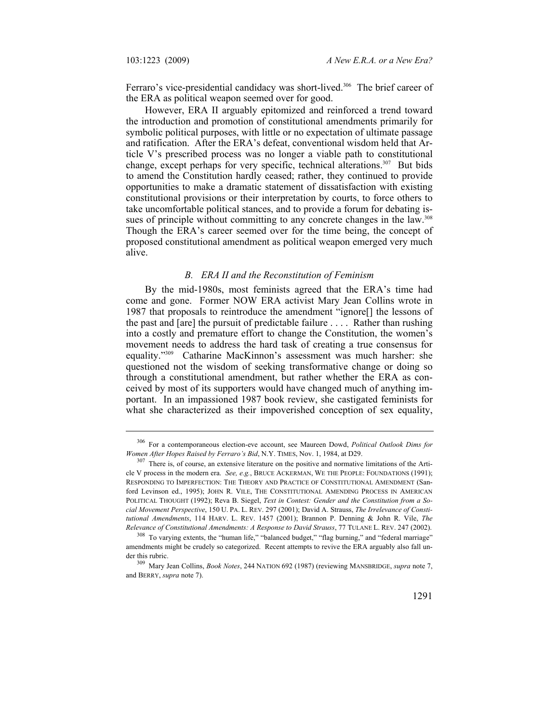Ferraro's vice-presidential candidacy was short-lived.<sup>306</sup> The brief career of the ERA as political weapon seemed over for good.

However, ERA II arguably epitomized and reinforced a trend toward the introduction and promotion of constitutional amendments primarily for symbolic political purposes, with little or no expectation of ultimate passage and ratification. After the ERA's defeat, conventional wisdom held that Article V's prescribed process was no longer a viable path to constitutional change, except perhaps for very specific, technical alterations.<sup>307</sup> But bids to amend the Constitution hardly ceased; rather, they continued to provide opportunities to make a dramatic statement of dissatisfaction with existing constitutional provisions or their interpretation by courts, to force others to take uncomfortable political stances, and to provide a forum for debating issues of principle without committing to any concrete changes in the law.<sup>308</sup> Though the ERA's career seemed over for the time being, the concept of proposed constitutional amendment as political weapon emerged very much alive.

#### *B. ERA II and the Reconstitution of Feminism*

By the mid-1980s, most feminists agreed that the ERA's time had come and gone. Former NOW ERA activist Mary Jean Collins wrote in 1987 that proposals to reintroduce the amendment "ignore[] the lessons of the past and [are] the pursuit of predictable failure . . . . Rather than rushing into a costly and premature effort to change the Constitution, the women's movement needs to address the hard task of creating a true consensus for equality."309 Catharine MacKinnon's assessment was much harsher: she questioned not the wisdom of seeking transformative change or doing so through a constitutional amendment, but rather whether the ERA as conceived by most of its supporters would have changed much of anything important. In an impassioned 1987 book review, she castigated feminists for what she characterized as their impoverished conception of sex equality,

<sup>&</sup>lt;sup>306</sup> For a contemporaneous election-eve account, see Maureen Dowd, *Political Outlook Dims for Women After Hopes Raised by Ferraro's Bid, N.Y. TIMES, Nov. 1, 1984, at D29.* 

<sup>&</sup>lt;sup>307</sup> There is, of course, an extensive literature on the positive and normative limitations of the Article V process in the modern era. *See, e.g.*, BRUCE ACKERMAN, WE THE PEOPLE: FOUNDATIONS (1991); RESPONDING TO IMPERFECTION: THE THEORY AND PRACTICE OF CONSTITUTIONAL AMENDMENT (Sanford Levinson ed., 1995); JOHN R. VILE, THE CONSTITUTIONAL AMENDING PROCESS IN AMERICAN POLITICAL THOUGHT (1992); Reva B. Siegel, *Text in Contest: Gender and the Constitution from a Social Movement Perspective*, 150 U. PA. L. REV. 297 (2001); David A. Strauss, *The Irrelevance of Constitutional Amendments*, 114 HARV. L. REV. 1457 (2001); Brannon P. Denning & John R. Vile, *The Relevance of Constitutional Amendments: A Response to David Strauss*, 77 TULANE L. REV. 247 (2002). 308 To varying extents, the "human life," "balanced budget," "flag burning," and "federal marriage"

amendments might be crudely so categorized. Recent attempts to revive the ERA arguably also fall un-

der this rubric. 309 Mary Jean Collins, *Book Notes*, 244 NATION 692 (1987) (reviewing MANSBRIDGE, *supra* note 7, and BERRY, *supra* note 7).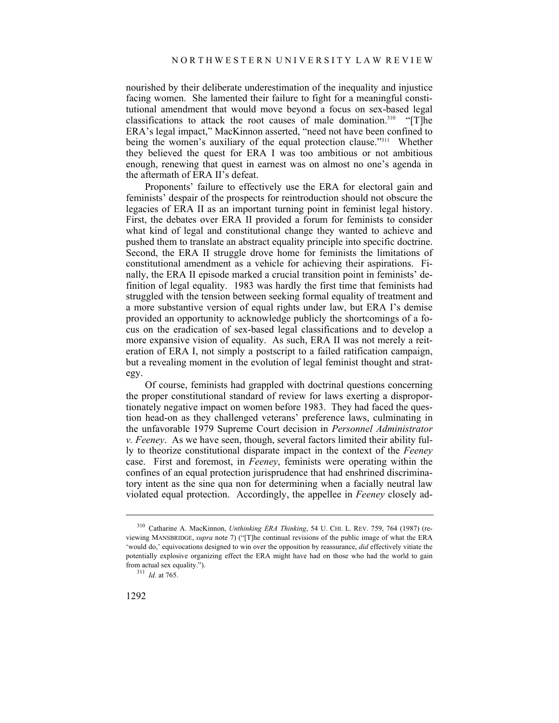nourished by their deliberate underestimation of the inequality and injustice facing women. She lamented their failure to fight for a meaningful constitutional amendment that would move beyond a focus on sex-based legal classifications to attack the root causes of male domination.<sup>310</sup> " $[T]$ he ERA's legal impact," MacKinnon asserted, "need not have been confined to being the women's auxiliary of the equal protection clause."<sup>311</sup> Whether they believed the quest for ERA I was too ambitious or not ambitious enough, renewing that quest in earnest was on almost no one's agenda in the aftermath of ERA II's defeat.

Proponents' failure to effectively use the ERA for electoral gain and feminists' despair of the prospects for reintroduction should not obscure the legacies of ERA II as an important turning point in feminist legal history. First, the debates over ERA II provided a forum for feminists to consider what kind of legal and constitutional change they wanted to achieve and pushed them to translate an abstract equality principle into specific doctrine. Second, the ERA II struggle drove home for feminists the limitations of constitutional amendment as a vehicle for achieving their aspirations. Finally, the ERA II episode marked a crucial transition point in feminists' definition of legal equality. 1983 was hardly the first time that feminists had struggled with the tension between seeking formal equality of treatment and a more substantive version of equal rights under law, but ERA I's demise provided an opportunity to acknowledge publicly the shortcomings of a focus on the eradication of sex-based legal classifications and to develop a more expansive vision of equality. As such, ERA II was not merely a reiteration of ERA I, not simply a postscript to a failed ratification campaign, but a revealing moment in the evolution of legal feminist thought and strategy.

Of course, feminists had grappled with doctrinal questions concerning the proper constitutional standard of review for laws exerting a disproportionately negative impact on women before 1983. They had faced the question head-on as they challenged veterans' preference laws, culminating in the unfavorable 1979 Supreme Court decision in *Personnel Administrator v. Feeney*. As we have seen, though, several factors limited their ability fully to theorize constitutional disparate impact in the context of the *Feeney* case. First and foremost, in *Feeney*, feminists were operating within the confines of an equal protection jurisprudence that had enshrined discriminatory intent as the sine qua non for determining when a facially neutral law violated equal protection. Accordingly, the appellee in *Feeney* closely ad-

<sup>310</sup> Catharine A. MacKinnon, *Unthinking ERA Thinking*, 54 U. CHI. L. REV. 759, 764 (1987) (reviewing MANSBRIDGE, *supra* note 7) ("[T]he continual revisions of the public image of what the ERA 'would do,' equivocations designed to win over the opposition by reassurance, *did* effectively vitiate the potentially explosive organizing effect the ERA might have had on those who had the world to gain from actual sex equality."). 311 *Id.* at 765.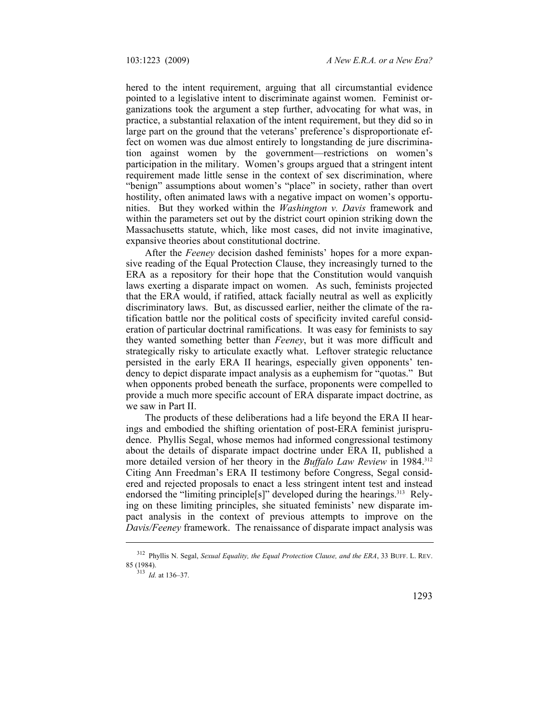hered to the intent requirement, arguing that all circumstantial evidence pointed to a legislative intent to discriminate against women. Feminist organizations took the argument a step further, advocating for what was, in practice, a substantial relaxation of the intent requirement, but they did so in large part on the ground that the veterans' preference's disproportionate effect on women was due almost entirely to longstanding de jure discrimination against women by the government—restrictions on women's participation in the military. Women's groups argued that a stringent intent requirement made little sense in the context of sex discrimination, where "benign" assumptions about women's "place" in society, rather than overt hostility, often animated laws with a negative impact on women's opportunities. But they worked within the *Washington v. Davis* framework and within the parameters set out by the district court opinion striking down the Massachusetts statute, which, like most cases, did not invite imaginative, expansive theories about constitutional doctrine.

After the *Feeney* decision dashed feminists' hopes for a more expansive reading of the Equal Protection Clause, they increasingly turned to the ERA as a repository for their hope that the Constitution would vanquish laws exerting a disparate impact on women. As such, feminists projected that the ERA would, if ratified, attack facially neutral as well as explicitly discriminatory laws. But, as discussed earlier, neither the climate of the ratification battle nor the political costs of specificity invited careful consideration of particular doctrinal ramifications. It was easy for feminists to say they wanted something better than *Feeney*, but it was more difficult and strategically risky to articulate exactly what. Leftover strategic reluctance persisted in the early ERA II hearings, especially given opponents' tendency to depict disparate impact analysis as a euphemism for "quotas." But when opponents probed beneath the surface, proponents were compelled to provide a much more specific account of ERA disparate impact doctrine, as we saw in Part II.

The products of these deliberations had a life beyond the ERA II hearings and embodied the shifting orientation of post-ERA feminist jurisprudence. Phyllis Segal, whose memos had informed congressional testimony about the details of disparate impact doctrine under ERA II, published a more detailed version of her theory in the *Buffalo Law Review* in 1984.<sup>312</sup> Citing Ann Freedman's ERA II testimony before Congress, Segal considered and rejected proposals to enact a less stringent intent test and instead endorsed the "limiting principle<sup>[s]"</sup> developed during the hearings.<sup>313</sup> Relying on these limiting principles, she situated feminists' new disparate impact analysis in the context of previous attempts to improve on the *Davis/Feeney* framework. The renaissance of disparate impact analysis was

<sup>&</sup>lt;sup>312</sup> Phyllis N. Segal, *Sexual Equality, the Equal Protection Clause, and the ERA*, 33 BUFF. L. REV. 85 (1984). 313 *Id.* at 136–37.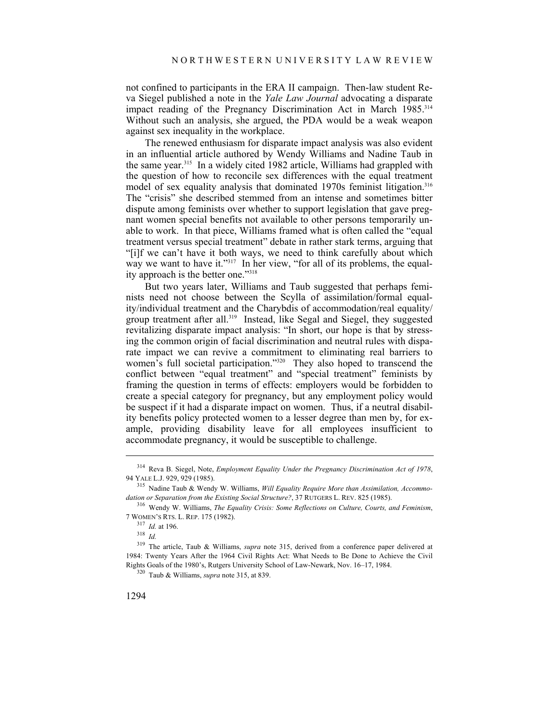not confined to participants in the ERA II campaign. Then-law student Reva Siegel published a note in the *Yale Law Journal* advocating a disparate impact reading of the Pregnancy Discrimination Act in March 1985.<sup>314</sup> Without such an analysis, she argued, the PDA would be a weak weapon against sex inequality in the workplace.

The renewed enthusiasm for disparate impact analysis was also evident in an influential article authored by Wendy Williams and Nadine Taub in the same year.315 In a widely cited 1982 article, Williams had grappled with the question of how to reconcile sex differences with the equal treatment model of sex equality analysis that dominated 1970s feminist litigation.<sup>316</sup> The "crisis" she described stemmed from an intense and sometimes bitter dispute among feminists over whether to support legislation that gave pregnant women special benefits not available to other persons temporarily unable to work. In that piece, Williams framed what is often called the "equal treatment versus special treatment" debate in rather stark terms, arguing that "[i]f we can't have it both ways, we need to think carefully about which way we want to have it."<sup>317</sup> In her view, "for all of its problems, the equality approach is the better one."318

But two years later, Williams and Taub suggested that perhaps feminists need not choose between the Scylla of assimilation/formal equality/individual treatment and the Charybdis of accommodation/real equality/ group treatment after all.319 Instead, like Segal and Siegel, they suggested revitalizing disparate impact analysis: "In short, our hope is that by stressing the common origin of facial discrimination and neutral rules with disparate impact we can revive a commitment to eliminating real barriers to women's full societal participation."<sup>320</sup> They also hoped to transcend the conflict between "equal treatment" and "special treatment" feminists by framing the question in terms of effects: employers would be forbidden to create a special category for pregnancy, but any employment policy would be suspect if it had a disparate impact on women. Thus, if a neutral disability benefits policy protected women to a lesser degree than men by, for example, providing disability leave for all employees insufficient to accommodate pregnancy, it would be susceptible to challenge.

<sup>&</sup>lt;sup>314</sup> Reva B. Siegel, Note, *Employment Equality Under the Pregnancy Discrimination Act of 1978*, 94 YALE L.J. 929, 929 (1985).

<sup>&</sup>lt;sup>315</sup> Nadine Taub & Wendy W. Williams, *Will Equality Require More than Assimilation, Accommodation or Separation from the Existing Social Structure?, 37 RUTGERS L. REV. 825 (1985).* 

<sup>&</sup>lt;sup>316</sup> Wendy W. Williams, The Equality Crisis: Some Reflections on Culture, Courts, and Feminism, 7 WOMEN'S RTS. L. REP. 175 (1982). 317 *Id.* at 196. 318 *Id.*

<sup>319</sup> The article, Taub & Williams, *supra* note 315, derived from a conference paper delivered at 1984: Twenty Years After the 1964 Civil Rights Act: What Needs to Be Done to Achieve the Civil Rights Goals of the 1980's, Rutgers University School of Law-Newark, Nov. 16–17, 1984. 320 Taub & Williams, *supra* note 315, at 839.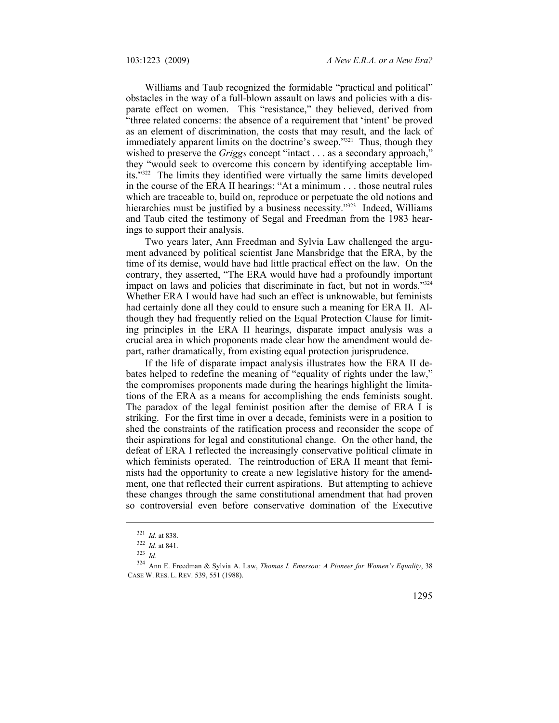Williams and Taub recognized the formidable "practical and political" obstacles in the way of a full-blown assault on laws and policies with a disparate effect on women. This "resistance," they believed, derived from "three related concerns: the absence of a requirement that 'intent' be proved as an element of discrimination, the costs that may result, and the lack of immediately apparent limits on the doctrine's sweep."<sup>321</sup> Thus, though they wished to preserve the *Griggs* concept "intact . . . as a secondary approach," they "would seek to overcome this concern by identifying acceptable limits."322 The limits they identified were virtually the same limits developed in the course of the ERA II hearings: "At a minimum . . . those neutral rules which are traceable to, build on, reproduce or perpetuate the old notions and hierarchies must be justified by a business necessity."<sup>323</sup> Indeed, Williams and Taub cited the testimony of Segal and Freedman from the 1983 hearings to support their analysis.

Two years later, Ann Freedman and Sylvia Law challenged the argument advanced by political scientist Jane Mansbridge that the ERA, by the time of its demise, would have had little practical effect on the law. On the contrary, they asserted, "The ERA would have had a profoundly important impact on laws and policies that discriminate in fact, but not in words."<sup>324</sup> Whether ERA I would have had such an effect is unknowable, but feminists had certainly done all they could to ensure such a meaning for ERA II. Although they had frequently relied on the Equal Protection Clause for limiting principles in the ERA II hearings, disparate impact analysis was a crucial area in which proponents made clear how the amendment would depart, rather dramatically, from existing equal protection jurisprudence.

If the life of disparate impact analysis illustrates how the ERA II debates helped to redefine the meaning of "equality of rights under the law," the compromises proponents made during the hearings highlight the limitations of the ERA as a means for accomplishing the ends feminists sought. The paradox of the legal feminist position after the demise of ERA I is striking. For the first time in over a decade, feminists were in a position to shed the constraints of the ratification process and reconsider the scope of their aspirations for legal and constitutional change. On the other hand, the defeat of ERA I reflected the increasingly conservative political climate in which feminists operated. The reintroduction of ERA II meant that feminists had the opportunity to create a new legislative history for the amendment, one that reflected their current aspirations. But attempting to achieve these changes through the same constitutional amendment that had proven so controversial even before conservative domination of the Executive

<sup>321</sup>*Id.* at 838. 322 *Id.* at 841. 323 *Id.*

<sup>324</sup> Ann E. Freedman & Sylvia A. Law, *Thomas I. Emerson: A Pioneer for Women's Equality*, 38 CASE W. RES. L. REV. 539, 551 (1988).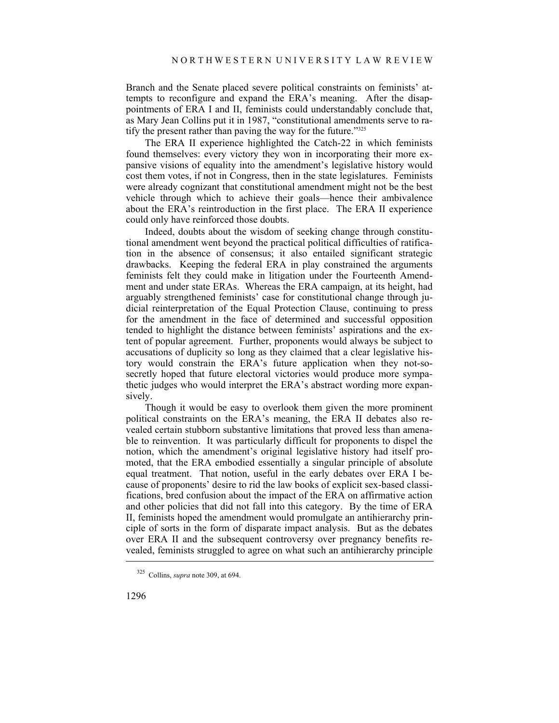Branch and the Senate placed severe political constraints on feminists' attempts to reconfigure and expand the ERA's meaning. After the disappointments of ERA I and II, feminists could understandably conclude that, as Mary Jean Collins put it in 1987, "constitutional amendments serve to ratify the present rather than paving the way for the future."325

The ERA II experience highlighted the Catch-22 in which feminists found themselves: every victory they won in incorporating their more expansive visions of equality into the amendment's legislative history would cost them votes, if not in Congress, then in the state legislatures. Feminists were already cognizant that constitutional amendment might not be the best vehicle through which to achieve their goals—hence their ambivalence about the ERA's reintroduction in the first place. The ERA II experience could only have reinforced those doubts.

Indeed, doubts about the wisdom of seeking change through constitutional amendment went beyond the practical political difficulties of ratification in the absence of consensus; it also entailed significant strategic drawbacks. Keeping the federal ERA in play constrained the arguments feminists felt they could make in litigation under the Fourteenth Amendment and under state ERAs. Whereas the ERA campaign, at its height, had arguably strengthened feminists' case for constitutional change through judicial reinterpretation of the Equal Protection Clause, continuing to press for the amendment in the face of determined and successful opposition tended to highlight the distance between feminists' aspirations and the extent of popular agreement. Further, proponents would always be subject to accusations of duplicity so long as they claimed that a clear legislative history would constrain the ERA's future application when they not-sosecretly hoped that future electoral victories would produce more sympathetic judges who would interpret the ERA's abstract wording more expansively.

Though it would be easy to overlook them given the more prominent political constraints on the ERA's meaning, the ERA II debates also revealed certain stubborn substantive limitations that proved less than amenable to reinvention. It was particularly difficult for proponents to dispel the notion, which the amendment's original legislative history had itself promoted, that the ERA embodied essentially a singular principle of absolute equal treatment. That notion, useful in the early debates over ERA I because of proponents' desire to rid the law books of explicit sex-based classifications, bred confusion about the impact of the ERA on affirmative action and other policies that did not fall into this category. By the time of ERA II, feminists hoped the amendment would promulgate an antihierarchy principle of sorts in the form of disparate impact analysis. But as the debates over ERA II and the subsequent controversy over pregnancy benefits revealed, feminists struggled to agree on what such an antihierarchy principle

<sup>325</sup> Collins, *supra* note 309, at 694.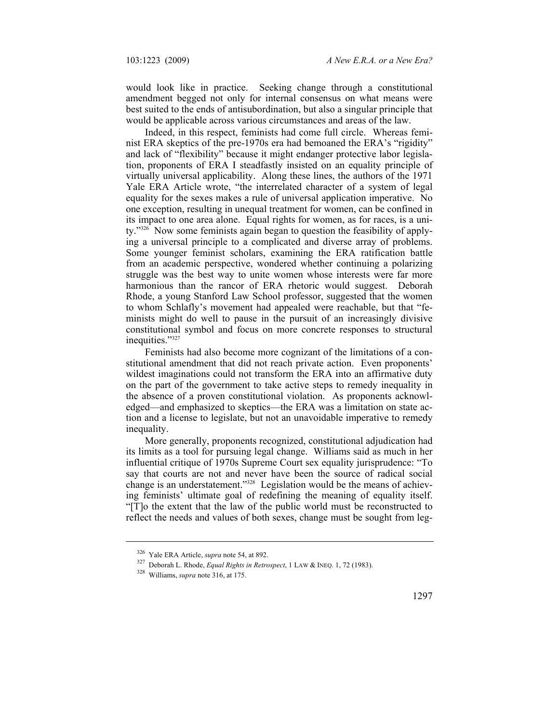would look like in practice. Seeking change through a constitutional amendment begged not only for internal consensus on what means were best suited to the ends of antisubordination, but also a singular principle that would be applicable across various circumstances and areas of the law.

Indeed, in this respect, feminists had come full circle. Whereas feminist ERA skeptics of the pre-1970s era had bemoaned the ERA's "rigidity" and lack of "flexibility" because it might endanger protective labor legislation, proponents of ERA I steadfastly insisted on an equality principle of virtually universal applicability. Along these lines, the authors of the 1971 Yale ERA Article wrote, "the interrelated character of a system of legal equality for the sexes makes a rule of universal application imperative. No one exception, resulting in unequal treatment for women, can be confined in its impact to one area alone. Equal rights for women, as for races, is a unity."326 Now some feminists again began to question the feasibility of applying a universal principle to a complicated and diverse array of problems. Some younger feminist scholars, examining the ERA ratification battle from an academic perspective, wondered whether continuing a polarizing struggle was the best way to unite women whose interests were far more harmonious than the rancor of ERA rhetoric would suggest. Deborah Rhode, a young Stanford Law School professor, suggested that the women to whom Schlafly's movement had appealed were reachable, but that "feminists might do well to pause in the pursuit of an increasingly divisive constitutional symbol and focus on more concrete responses to structural inequities."327

Feminists had also become more cognizant of the limitations of a constitutional amendment that did not reach private action. Even proponents' wildest imaginations could not transform the ERA into an affirmative duty on the part of the government to take active steps to remedy inequality in the absence of a proven constitutional violation. As proponents acknowledged—and emphasized to skeptics—the ERA was a limitation on state action and a license to legislate, but not an unavoidable imperative to remedy inequality.

More generally, proponents recognized, constitutional adjudication had its limits as a tool for pursuing legal change. Williams said as much in her influential critique of 1970s Supreme Court sex equality jurisprudence: "To say that courts are not and never have been the source of radical social change is an understatement."328 Legislation would be the means of achieving feminists' ultimate goal of redefining the meaning of equality itself. "[T]o the extent that the law of the public world must be reconstructed to reflect the needs and values of both sexes, change must be sought from leg-

<sup>326</sup> Yale ERA Article, *supra* note 54, at 892. 327 Deborah L. Rhode, *Equal Rights in Retrospect*, 1 LAW & INEQ. 1, 72 (1983). 328 Williams, *supra* note 316, at 175.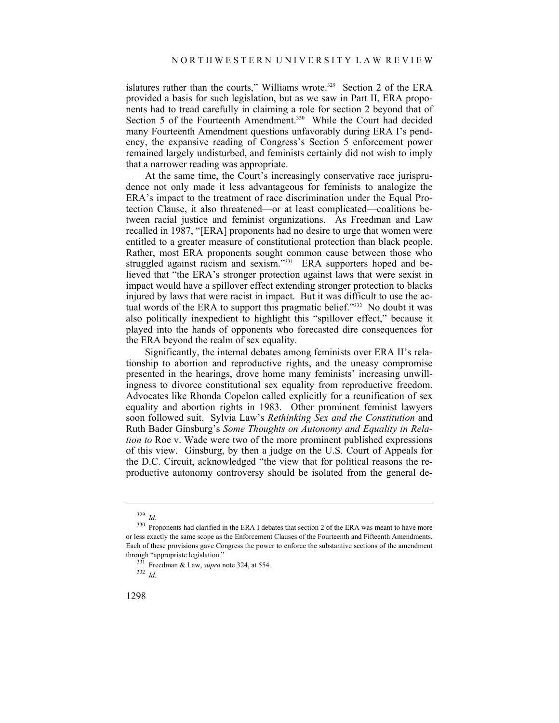islatures rather than the courts," Williams wrote.<sup>329</sup> Section 2 of the ERA provided a basis for such legislation, but as we saw in Part II, ERA proponents had to tread carefully in claiming a role for section 2 beyond that of Section 5 of the Fourteenth Amendment.<sup>330</sup> While the Court had decided many Fourteenth Amendment questions unfavorably during ERA I's pendency, the expansive reading of Congress's Section 5 enforcement power remained largely undisturbed, and feminists certainly did not wish to imply that a narrower reading was appropriate.

At the same time, the Court's increasingly conservative race jurisprudence not only made it less advantageous for feminists to analogize the ERA's impact to the treatment of race discrimination under the Equal Protection Clause, it also threatened—or at least complicated—coalitions between racial justice and feminist organizations. As Freedman and Law recalled in 1987, "[ERA] proponents had no desire to urge that women were entitled to a greater measure of constitutional protection than black people. Rather, most ERA proponents sought common cause between those who struggled against racism and sexism."<sup>331</sup> ERA supporters hoped and believed that "the ERA's stronger protection against laws that were sexist in impact would have a spillover effect extending stronger protection to blacks injured by laws that were racist in impact. But it was difficult to use the actual words of the ERA to support this pragmatic belief."332 No doubt it was also politically inexpedient to highlight this "spillover effect," because it played into the hands of opponents who forecasted dire consequences for the ERA beyond the realm of sex equality.

Significantly, the internal debates among feminists over ERA II's relationship to abortion and reproductive rights, and the uneasy compromise presented in the hearings, drove home many feminists' increasing unwillingness to divorce constitutional sex equality from reproductive freedom. Advocates like Rhonda Copelon called explicitly for a reunification of sex equality and abortion rights in 1983. Other prominent feminist lawyers soon followed suit. Sylvia Law's *Rethinking Sex and the Constitution* and Ruth Bader Ginsburg's *Some Thoughts on Autonomy and Equality in Relation to* Roe v. Wade were two of the more prominent published expressions of this view. Ginsburg, by then a judge on the U.S. Court of Appeals for the D.C. Circuit, acknowledged "the view that for political reasons the reproductive autonomy controversy should be isolated from the general de-

<sup>&</sup>lt;sup>329</sup> *Id.* <sup>330</sup> Proponents had clarified in the ERA I debates that section 2 of the ERA was meant to have more or less exactly the same scope as the Enforcement Clauses of the Fourteenth and Fifteenth Amendments. Each of these provisions gave Congress the power to enforce the substantive sections of the amendment through "appropriate legislation."<br><sup>331</sup> Freedman & Law, *supra* note 324, at 554.<br><sup>332</sup> *Id*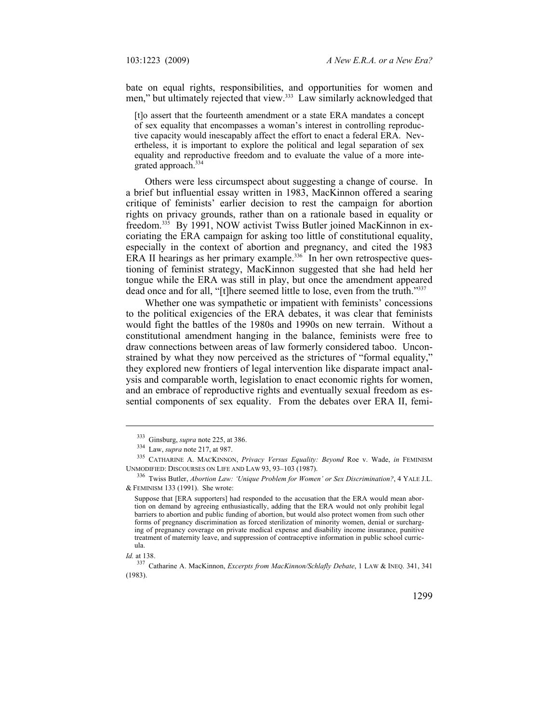bate on equal rights, responsibilities, and opportunities for women and men," but ultimately rejected that view.<sup>333</sup> Law similarly acknowledged that

[t]o assert that the fourteenth amendment or a state ERA mandates a concept of sex equality that encompasses a woman's interest in controlling reproductive capacity would inescapably affect the effort to enact a federal ERA. Nevertheless, it is important to explore the political and legal separation of sex equality and reproductive freedom and to evaluate the value of a more integrated approach.334

Others were less circumspect about suggesting a change of course. In a brief but influential essay written in 1983, MacKinnon offered a searing critique of feminists' earlier decision to rest the campaign for abortion rights on privacy grounds, rather than on a rationale based in equality or freedom.335 By 1991, NOW activist Twiss Butler joined MacKinnon in excoriating the ERA campaign for asking too little of constitutional equality, especially in the context of abortion and pregnancy, and cited the 1983 ERA II hearings as her primary example.<sup>336</sup> In her own retrospective questioning of feminist strategy, MacKinnon suggested that she had held her tongue while the ERA was still in play, but once the amendment appeared dead once and for all, "[t]here seemed little to lose, even from the truth."337

Whether one was sympathetic or impatient with feminists' concessions to the political exigencies of the ERA debates, it was clear that feminists would fight the battles of the 1980s and 1990s on new terrain. Without a constitutional amendment hanging in the balance, feminists were free to draw connections between areas of law formerly considered taboo. Unconstrained by what they now perceived as the strictures of "formal equality," they explored new frontiers of legal intervention like disparate impact analysis and comparable worth, legislation to enact economic rights for women, and an embrace of reproductive rights and eventually sexual freedom as essential components of sex equality. From the debates over ERA II, femi-

<sup>&</sup>lt;sup>333</sup> Ginsburg, *supra* note 225, at 386.<br><sup>334</sup> Law, *supra* note 217, at 987.<br><sup>335</sup> CATHARINE A. MACKINNON, *Privacy Versus Equality: Beyond* Roe v. Wade, *in* FEMINISM<br>UNMODIFIED: DISCOURSES ON LIFE AND LAW 93, 93–103 (1

<sup>336</sup> Twiss Butler, *Abortion Law: 'Unique Problem for Women' or Sex Discrimination?*, 4 YALE J.L. & FEMINISM 133 (1991). She wrote:

Suppose that [ERA supporters] had responded to the accusation that the ERA would mean abortion on demand by agreeing enthusiastically, adding that the ERA would not only prohibit legal barriers to abortion and public funding of abortion, but would also protect women from such other forms of pregnancy discrimination as forced sterilization of minority women, denial or surcharging of pregnancy coverage on private medical expense and disability income insurance, punitive treatment of maternity leave, and suppression of contraceptive information in public school curricula.

*Id.* at 138.

<sup>337</sup> Catharine A. MacKinnon, *Excerpts from MacKinnon/Schlafly Debate*, 1 LAW & INEQ. 341, 341 (1983).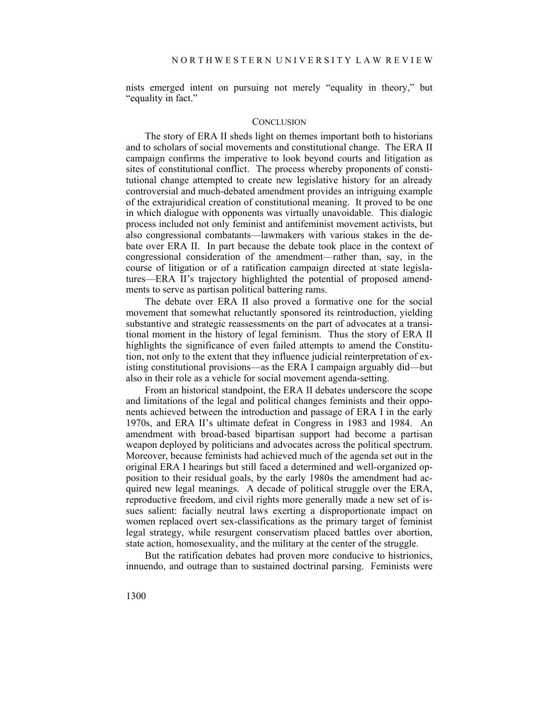nists emerged intent on pursuing not merely "equality in theory," but "equality in fact."

## **CONCLUSION**

The story of ERA II sheds light on themes important both to historians and to scholars of social movements and constitutional change. The ERA II campaign confirms the imperative to look beyond courts and litigation as sites of constitutional conflict. The process whereby proponents of constitutional change attempted to create new legislative history for an already controversial and much-debated amendment provides an intriguing example of the extrajuridical creation of constitutional meaning. It proved to be one in which dialogue with opponents was virtually unavoidable. This dialogic process included not only feminist and antifeminist movement activists, but also congressional combatants—lawmakers with various stakes in the debate over ERA II. In part because the debate took place in the context of congressional consideration of the amendment—rather than, say, in the course of litigation or of a ratification campaign directed at state legislatures—ERA II's trajectory highlighted the potential of proposed amendments to serve as partisan political battering rams.

The debate over ERA II also proved a formative one for the social movement that somewhat reluctantly sponsored its reintroduction, yielding substantive and strategic reassessments on the part of advocates at a transitional moment in the history of legal feminism. Thus the story of ERA II highlights the significance of even failed attempts to amend the Constitution, not only to the extent that they influence judicial reinterpretation of existing constitutional provisions—as the ERA I campaign arguably did—but also in their role as a vehicle for social movement agenda-setting.

From an historical standpoint, the ERA II debates underscore the scope and limitations of the legal and political changes feminists and their opponents achieved between the introduction and passage of ERA I in the early 1970s, and ERA II's ultimate defeat in Congress in 1983 and 1984. An amendment with broad-based bipartisan support had become a partisan weapon deployed by politicians and advocates across the political spectrum. Moreover, because feminists had achieved much of the agenda set out in the original ERA I hearings but still faced a determined and well-organized opposition to their residual goals, by the early 1980s the amendment had acquired new legal meanings. A decade of political struggle over the ERA, reproductive freedom, and civil rights more generally made a new set of issues salient: facially neutral laws exerting a disproportionate impact on women replaced overt sex-classifications as the primary target of feminist legal strategy, while resurgent conservatism placed battles over abortion, state action, homosexuality, and the military at the center of the struggle.

But the ratification debates had proven more conducive to histrionics, innuendo, and outrage than to sustained doctrinal parsing. Feminists were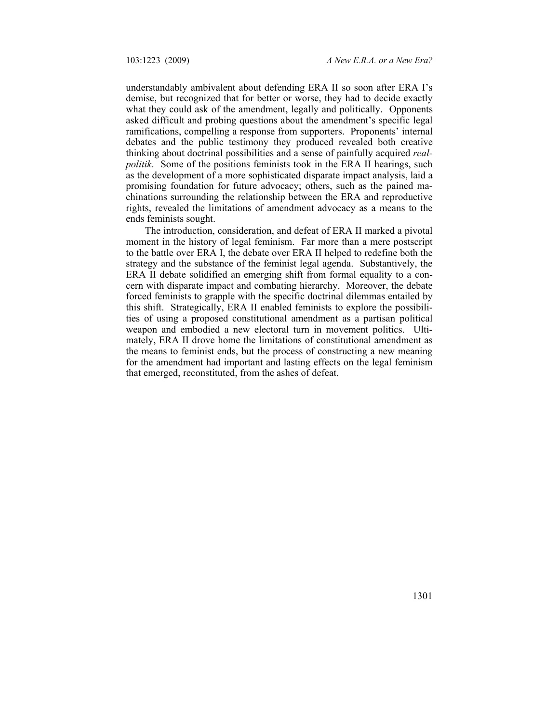understandably ambivalent about defending ERA II so soon after ERA I's demise, but recognized that for better or worse, they had to decide exactly what they could ask of the amendment, legally and politically. Opponents asked difficult and probing questions about the amendment's specific legal ramifications, compelling a response from supporters. Proponents' internal debates and the public testimony they produced revealed both creative thinking about doctrinal possibilities and a sense of painfully acquired *realpolitik*. Some of the positions feminists took in the ERA II hearings, such as the development of a more sophisticated disparate impact analysis, laid a promising foundation for future advocacy; others, such as the pained machinations surrounding the relationship between the ERA and reproductive rights, revealed the limitations of amendment advocacy as a means to the ends feminists sought.

The introduction, consideration, and defeat of ERA II marked a pivotal moment in the history of legal feminism. Far more than a mere postscript to the battle over ERA I, the debate over ERA II helped to redefine both the strategy and the substance of the feminist legal agenda. Substantively, the ERA II debate solidified an emerging shift from formal equality to a concern with disparate impact and combating hierarchy. Moreover, the debate forced feminists to grapple with the specific doctrinal dilemmas entailed by this shift. Strategically, ERA II enabled feminists to explore the possibilities of using a proposed constitutional amendment as a partisan political weapon and embodied a new electoral turn in movement politics. Ultimately, ERA II drove home the limitations of constitutional amendment as the means to feminist ends, but the process of constructing a new meaning for the amendment had important and lasting effects on the legal feminism that emerged, reconstituted, from the ashes of defeat.